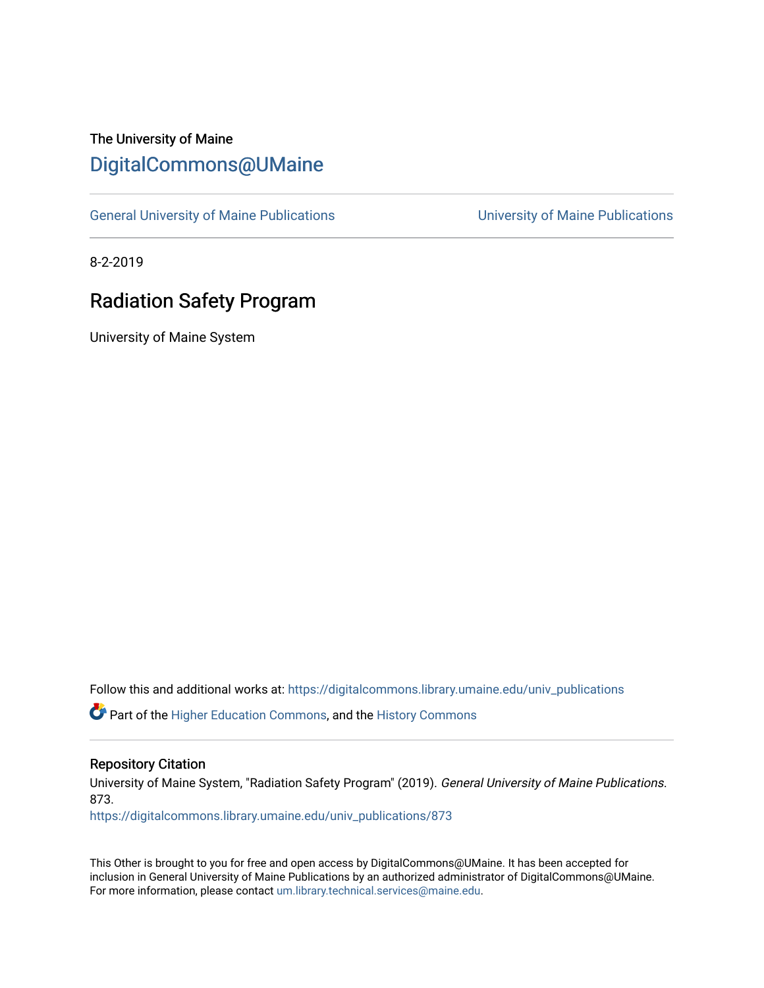# The University of Maine [DigitalCommons@UMaine](https://digitalcommons.library.umaine.edu/)

[General University of Maine Publications](https://digitalcommons.library.umaine.edu/univ_publications) [University of Maine Publications](https://digitalcommons.library.umaine.edu/umaine_publications) 

8-2-2019

# Radiation Safety Program

University of Maine System

Follow this and additional works at: [https://digitalcommons.library.umaine.edu/univ\\_publications](https://digitalcommons.library.umaine.edu/univ_publications?utm_source=digitalcommons.library.umaine.edu%2Funiv_publications%2F873&utm_medium=PDF&utm_campaign=PDFCoverPages) 

Part of the [Higher Education Commons,](http://network.bepress.com/hgg/discipline/1245?utm_source=digitalcommons.library.umaine.edu%2Funiv_publications%2F873&utm_medium=PDF&utm_campaign=PDFCoverPages) and the [History Commons](http://network.bepress.com/hgg/discipline/489?utm_source=digitalcommons.library.umaine.edu%2Funiv_publications%2F873&utm_medium=PDF&utm_campaign=PDFCoverPages)

#### Repository Citation

University of Maine System, "Radiation Safety Program" (2019). General University of Maine Publications. 873.

[https://digitalcommons.library.umaine.edu/univ\\_publications/873](https://digitalcommons.library.umaine.edu/univ_publications/873?utm_source=digitalcommons.library.umaine.edu%2Funiv_publications%2F873&utm_medium=PDF&utm_campaign=PDFCoverPages) 

This Other is brought to you for free and open access by DigitalCommons@UMaine. It has been accepted for inclusion in General University of Maine Publications by an authorized administrator of DigitalCommons@UMaine. For more information, please contact [um.library.technical.services@maine.edu](mailto:um.library.technical.services@maine.edu).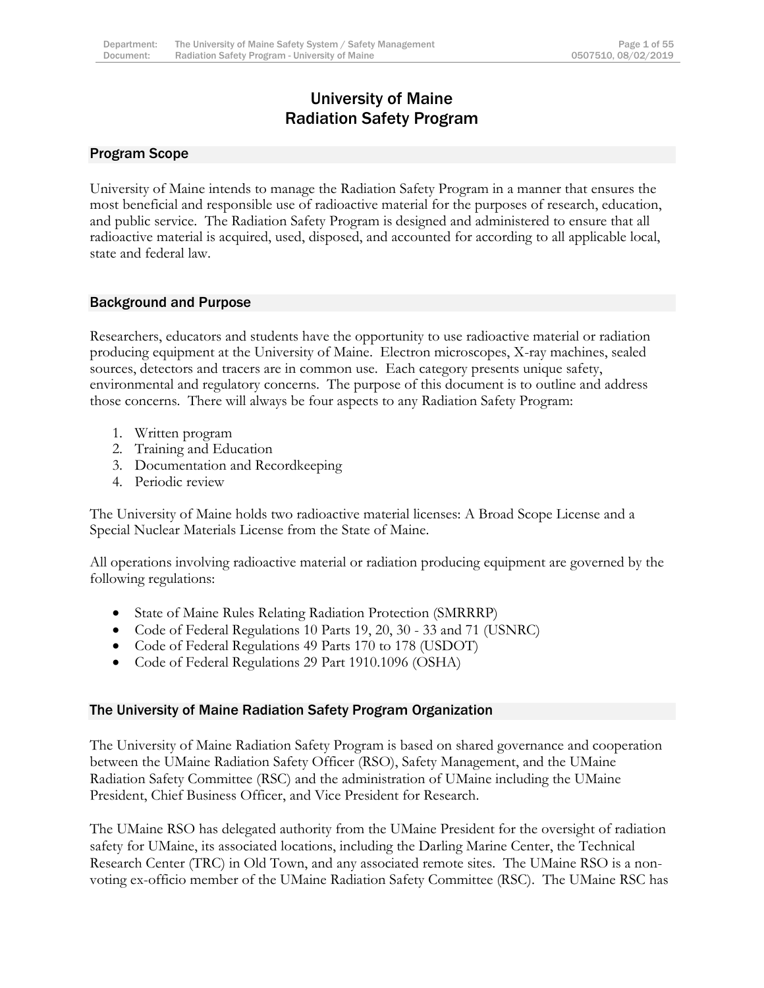# University of Maine Radiation Safety Program

### <span id="page-1-0"></span>Program Scope

University of Maine intends to manage the Radiation Safety Program in a manner that ensures the most beneficial and responsible use of radioactive material for the purposes of research, education, and public service. The Radiation Safety Program is designed and administered to ensure that all radioactive material is acquired, used, disposed, and accounted for according to all applicable local, state and federal law.

#### <span id="page-1-1"></span>Background and Purpose

Researchers, educators and students have the opportunity to use radioactive material or radiation producing equipment at the University of Maine. Electron microscopes, X-ray machines, sealed sources, detectors and tracers are in common use. Each category presents unique safety, environmental and regulatory concerns. The purpose of this document is to outline and address those concerns. There will always be four aspects to any Radiation Safety Program:

- 1. Written program
- 2. Training and Education
- 3. Documentation and Recordkeeping
- 4. Periodic review

The University of Maine holds two radioactive material licenses: A Broad Scope License and a Special Nuclear Materials License from the State of Maine.

All operations involving radioactive material or radiation producing equipment are governed by the following regulations:

- State of Maine Rules Relating Radiation Protection (SMRRRP)
- Code of Federal Regulations 10 Parts 19, 20, 30 33 and 71 (USNRC)
- Code of Federal Regulations 49 Parts 170 to 178 (USDOT)
- Code of Federal Regulations 29 Part 1910.1096 (OSHA)

#### <span id="page-1-2"></span>The University of Maine Radiation Safety Program Organization

The University of Maine Radiation Safety Program is based on shared governance and cooperation between the UMaine Radiation Safety Officer (RSO), Safety Management, and the UMaine Radiation Safety Committee (RSC) and the administration of UMaine including the UMaine President, Chief Business Officer, and Vice President for Research.

The UMaine RSO has delegated authority from the UMaine President for the oversight of radiation safety for UMaine, its associated locations, including the Darling Marine Center, the Technical Research Center (TRC) in Old Town, and any associated remote sites. The UMaine RSO is a nonvoting ex-officio member of the UMaine Radiation Safety Committee (RSC). The UMaine RSC has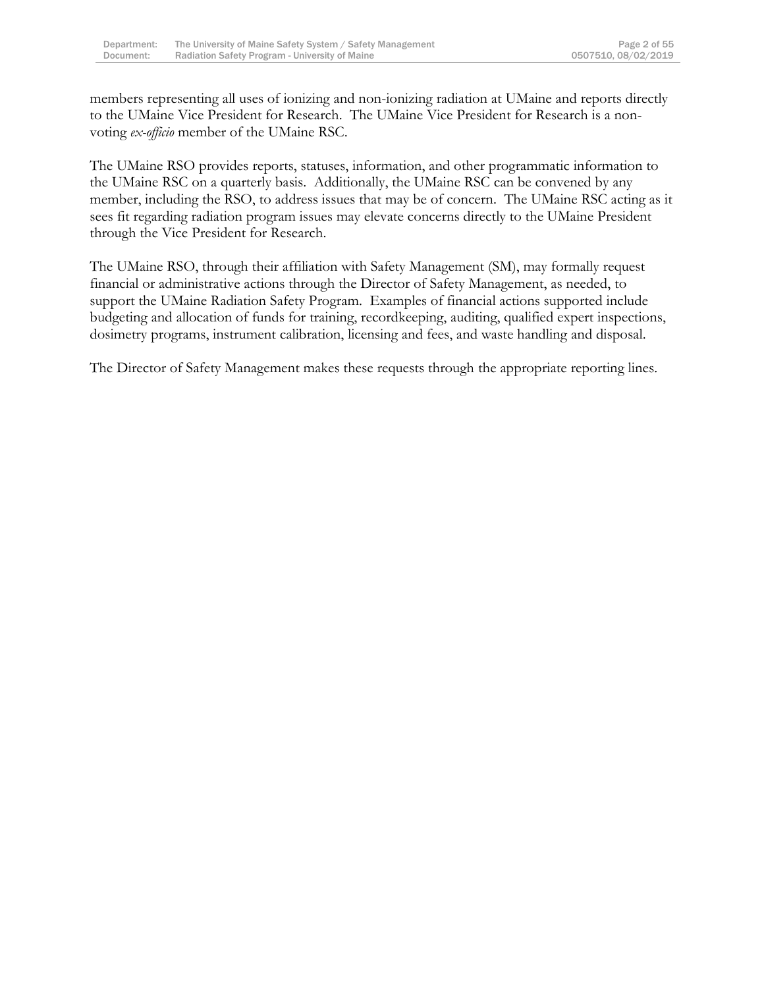members representing all uses of ionizing and non-ionizing radiation at UMaine and reports directly to the UMaine Vice President for Research. The UMaine Vice President for Research is a nonvoting *ex-officio* member of the UMaine RSC.

The UMaine RSO provides reports, statuses, information, and other programmatic information to the UMaine RSC on a quarterly basis. Additionally, the UMaine RSC can be convened by any member, including the RSO, to address issues that may be of concern. The UMaine RSC acting as it sees fit regarding radiation program issues may elevate concerns directly to the UMaine President through the Vice President for Research.

The UMaine RSO, through their affiliation with Safety Management (SM), may formally request financial or administrative actions through the Director of Safety Management, as needed, to support the UMaine Radiation Safety Program. Examples of financial actions supported include budgeting and allocation of funds for training, recordkeeping, auditing, qualified expert inspections, dosimetry programs, instrument calibration, licensing and fees, and waste handling and disposal.

The Director of Safety Management makes these requests through the appropriate reporting lines.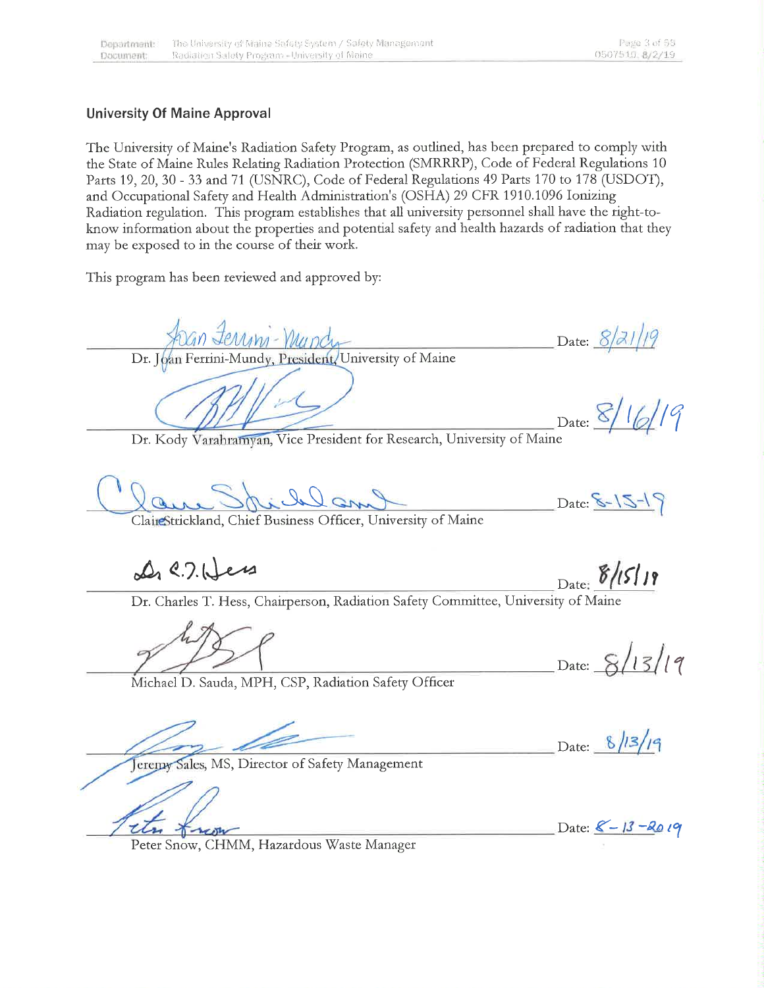### **University Of Maine Approval**

The University of Maine's Radiation Safety Program, as outlined, has been prepared to comply with the State of Maine Rules Relating Radiation Protection (SMRRRP), Code of Federal Regulations 10 Parts 19, 20, 30 - 33 and 71 (USNRC), Code of Federal Regulations 49 Parts 170 to 178 (USDOT), and Occupational Safety and Health Administration's (OSHA) 29 CFR 1910.1096 Ionizing Radiation regulation. This program establishes that all university personnel shall have the right-toknow information about the properties and potential safety and health hazards of radiation that they may be exposed to in the course of their work.

This program has been reviewed and approved by:

Date: 8/21/19 Dr. Joan Ferrini-Mundy, President, University of Maine

Date:  $8/$ 

Dr. Kody Varahramyan, Vice President for Research, University of Maine

 $Date: 8 - 15 - 19$ 

Clair Strickland, Chief Business Officer, University of Maine

De C. 7. Hers

 $8/15/19$ Date:

Dr. Charles T. Hess, Chairperson, Radiation Safety Committee, University of Maine

Date:  $8/13/19$ 

Michael D. Sauda, MPH, CSP, Radiation Safety Officer

Date: 8/13/19

Jeremy Sales, MS, Director of Safety Management

neon

Date:  $8 - 13 - 2019$ 

Peter Snow, CHMM, Hazardous Waste Manager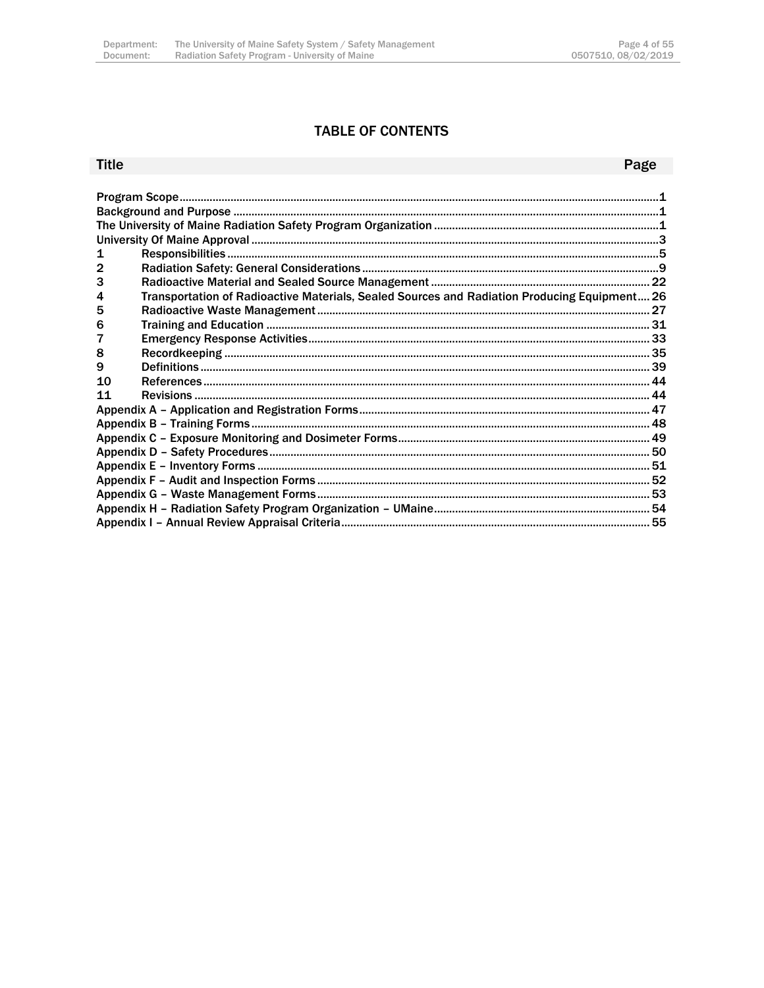### **TABLE OF CONTENTS**

### Title

### Page

| 1  |                                                                                              |  |  |  |
|----|----------------------------------------------------------------------------------------------|--|--|--|
|    |                                                                                              |  |  |  |
| 3  |                                                                                              |  |  |  |
| 4  | Transportation of Radioactive Materials, Sealed Sources and Radiation Producing Equipment 26 |  |  |  |
| 5  |                                                                                              |  |  |  |
| 6  |                                                                                              |  |  |  |
|    |                                                                                              |  |  |  |
| 8  |                                                                                              |  |  |  |
| 9  |                                                                                              |  |  |  |
| 10 |                                                                                              |  |  |  |
| 11 |                                                                                              |  |  |  |
|    |                                                                                              |  |  |  |
|    |                                                                                              |  |  |  |
|    |                                                                                              |  |  |  |
|    |                                                                                              |  |  |  |
|    |                                                                                              |  |  |  |
|    |                                                                                              |  |  |  |
|    |                                                                                              |  |  |  |
|    |                                                                                              |  |  |  |
|    |                                                                                              |  |  |  |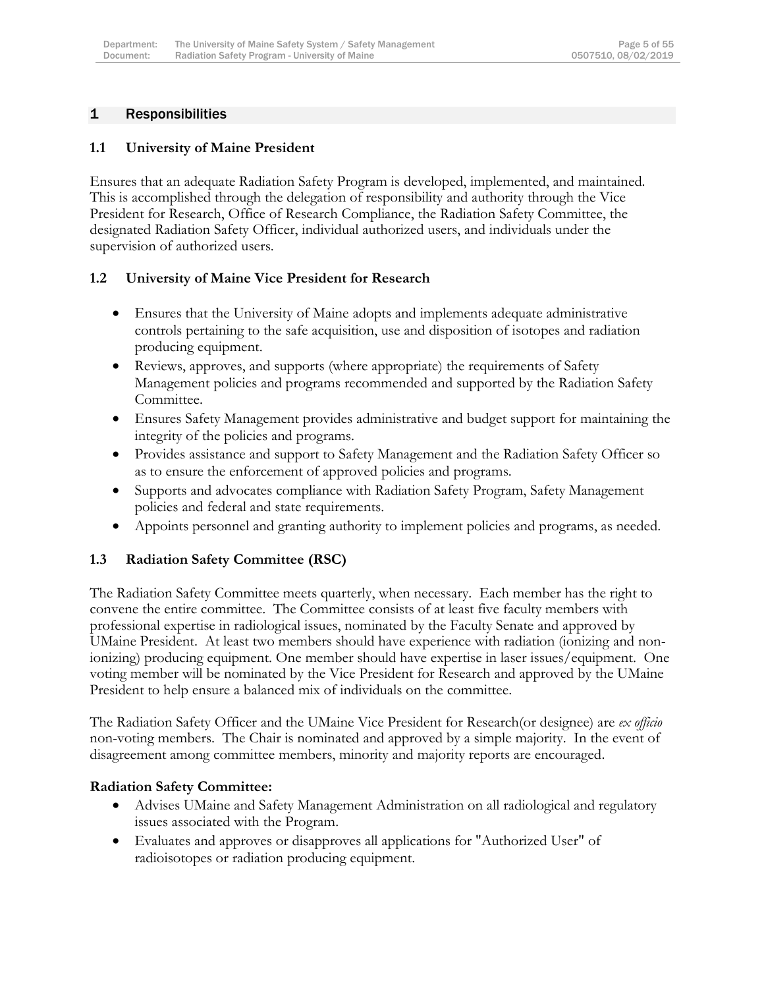### <span id="page-5-0"></span>1 Responsibilities

### **1.1 University of Maine President**

Ensures that an adequate Radiation Safety Program is developed, implemented, and maintained. This is accomplished through the delegation of responsibility and authority through the Vice President for Research, Office of Research Compliance, the Radiation Safety Committee, the designated Radiation Safety Officer, individual authorized users, and individuals under the supervision of authorized users.

### **1.2 University of Maine Vice President for Research**

- Ensures that the University of Maine adopts and implements adequate administrative controls pertaining to the safe acquisition, use and disposition of isotopes and radiation producing equipment.
- Reviews, approves, and supports (where appropriate) the requirements of Safety Management policies and programs recommended and supported by the Radiation Safety Committee.
- Ensures Safety Management provides administrative and budget support for maintaining the integrity of the policies and programs.
- Provides assistance and support to Safety Management and the Radiation Safety Officer so as to ensure the enforcement of approved policies and programs.
- Supports and advocates compliance with Radiation Safety Program, Safety Management policies and federal and state requirements.
- Appoints personnel and granting authority to implement policies and programs, as needed.

# **1.3 Radiation Safety Committee (RSC)**

The Radiation Safety Committee meets quarterly, when necessary. Each member has the right to convene the entire committee. The Committee consists of at least five faculty members with professional expertise in radiological issues, nominated by the Faculty Senate and approved by UMaine President. At least two members should have experience with radiation (ionizing and nonionizing) producing equipment. One member should have expertise in laser issues/equipment. One voting member will be nominated by the Vice President for Research and approved by the UMaine President to help ensure a balanced mix of individuals on the committee.

The Radiation Safety Officer and the UMaine Vice President for Research(or designee) are *ex officio* non-voting members. The Chair is nominated and approved by a simple majority. In the event of disagreement among committee members, minority and majority reports are encouraged.

#### **Radiation Safety Committee:**

- Advises UMaine and Safety Management Administration on all radiological and regulatory issues associated with the Program.
- Evaluates and approves or disapproves all applications for "Authorized User" of radioisotopes or radiation producing equipment.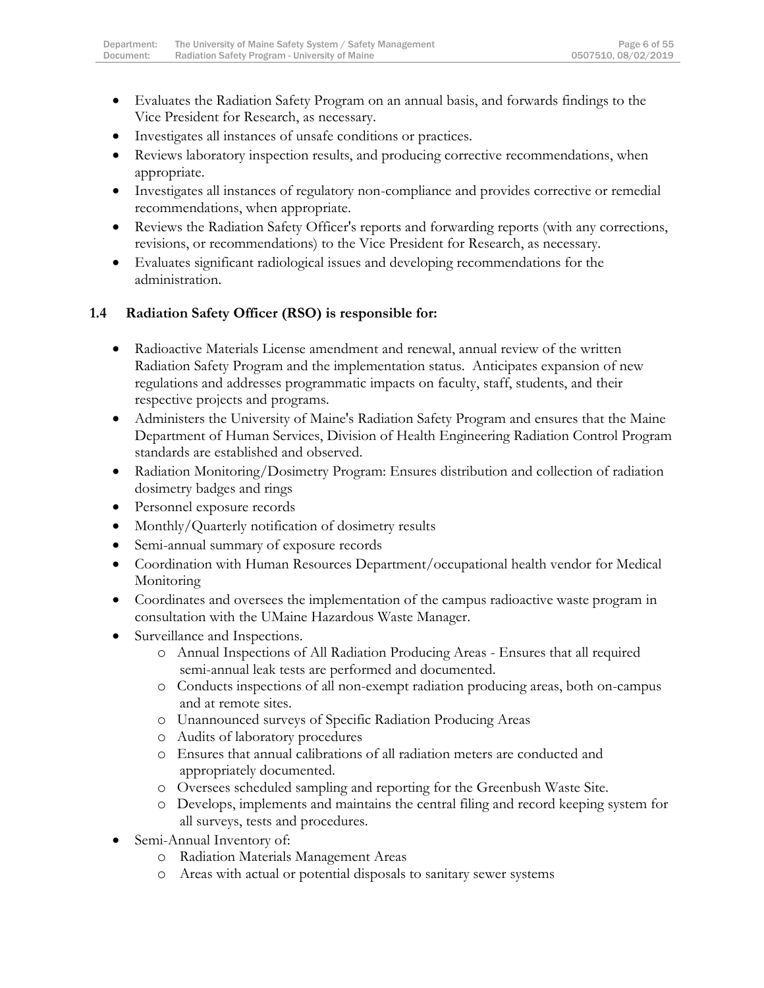- Evaluates the Radiation Safety Program on an annual basis, and forwards findings to the Vice President for Research, as necessary.
- Investigates all instances of unsafe conditions or practices.
- Reviews laboratory inspection results, and producing corrective recommendations, when appropriate.
- Investigates all instances of regulatory non-compliance and provides corrective or remedial recommendations, when appropriate.
- Reviews the Radiation Safety Officer's reports and forwarding reports (with any corrections, revisions, or recommendations) to the Vice President for Research, as necessary.
- Evaluates significant radiological issues and developing recommendations for the administration.

### **1.4 Radiation Safety Officer (RSO) is responsible for:**

- Radioactive Materials License amendment and renewal, annual review of the written Radiation Safety Program and the implementation status. Anticipates expansion of new regulations and addresses programmatic impacts on faculty, staff, students, and their respective projects and programs.
- Administers the University of Maine's Radiation Safety Program and ensures that the Maine Department of Human Services, Division of Health Engineering Radiation Control Program standards are established and observed.
- Radiation Monitoring/Dosimetry Program: Ensures distribution and collection of radiation dosimetry badges and rings
- Personnel exposure records
- Monthly/Quarterly notification of dosimetry results
- Semi-annual summary of exposure records
- Coordination with Human Resources Department/occupational health vendor for Medical Monitoring
- Coordinates and oversees the implementation of the campus radioactive waste program in consultation with the UMaine Hazardous Waste Manager.
- Surveillance and Inspections.
	- o Annual Inspections of All Radiation Producing Areas Ensures that all required semi-annual leak tests are performed and documented.
	- o Conducts inspections of all non-exempt radiation producing areas, both on-campus and at remote sites.
	- o Unannounced surveys of Specific Radiation Producing Areas
	- o Audits of laboratory procedures
	- o Ensures that annual calibrations of all radiation meters are conducted and appropriately documented.
	- o Oversees scheduled sampling and reporting for the Greenbush Waste Site.
	- o Develops, implements and maintains the central filing and record keeping system for all surveys, tests and procedures.
- Semi-Annual Inventory of:
	- o Radiation Materials Management Areas
	- o Areas with actual or potential disposals to sanitary sewer systems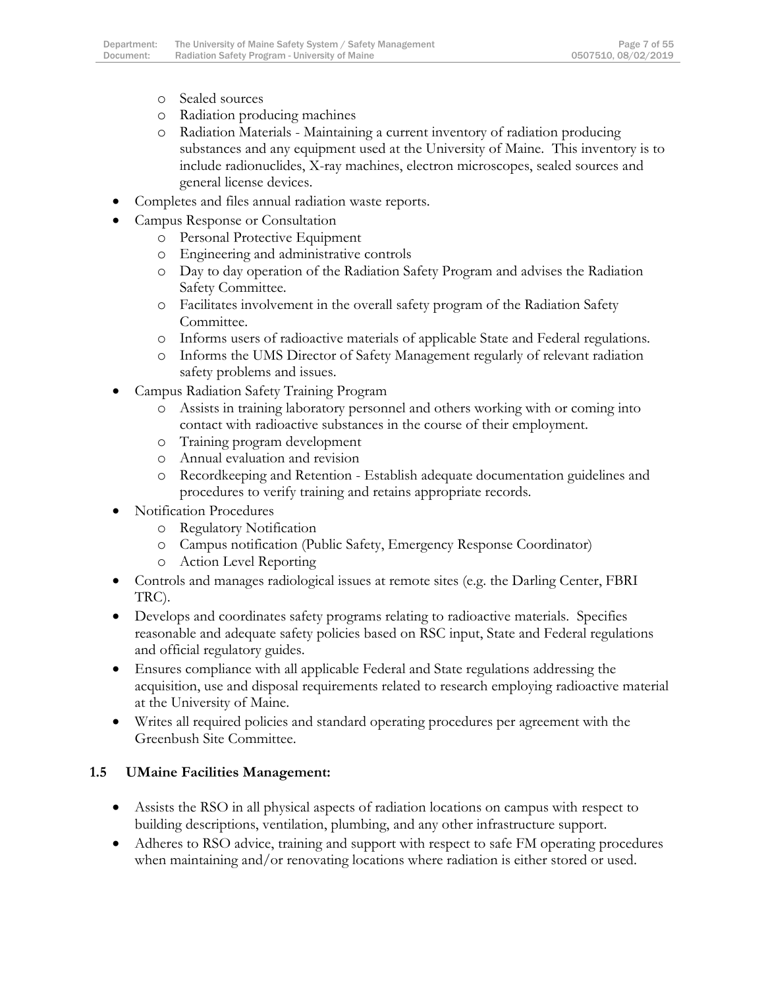- o Sealed sources
- o Radiation producing machines
- o Radiation Materials Maintaining a current inventory of radiation producing substances and any equipment used at the University of Maine. This inventory is to include radionuclides, X-ray machines, electron microscopes, sealed sources and general license devices.
- Completes and files annual radiation waste reports.
- Campus Response or Consultation
	- o Personal Protective Equipment
	- o Engineering and administrative controls
	- o Day to day operation of the Radiation Safety Program and advises the Radiation Safety Committee.
	- o Facilitates involvement in the overall safety program of the Radiation Safety Committee.
	- o Informs users of radioactive materials of applicable State and Federal regulations.
	- o Informs the UMS Director of Safety Management regularly of relevant radiation safety problems and issues.
- Campus Radiation Safety Training Program
	- o Assists in training laboratory personnel and others working with or coming into contact with radioactive substances in the course of their employment.
	- o Training program development
	- o Annual evaluation and revision
	- o Recordkeeping and Retention Establish adequate documentation guidelines and procedures to verify training and retains appropriate records.
- Notification Procedures
	- o Regulatory Notification
	- o Campus notification (Public Safety, Emergency Response Coordinator)
	- o Action Level Reporting
- Controls and manages radiological issues at remote sites (e.g. the Darling Center, FBRI TRC).
- Develops and coordinates safety programs relating to radioactive materials. Specifies reasonable and adequate safety policies based on RSC input, State and Federal regulations and official regulatory guides.
- Ensures compliance with all applicable Federal and State regulations addressing the acquisition, use and disposal requirements related to research employing radioactive material at the University of Maine.
- Writes all required policies and standard operating procedures per agreement with the Greenbush Site Committee.

# **1.5 UMaine Facilities Management:**

- Assists the RSO in all physical aspects of radiation locations on campus with respect to building descriptions, ventilation, plumbing, and any other infrastructure support.
- Adheres to RSO advice, training and support with respect to safe FM operating procedures when maintaining and/or renovating locations where radiation is either stored or used.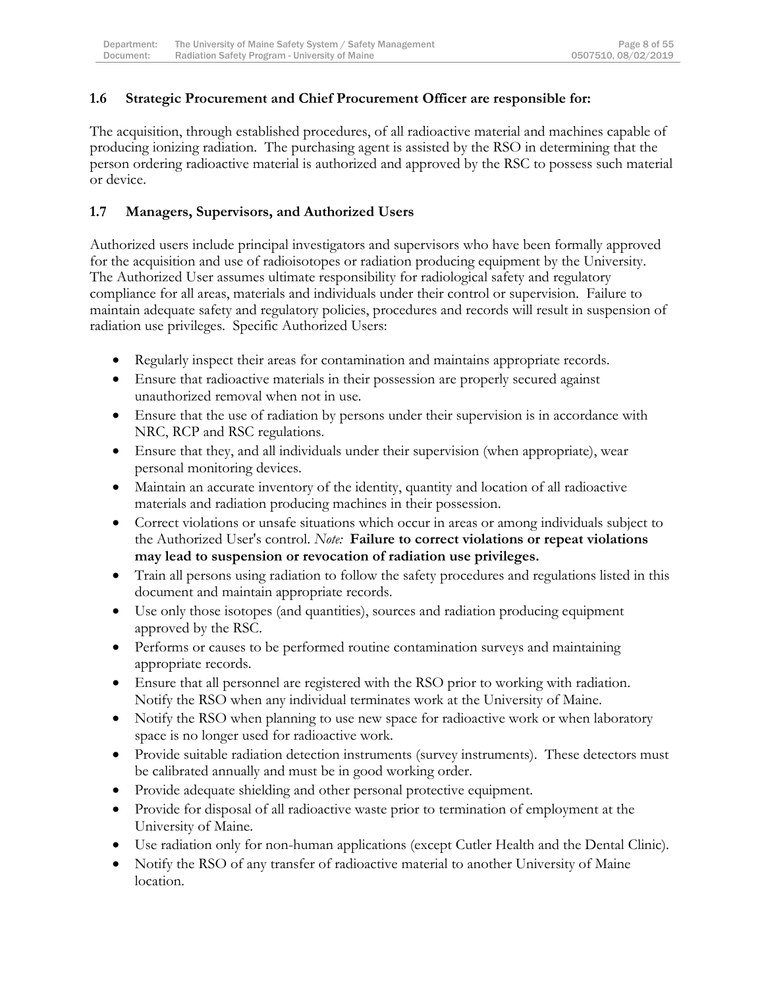### **1.6 Strategic Procurement and Chief Procurement Officer are responsible for:**

The acquisition, through established procedures, of all radioactive material and machines capable of producing ionizing radiation. The purchasing agent is assisted by the RSO in determining that the person ordering radioactive material is authorized and approved by the RSC to possess such material or device.

### **1.7 Managers, Supervisors, and Authorized Users**

Authorized users include principal investigators and supervisors who have been formally approved for the acquisition and use of radioisotopes or radiation producing equipment by the University. The Authorized User assumes ultimate responsibility for radiological safety and regulatory compliance for all areas, materials and individuals under their control or supervision. Failure to maintain adequate safety and regulatory policies, procedures and records will result in suspension of radiation use privileges. Specific Authorized Users:

- Regularly inspect their areas for contamination and maintains appropriate records.
- Ensure that radioactive materials in their possession are properly secured against unauthorized removal when not in use.
- Ensure that the use of radiation by persons under their supervision is in accordance with NRC, RCP and RSC regulations.
- Ensure that they, and all individuals under their supervision (when appropriate), wear personal monitoring devices.
- Maintain an accurate inventory of the identity, quantity and location of all radioactive materials and radiation producing machines in their possession.
- Correct violations or unsafe situations which occur in areas or among individuals subject to the Authorized User's control. *Note:* **Failure to correct violations or repeat violations may lead to suspension or revocation of radiation use privileges.**
- Train all persons using radiation to follow the safety procedures and regulations listed in this document and maintain appropriate records.
- Use only those isotopes (and quantities), sources and radiation producing equipment approved by the RSC.
- Performs or causes to be performed routine contamination surveys and maintaining appropriate records.
- Ensure that all personnel are registered with the RSO prior to working with radiation. Notify the RSO when any individual terminates work at the University of Maine.
- Notify the RSO when planning to use new space for radioactive work or when laboratory space is no longer used for radioactive work.
- Provide suitable radiation detection instruments (survey instruments). These detectors must be calibrated annually and must be in good working order.
- Provide adequate shielding and other personal protective equipment.
- Provide for disposal of all radioactive waste prior to termination of employment at the University of Maine.
- Use radiation only for non-human applications (except Cutler Health and the Dental Clinic).
- Notify the RSO of any transfer of radioactive material to another University of Maine location.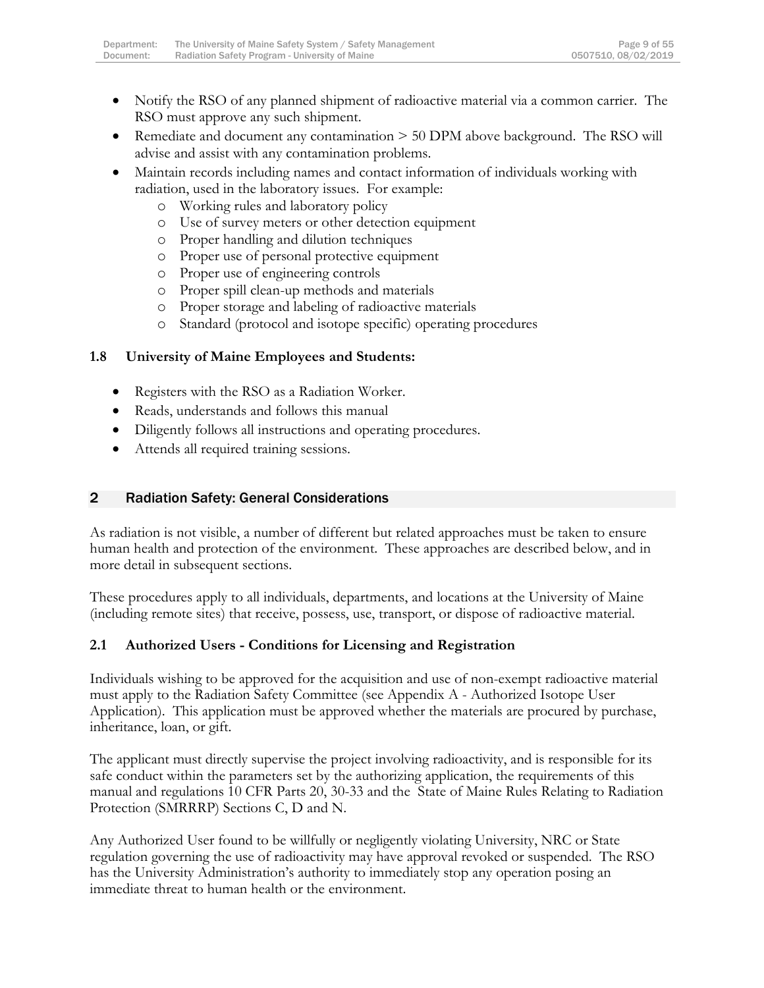- Notify the RSO of any planned shipment of radioactive material via a common carrier. The RSO must approve any such shipment.
- Remediate and document any contamination > 50 DPM above background. The RSO will advise and assist with any contamination problems.
- Maintain records including names and contact information of individuals working with radiation, used in the laboratory issues. For example:
	- o Working rules and laboratory policy
	- o Use of survey meters or other detection equipment
	- o Proper handling and dilution techniques
	- o Proper use of personal protective equipment
	- o Proper use of engineering controls
	- o Proper spill clean-up methods and materials
	- o Proper storage and labeling of radioactive materials
	- o Standard (protocol and isotope specific) operating procedures

# **1.8 University of Maine Employees and Students:**

- Registers with the RSO as a Radiation Worker.
- Reads, understands and follows this manual
- Diligently follows all instructions and operating procedures.
- Attends all required training sessions.

### <span id="page-9-0"></span>2 Radiation Safety: General Considerations

As radiation is not visible, a number of different but related approaches must be taken to ensure human health and protection of the environment. These approaches are described below, and in more detail in subsequent sections.

These procedures apply to all individuals, departments, and locations at the University of Maine (including remote sites) that receive, possess, use, transport, or dispose of radioactive material.

# **2.1 Authorized Users - Conditions for Licensing and Registration**

Individuals wishing to be approved for the acquisition and use of non-exempt radioactive material must apply to the Radiation Safety Committee (see Appendix A - Authorized Isotope User Application). This application must be approved whether the materials are procured by purchase, inheritance, loan, or gift.

The applicant must directly supervise the project involving radioactivity, and is responsible for its safe conduct within the parameters set by the authorizing application, the requirements of this manual and regulations 10 CFR Parts 20, 30-33 and the State of Maine Rules Relating to Radiation Protection (SMRRRP) Sections C, D and N.

Any Authorized User found to be willfully or negligently violating University, NRC or State regulation governing the use of radioactivity may have approval revoked or suspended. The RSO has the University Administration's authority to immediately stop any operation posing an immediate threat to human health or the environment.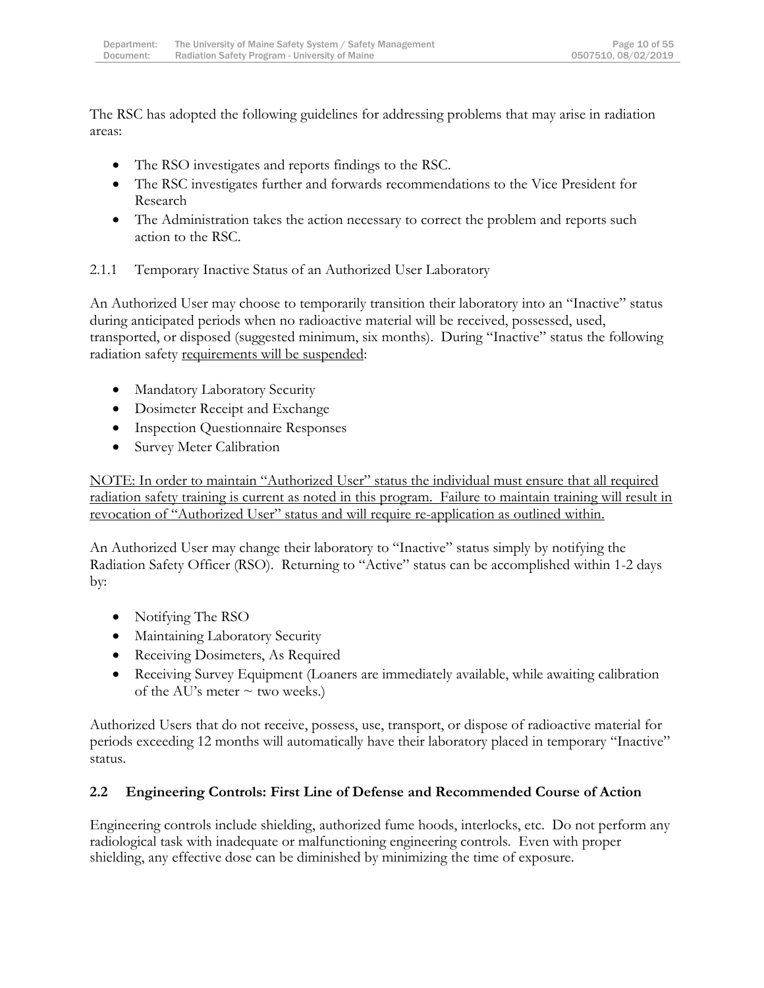The RSC has adopted the following guidelines for addressing problems that may arise in radiation areas:

- The RSO investigates and reports findings to the RSC.
- The RSC investigates further and forwards recommendations to the Vice President for Research
- The Administration takes the action necessary to correct the problem and reports such action to the RSC.
- 2.1.1 Temporary Inactive Status of an Authorized User Laboratory

An Authorized User may choose to temporarily transition their laboratory into an "Inactive" status during anticipated periods when no radioactive material will be received, possessed, used, transported, or disposed (suggested minimum, six months). During "Inactive" status the following radiation safety requirements will be suspended:

- Mandatory Laboratory Security
- Dosimeter Receipt and Exchange
- Inspection Questionnaire Responses
- Survey Meter Calibration

NOTE: In order to maintain "Authorized User" status the individual must ensure that all required radiation safety training is current as noted in this program. Failure to maintain training will result in revocation of "Authorized User" status and will require re-application as outlined within.

An Authorized User may change their laboratory to "Inactive" status simply by notifying the Radiation Safety Officer (RSO). Returning to "Active" status can be accomplished within 1-2 days by:

- Notifying The RSO
- Maintaining Laboratory Security
- Receiving Dosimeters, As Required
- Receiving Survey Equipment (Loaners are immediately available, while awaiting calibration of the AU's meter  $\sim$  two weeks.)

Authorized Users that do not receive, possess, use, transport, or dispose of radioactive material for periods exceeding 12 months will automatically have their laboratory placed in temporary "Inactive" status.

# **2.2 Engineering Controls: First Line of Defense and Recommended Course of Action**

Engineering controls include shielding, authorized fume hoods, interlocks, etc. Do not perform any radiological task with inadequate or malfunctioning engineering controls. Even with proper shielding, any effective dose can be diminished by minimizing the time of exposure.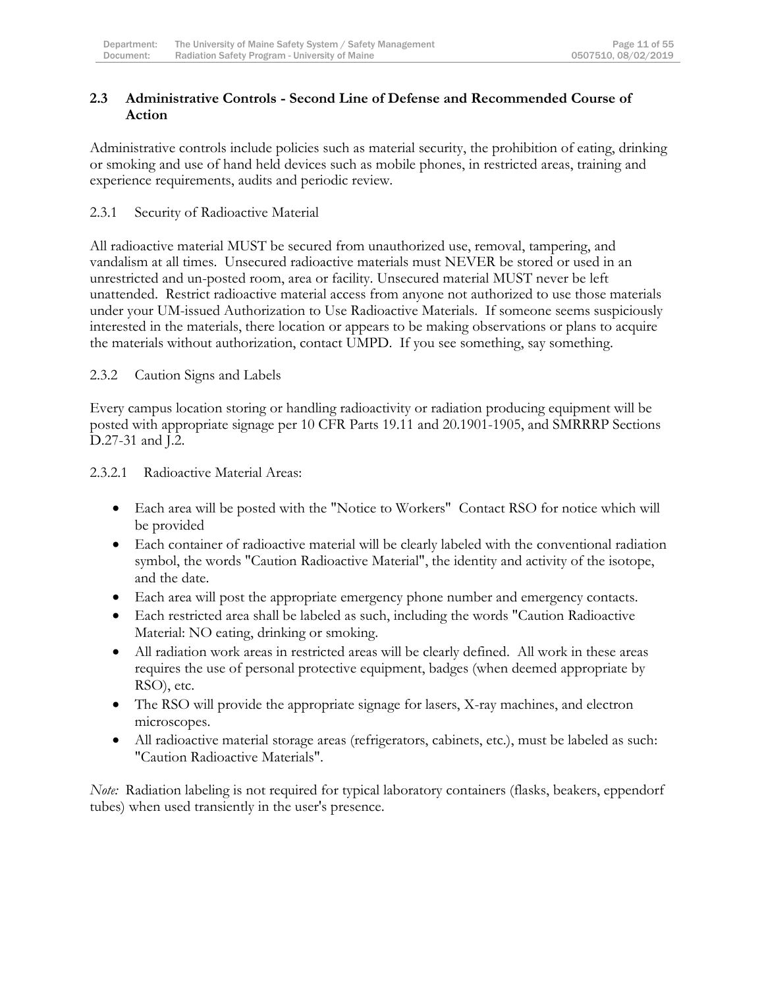### **2.3 Administrative Controls - Second Line of Defense and Recommended Course of Action**

Administrative controls include policies such as material security, the prohibition of eating, drinking or smoking and use of hand held devices such as mobile phones, in restricted areas, training and experience requirements, audits and periodic review.

### 2.3.1 Security of Radioactive Material

All radioactive material MUST be secured from unauthorized use, removal, tampering, and vandalism at all times. Unsecured radioactive materials must NEVER be stored or used in an unrestricted and un-posted room, area or facility. Unsecured material MUST never be left unattended. Restrict radioactive material access from anyone not authorized to use those materials under your UM-issued Authorization to Use Radioactive Materials. If someone seems suspiciously interested in the materials, there location or appears to be making observations or plans to acquire the materials without authorization, contact UMPD. If you see something, say something.

### 2.3.2 Caution Signs and Labels

Every campus location storing or handling radioactivity or radiation producing equipment will be posted with appropriate signage per 10 CFR Parts 19.11 and 20.1901-1905, and SMRRRP Sections D.27-31 and J.2.

#### 2.3.2.1 Radioactive Material Areas:

- Each area will be posted with the "Notice to Workers" Contact RSO for notice which will be provided
- Each container of radioactive material will be clearly labeled with the conventional radiation symbol, the words "Caution Radioactive Material", the identity and activity of the isotope, and the date.
- Each area will post the appropriate emergency phone number and emergency contacts.
- Each restricted area shall be labeled as such, including the words "Caution Radioactive Material: NO eating, drinking or smoking.
- All radiation work areas in restricted areas will be clearly defined. All work in these areas requires the use of personal protective equipment, badges (when deemed appropriate by RSO), etc.
- The RSO will provide the appropriate signage for lasers, X-ray machines, and electron microscopes.
- All radioactive material storage areas (refrigerators, cabinets, etc.), must be labeled as such: "Caution Radioactive Materials".

*Note:* Radiation labeling is not required for typical laboratory containers (flasks, beakers, eppendorf tubes) when used transiently in the user's presence.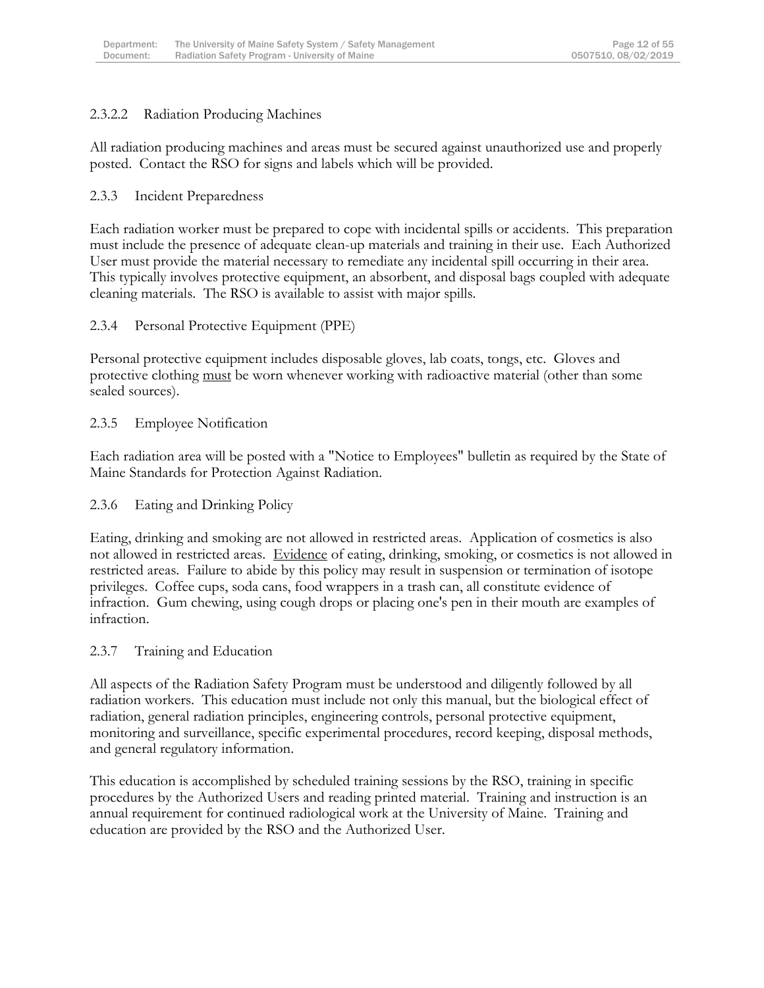### 2.3.2.2 Radiation Producing Machines

All radiation producing machines and areas must be secured against unauthorized use and properly posted. Contact the RSO for signs and labels which will be provided.

#### 2.3.3 Incident Preparedness

Each radiation worker must be prepared to cope with incidental spills or accidents. This preparation must include the presence of adequate clean-up materials and training in their use. Each Authorized User must provide the material necessary to remediate any incidental spill occurring in their area. This typically involves protective equipment, an absorbent, and disposal bags coupled with adequate cleaning materials. The RSO is available to assist with major spills.

#### 2.3.4 Personal Protective Equipment (PPE)

Personal protective equipment includes disposable gloves, lab coats, tongs, etc. Gloves and protective clothing must be worn whenever working with radioactive material (other than some sealed sources).

### 2.3.5 Employee Notification

Each radiation area will be posted with a "Notice to Employees" bulletin as required by the State of Maine Standards for Protection Against Radiation.

#### 2.3.6 Eating and Drinking Policy

Eating, drinking and smoking are not allowed in restricted areas. Application of cosmetics is also not allowed in restricted areas. Evidence of eating, drinking, smoking, or cosmetics is not allowed in restricted areas. Failure to abide by this policy may result in suspension or termination of isotope privileges. Coffee cups, soda cans, food wrappers in a trash can, all constitute evidence of infraction. Gum chewing, using cough drops or placing one's pen in their mouth are examples of infraction.

#### 2.3.7 Training and Education

All aspects of the Radiation Safety Program must be understood and diligently followed by all radiation workers. This education must include not only this manual, but the biological effect of radiation, general radiation principles, engineering controls, personal protective equipment, monitoring and surveillance, specific experimental procedures, record keeping, disposal methods, and general regulatory information.

This education is accomplished by scheduled training sessions by the RSO, training in specific procedures by the Authorized Users and reading printed material. Training and instruction is an annual requirement for continued radiological work at the University of Maine. Training and education are provided by the RSO and the Authorized User.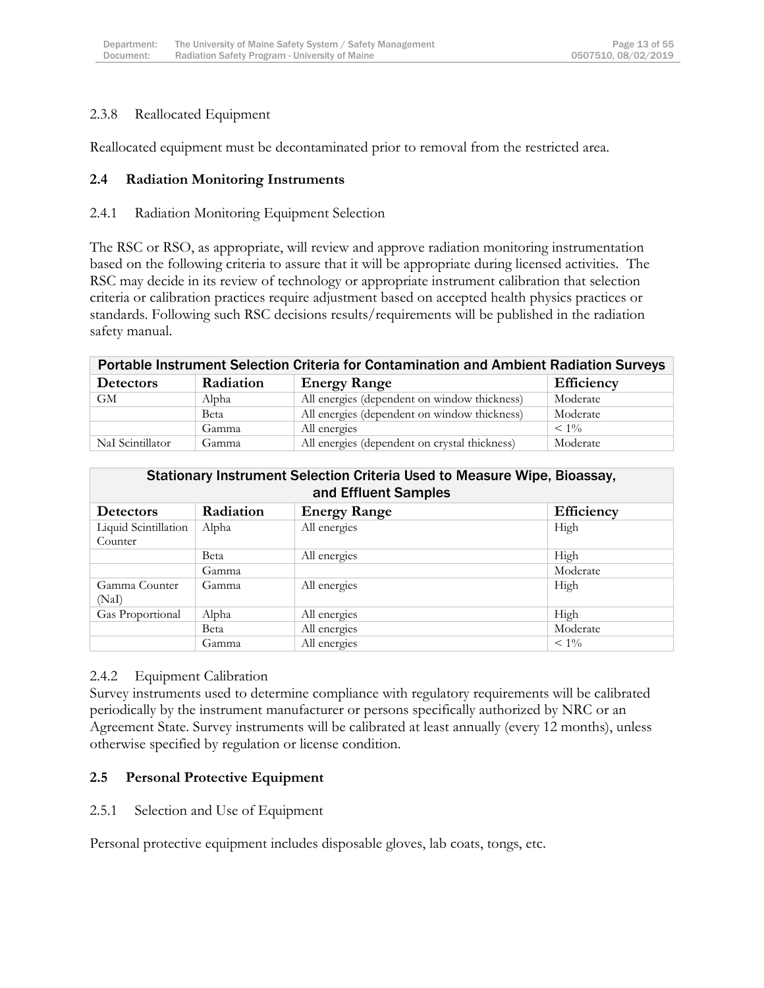### 2.3.8 Reallocated Equipment

Reallocated equipment must be decontaminated prior to removal from the restricted area.

#### **2.4 Radiation Monitoring Instruments**

#### 2.4.1 Radiation Monitoring Equipment Selection

The RSC or RSO, as appropriate, will review and approve radiation monitoring instrumentation based on the following criteria to assure that it will be appropriate during licensed activities. The RSC may decide in its review of technology or appropriate instrument calibration that selection criteria or calibration practices require adjustment based on accepted health physics practices or standards. Following such RSC decisions results/requirements will be published in the radiation safety manual.

| Portable Instrument Selection Criteria for Contamination and Ambient Radiation Surveys |           |                                               |                   |
|----------------------------------------------------------------------------------------|-----------|-----------------------------------------------|-------------------|
| <b>Detectors</b>                                                                       | Radiation | <b>Energy Range</b>                           | <b>Efficiency</b> |
| GМ                                                                                     | Alpha     | All energies (dependent on window thickness)  | Moderate          |
|                                                                                        | Beta      | All energies (dependent on window thickness)  | Moderate          |
|                                                                                        | Gamma     | All energies                                  | $< 1\%$           |
| NaI Scintillator                                                                       | Gamma     | All energies (dependent on crystal thickness) | Moderate          |

#### Stationary Instrument Selection Criteria Used to Measure Wipe, Bioassay, and Effluent Samples

| <b>Detectors</b>     | Radiation | <b>Energy Range</b> | Efficiency |
|----------------------|-----------|---------------------|------------|
| Liquid Scintillation | Alpha     | All energies        | High       |
| Counter              |           |                     |            |
|                      | Beta      | All energies        | High       |
|                      | Gamma     |                     | Moderate   |
| Gamma Counter        | Gamma     | All energies        | High       |
| (NaI)                |           |                     |            |
| Gas Proportional     | Alpha     | All energies        | High       |
|                      | Beta      | All energies        | Moderate   |
|                      | Gamma     | All energies        | $< 1\%$    |

#### 2.4.2 Equipment Calibration

Survey instruments used to determine compliance with regulatory requirements will be calibrated periodically by the instrument manufacturer or persons specifically authorized by NRC or an Agreement State. Survey instruments will be calibrated at least annually (every 12 months), unless otherwise specified by regulation or license condition.

#### **2.5 Personal Protective Equipment**

#### 2.5.1 Selection and Use of Equipment

Personal protective equipment includes disposable gloves, lab coats, tongs, etc.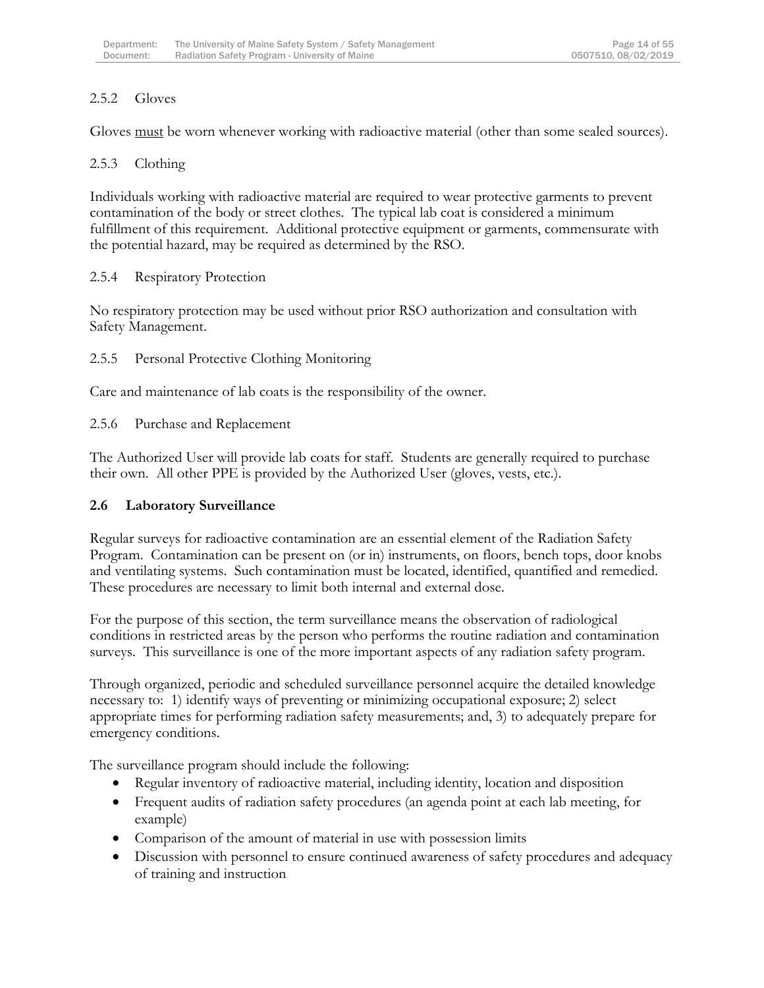### 2.5.2 Gloves

Gloves <u>must</u> be worn whenever working with radioactive material (other than some sealed sources).

### 2.5.3 Clothing

Individuals working with radioactive material are required to wear protective garments to prevent contamination of the body or street clothes. The typical lab coat is considered a minimum fulfillment of this requirement. Additional protective equipment or garments, commensurate with the potential hazard, may be required as determined by the RSO.

#### 2.5.4 Respiratory Protection

No respiratory protection may be used without prior RSO authorization and consultation with Safety Management.

### 2.5.5 Personal Protective Clothing Monitoring

Care and maintenance of lab coats is the responsibility of the owner.

### 2.5.6 Purchase and Replacement

The Authorized User will provide lab coats for staff. Students are generally required to purchase their own. All other PPE is provided by the Authorized User (gloves, vests, etc.).

# **2.6 Laboratory Surveillance**

Regular surveys for radioactive contamination are an essential element of the Radiation Safety Program. Contamination can be present on (or in) instruments, on floors, bench tops, door knobs and ventilating systems. Such contamination must be located, identified, quantified and remedied. These procedures are necessary to limit both internal and external dose.

For the purpose of this section, the term surveillance means the observation of radiological conditions in restricted areas by the person who performs the routine radiation and contamination surveys. This surveillance is one of the more important aspects of any radiation safety program.

Through organized, periodic and scheduled surveillance personnel acquire the detailed knowledge necessary to: 1) identify ways of preventing or minimizing occupational exposure; 2) select appropriate times for performing radiation safety measurements; and, 3) to adequately prepare for emergency conditions.

The surveillance program should include the following:

- Regular inventory of radioactive material, including identity, location and disposition
- Frequent audits of radiation safety procedures (an agenda point at each lab meeting, for example)
- Comparison of the amount of material in use with possession limits
- Discussion with personnel to ensure continued awareness of safety procedures and adequacy of training and instruction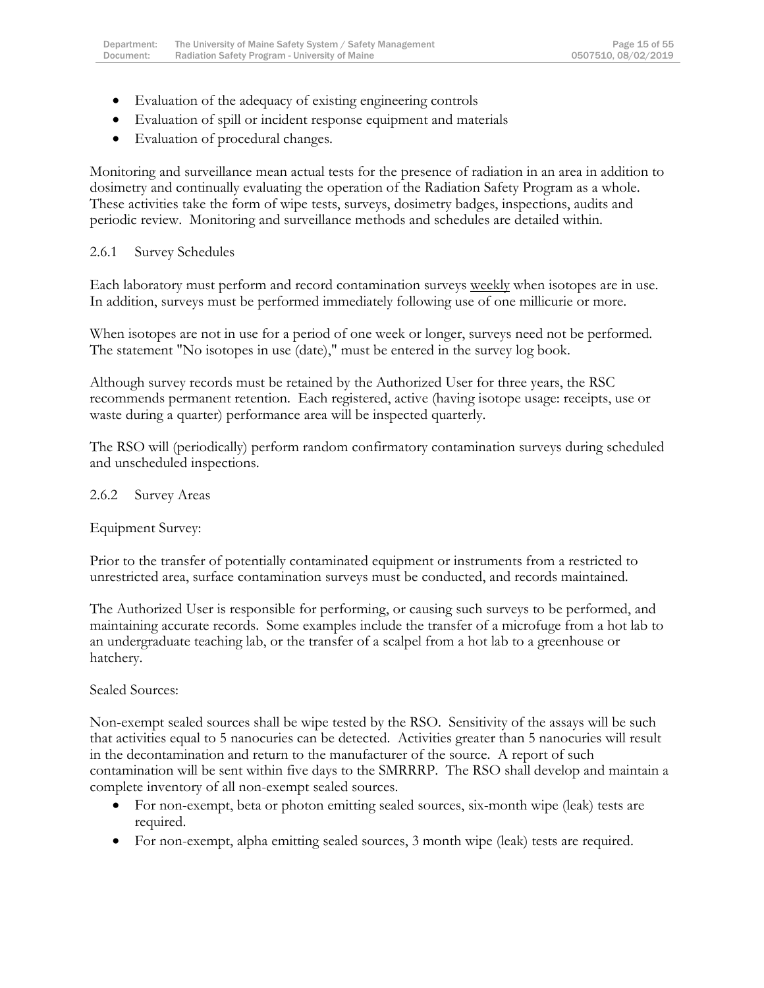- Evaluation of the adequacy of existing engineering controls
- Evaluation of spill or incident response equipment and materials
- Evaluation of procedural changes.

Monitoring and surveillance mean actual tests for the presence of radiation in an area in addition to dosimetry and continually evaluating the operation of the Radiation Safety Program as a whole. These activities take the form of wipe tests, surveys, dosimetry badges, inspections, audits and periodic review. Monitoring and surveillance methods and schedules are detailed within.

### 2.6.1 Survey Schedules

Each laboratory must perform and record contamination surveys weekly when isotopes are in use. In addition, surveys must be performed immediately following use of one millicurie or more.

When isotopes are not in use for a period of one week or longer, surveys need not be performed. The statement "No isotopes in use (date)," must be entered in the survey log book.

Although survey records must be retained by the Authorized User for three years, the RSC recommends permanent retention. Each registered, active (having isotope usage: receipts, use or waste during a quarter) performance area will be inspected quarterly.

The RSO will (periodically) perform random confirmatory contamination surveys during scheduled and unscheduled inspections.

#### 2.6.2 Survey Areas

Equipment Survey:

Prior to the transfer of potentially contaminated equipment or instruments from a restricted to unrestricted area, surface contamination surveys must be conducted, and records maintained.

The Authorized User is responsible for performing, or causing such surveys to be performed, and maintaining accurate records. Some examples include the transfer of a microfuge from a hot lab to an undergraduate teaching lab, or the transfer of a scalpel from a hot lab to a greenhouse or hatchery.

Sealed Sources:

Non-exempt sealed sources shall be wipe tested by the RSO. Sensitivity of the assays will be such that activities equal to 5 nanocuries can be detected. Activities greater than 5 nanocuries will result in the decontamination and return to the manufacturer of the source. A report of such contamination will be sent within five days to the SMRRRP. The RSO shall develop and maintain a complete inventory of all non-exempt sealed sources.

- For non-exempt, beta or photon emitting sealed sources, six-month wipe (leak) tests are required.
- For non-exempt, alpha emitting sealed sources, 3 month wipe (leak) tests are required.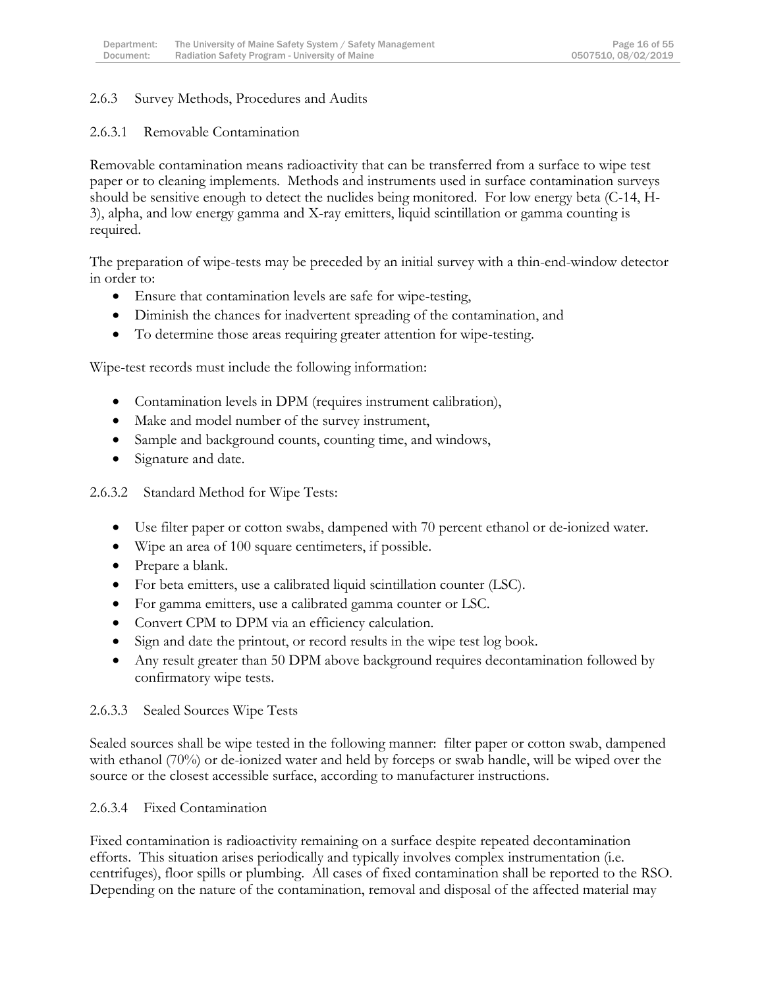### 2.6.3 Survey Methods, Procedures and Audits

#### 2.6.3.1 Removable Contamination

Removable contamination means radioactivity that can be transferred from a surface to wipe test paper or to cleaning implements. Methods and instruments used in surface contamination surveys should be sensitive enough to detect the nuclides being monitored. For low energy beta (C-14, H-3), alpha, and low energy gamma and X-ray emitters, liquid scintillation or gamma counting is required.

The preparation of wipe-tests may be preceded by an initial survey with a thin-end-window detector in order to:

- Ensure that contamination levels are safe for wipe-testing,
- Diminish the chances for inadvertent spreading of the contamination, and
- To determine those areas requiring greater attention for wipe-testing.

Wipe-test records must include the following information:

- Contamination levels in DPM (requires instrument calibration),
- Make and model number of the survey instrument,
- Sample and background counts, counting time, and windows,
- Signature and date.

2.6.3.2 Standard Method for Wipe Tests:

- Use filter paper or cotton swabs, dampened with 70 percent ethanol or de-ionized water.
- Wipe an area of 100 square centimeters, if possible.
- Prepare a blank.
- For beta emitters, use a calibrated liquid scintillation counter (LSC).
- For gamma emitters, use a calibrated gamma counter or LSC.
- Convert CPM to DPM via an efficiency calculation.
- Sign and date the printout, or record results in the wipe test log book.
- Any result greater than 50 DPM above background requires decontamination followed by confirmatory wipe tests.

#### 2.6.3.3 Sealed Sources Wipe Tests

Sealed sources shall be wipe tested in the following manner: filter paper or cotton swab, dampened with ethanol (70%) or de-ionized water and held by forceps or swab handle, will be wiped over the source or the closest accessible surface, according to manufacturer instructions.

#### 2.6.3.4 Fixed Contamination

Fixed contamination is radioactivity remaining on a surface despite repeated decontamination efforts. This situation arises periodically and typically involves complex instrumentation (i.e. centrifuges), floor spills or plumbing. All cases of fixed contamination shall be reported to the RSO. Depending on the nature of the contamination, removal and disposal of the affected material may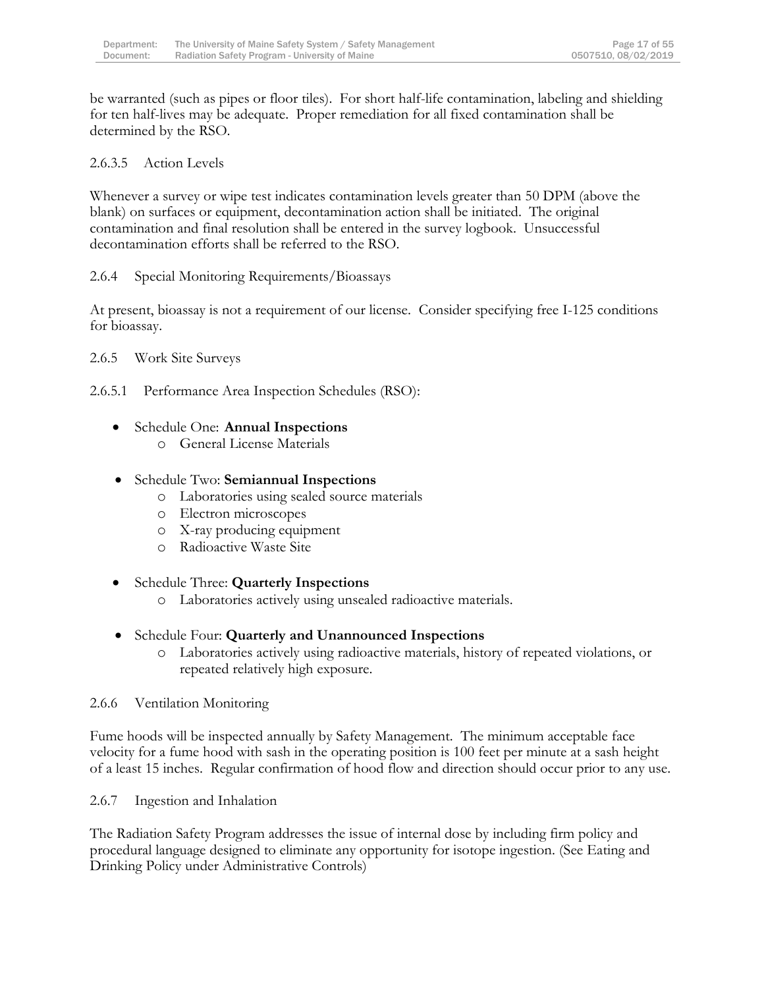be warranted (such as pipes or floor tiles). For short half-life contamination, labeling and shielding for ten half-lives may be adequate. Proper remediation for all fixed contamination shall be determined by the RSO.

### 2.6.3.5 Action Levels

Whenever a survey or wipe test indicates contamination levels greater than 50 DPM (above the blank) on surfaces or equipment, decontamination action shall be initiated. The original contamination and final resolution shall be entered in the survey logbook. Unsuccessful decontamination efforts shall be referred to the RSO.

#### 2.6.4 Special Monitoring Requirements/Bioassays

At present, bioassay is not a requirement of our license. Consider specifying free I-125 conditions for bioassay.

### 2.6.5 Work Site Surveys

2.6.5.1 Performance Area Inspection Schedules (RSO):

- Schedule One: **Annual Inspections**
	- o General License Materials

### Schedule Two: **Semiannual Inspections**

- o Laboratories using sealed source materials
- o Electron microscopes
- o X-ray producing equipment
- o Radioactive Waste Site
- Schedule Three: **Quarterly Inspections**
	- o Laboratories actively using unsealed radioactive materials.

# Schedule Four: **Quarterly and Unannounced Inspections**

o Laboratories actively using radioactive materials, history of repeated violations, or repeated relatively high exposure.

#### 2.6.6 Ventilation Monitoring

Fume hoods will be inspected annually by Safety Management. The minimum acceptable face velocity for a fume hood with sash in the operating position is 100 feet per minute at a sash height of a least 15 inches. Regular confirmation of hood flow and direction should occur prior to any use.

#### 2.6.7 Ingestion and Inhalation

The Radiation Safety Program addresses the issue of internal dose by including firm policy and procedural language designed to eliminate any opportunity for isotope ingestion. (See Eating and Drinking Policy under Administrative Controls)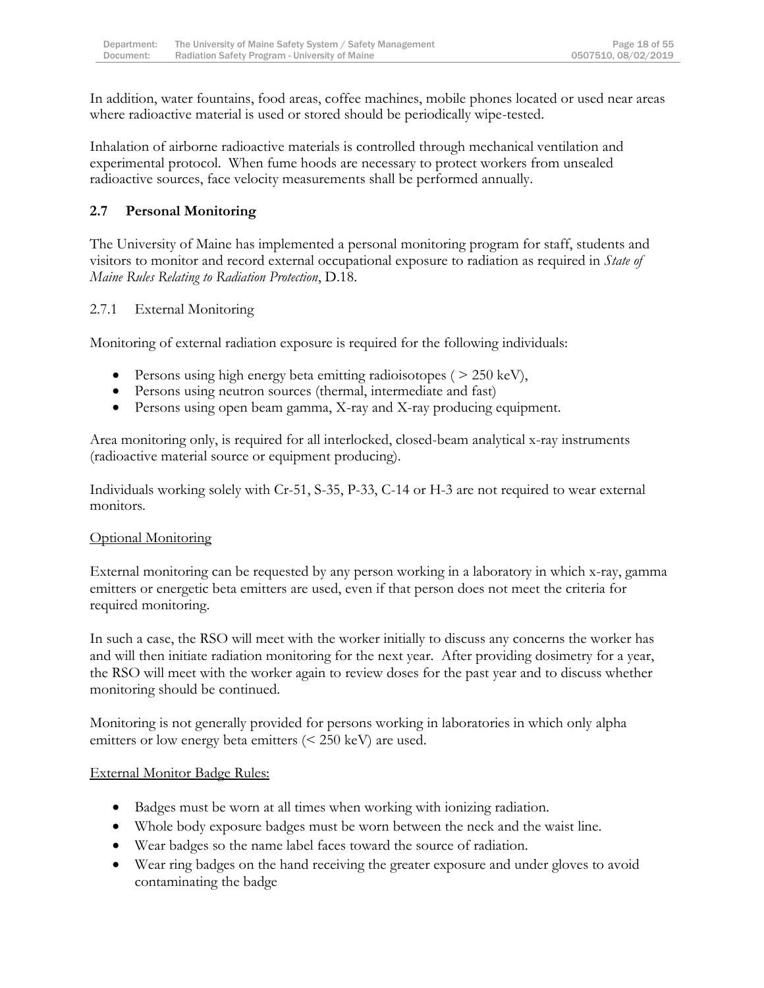In addition, water fountains, food areas, coffee machines, mobile phones located or used near areas where radioactive material is used or stored should be periodically wipe-tested.

Inhalation of airborne radioactive materials is controlled through mechanical ventilation and experimental protocol. When fume hoods are necessary to protect workers from unsealed radioactive sources, face velocity measurements shall be performed annually.

# **2.7 Personal Monitoring**

The University of Maine has implemented a personal monitoring program for staff, students and visitors to monitor and record external occupational exposure to radiation as required in *State of Maine Rules Relating to Radiation Protection*, D.18.

### 2.7.1 External Monitoring

Monitoring of external radiation exposure is required for the following individuals:

- Persons using high energy beta emitting radioisotopes ( $> 250 \text{ keV}$ ),
- Persons using neutron sources (thermal, intermediate and fast)
- Persons using open beam gamma, X-ray and X-ray producing equipment.

Area monitoring only, is required for all interlocked, closed-beam analytical x-ray instruments (radioactive material source or equipment producing).

Individuals working solely with Cr-51, S-35, P-33, C-14 or H-3 are not required to wear external monitors.

### Optional Monitoring

External monitoring can be requested by any person working in a laboratory in which x-ray, gamma emitters or energetic beta emitters are used, even if that person does not meet the criteria for required monitoring.

In such a case, the RSO will meet with the worker initially to discuss any concerns the worker has and will then initiate radiation monitoring for the next year. After providing dosimetry for a year, the RSO will meet with the worker again to review doses for the past year and to discuss whether monitoring should be continued.

Monitoring is not generally provided for persons working in laboratories in which only alpha emitters or low energy beta emitters (< 250 keV) are used.

#### External Monitor Badge Rules:

- Badges must be worn at all times when working with ionizing radiation.
- Whole body exposure badges must be worn between the neck and the waist line.
- Wear badges so the name label faces toward the source of radiation.
- Wear ring badges on the hand receiving the greater exposure and under gloves to avoid contaminating the badge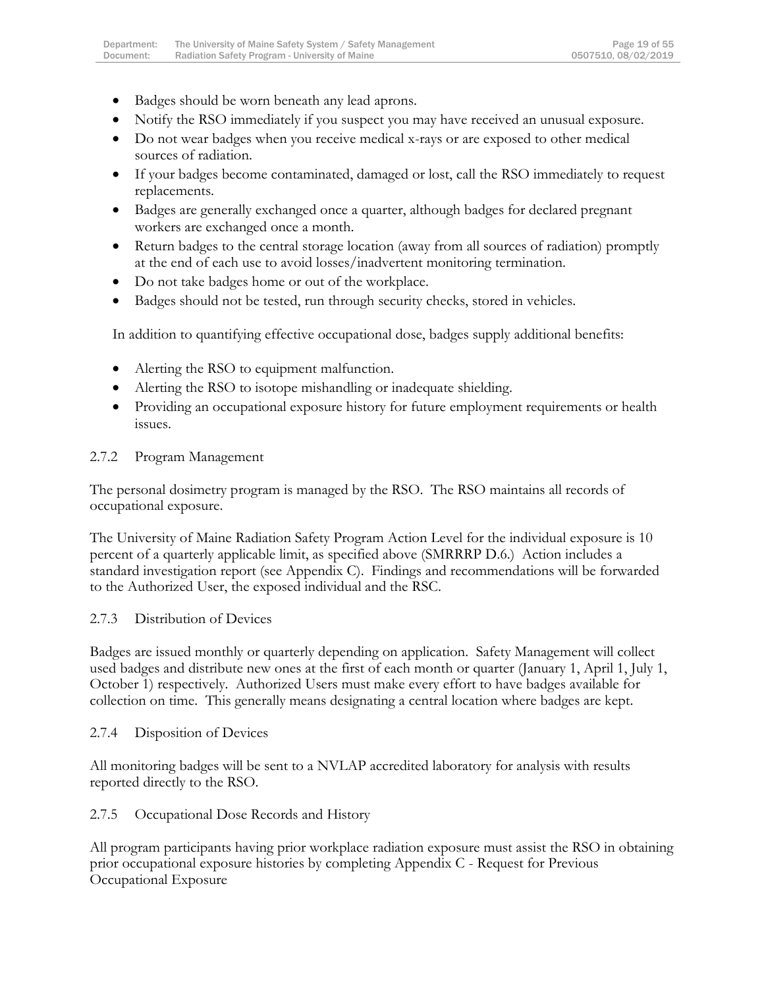- Badges should be worn beneath any lead aprons.
- Notify the RSO immediately if you suspect you may have received an unusual exposure.
- Do not wear badges when you receive medical x-rays or are exposed to other medical sources of radiation.
- If your badges become contaminated, damaged or lost, call the RSO immediately to request replacements.
- Badges are generally exchanged once a quarter, although badges for declared pregnant workers are exchanged once a month.
- Return badges to the central storage location (away from all sources of radiation) promptly at the end of each use to avoid losses/inadvertent monitoring termination.
- Do not take badges home or out of the workplace.
- Badges should not be tested, run through security checks, stored in vehicles.

In addition to quantifying effective occupational dose, badges supply additional benefits:

- Alerting the RSO to equipment malfunction.
- Alerting the RSO to isotope mishandling or inadequate shielding.
- Providing an occupational exposure history for future employment requirements or health issues.

# 2.7.2 Program Management

The personal dosimetry program is managed by the RSO. The RSO maintains all records of occupational exposure.

The University of Maine Radiation Safety Program Action Level for the individual exposure is 10 percent of a quarterly applicable limit, as specified above (SMRRRP D.6.) Action includes a standard investigation report (see Appendix C). Findings and recommendations will be forwarded to the Authorized User, the exposed individual and the RSC.

# 2.7.3 Distribution of Devices

Badges are issued monthly or quarterly depending on application. Safety Management will collect used badges and distribute new ones at the first of each month or quarter (January 1, April 1, July 1, October 1) respectively. Authorized Users must make every effort to have badges available for collection on time. This generally means designating a central location where badges are kept.

# 2.7.4 Disposition of Devices

All monitoring badges will be sent to a NVLAP accredited laboratory for analysis with results reported directly to the RSO.

2.7.5 Occupational Dose Records and History

All program participants having prior workplace radiation exposure must assist the RSO in obtaining prior occupational exposure histories by completing Appendix C - Request for Previous Occupational Exposure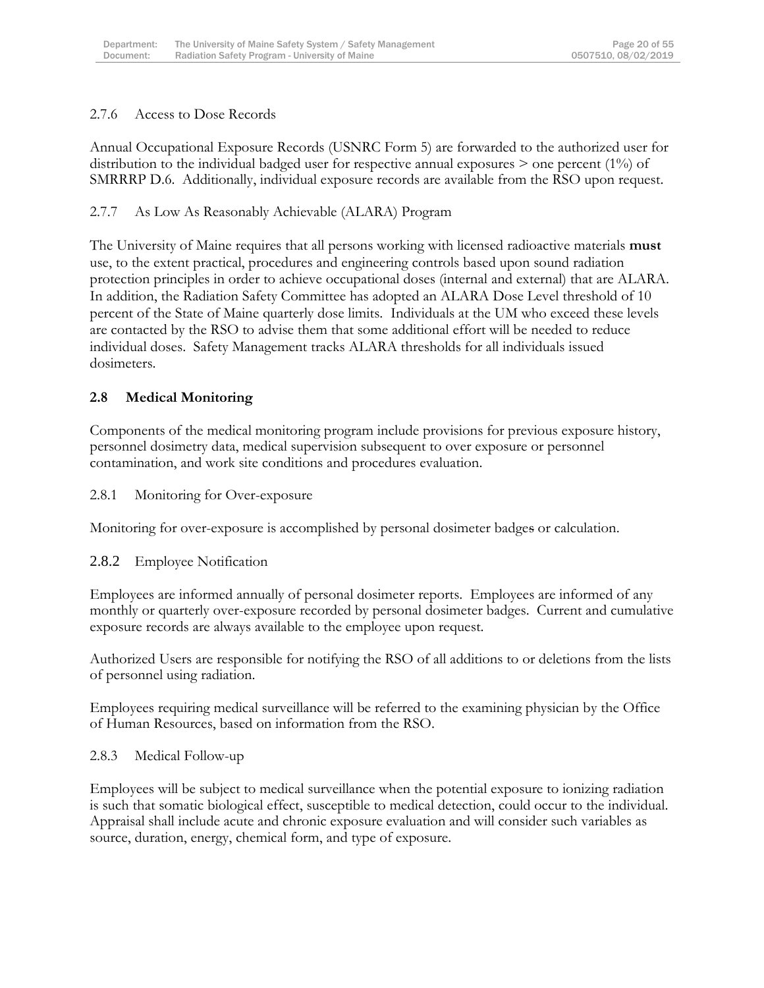### 2.7.6 Access to Dose Records

Annual Occupational Exposure Records (USNRC Form 5) are forwarded to the authorized user for distribution to the individual badged user for respective annual exposures > one percent (1%) of SMRRRP D.6. Additionally, individual exposure records are available from the RSO upon request.

2.7.7 As Low As Reasonably Achievable (ALARA) Program

The University of Maine requires that all persons working with licensed radioactive materials **must** use, to the extent practical, procedures and engineering controls based upon sound radiation protection principles in order to achieve occupational doses (internal and external) that are ALARA. In addition, the Radiation Safety Committee has adopted an ALARA Dose Level threshold of 10 percent of the State of Maine quarterly dose limits. Individuals at the UM who exceed these levels are contacted by the RSO to advise them that some additional effort will be needed to reduce individual doses. Safety Management tracks ALARA thresholds for all individuals issued dosimeters.

# **2.8 Medical Monitoring**

Components of the medical monitoring program include provisions for previous exposure history, personnel dosimetry data, medical supervision subsequent to over exposure or personnel contamination, and work site conditions and procedures evaluation.

2.8.1 Monitoring for Over-exposure

Monitoring for over-exposure is accomplished by personal dosimeter badges or calculation.

#### 2.8.2 Employee Notification

Employees are informed annually of personal dosimeter reports. Employees are informed of any monthly or quarterly over-exposure recorded by personal dosimeter badges. Current and cumulative exposure records are always available to the employee upon request.

Authorized Users are responsible for notifying the RSO of all additions to or deletions from the lists of personnel using radiation.

Employees requiring medical surveillance will be referred to the examining physician by the Office of Human Resources, based on information from the RSO.

#### 2.8.3 Medical Follow-up

Employees will be subject to medical surveillance when the potential exposure to ionizing radiation is such that somatic biological effect, susceptible to medical detection, could occur to the individual. Appraisal shall include acute and chronic exposure evaluation and will consider such variables as source, duration, energy, chemical form, and type of exposure.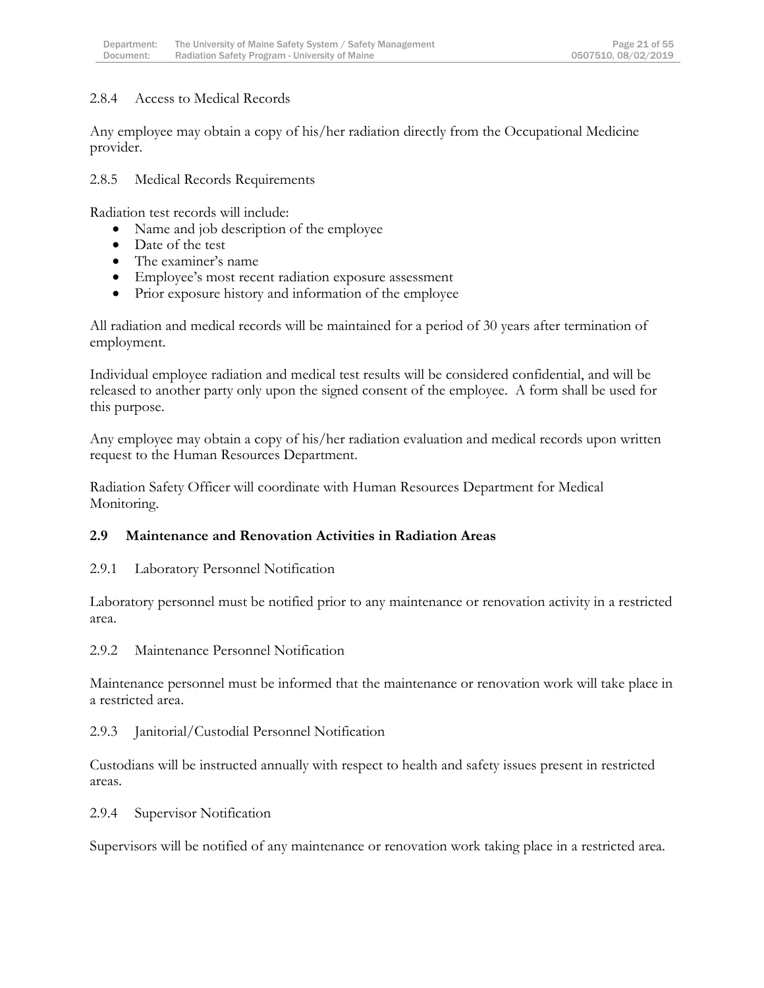#### 2.8.4 Access to Medical Records

Any employee may obtain a copy of his/her radiation directly from the Occupational Medicine provider.

2.8.5 Medical Records Requirements

Radiation test records will include:

- Name and job description of the employee
- Date of the test
- The examiner's name
- Employee's most recent radiation exposure assessment
- Prior exposure history and information of the employee

All radiation and medical records will be maintained for a period of 30 years after termination of employment.

Individual employee radiation and medical test results will be considered confidential, and will be released to another party only upon the signed consent of the employee. A form shall be used for this purpose.

Any employee may obtain a copy of his/her radiation evaluation and medical records upon written request to the Human Resources Department.

Radiation Safety Officer will coordinate with Human Resources Department for Medical Monitoring.

#### **2.9 Maintenance and Renovation Activities in Radiation Areas**

2.9.1 Laboratory Personnel Notification

Laboratory personnel must be notified prior to any maintenance or renovation activity in a restricted area.

2.9.2 Maintenance Personnel Notification

Maintenance personnel must be informed that the maintenance or renovation work will take place in a restricted area.

2.9.3 Janitorial/Custodial Personnel Notification

Custodians will be instructed annually with respect to health and safety issues present in restricted areas.

2.9.4 Supervisor Notification

Supervisors will be notified of any maintenance or renovation work taking place in a restricted area.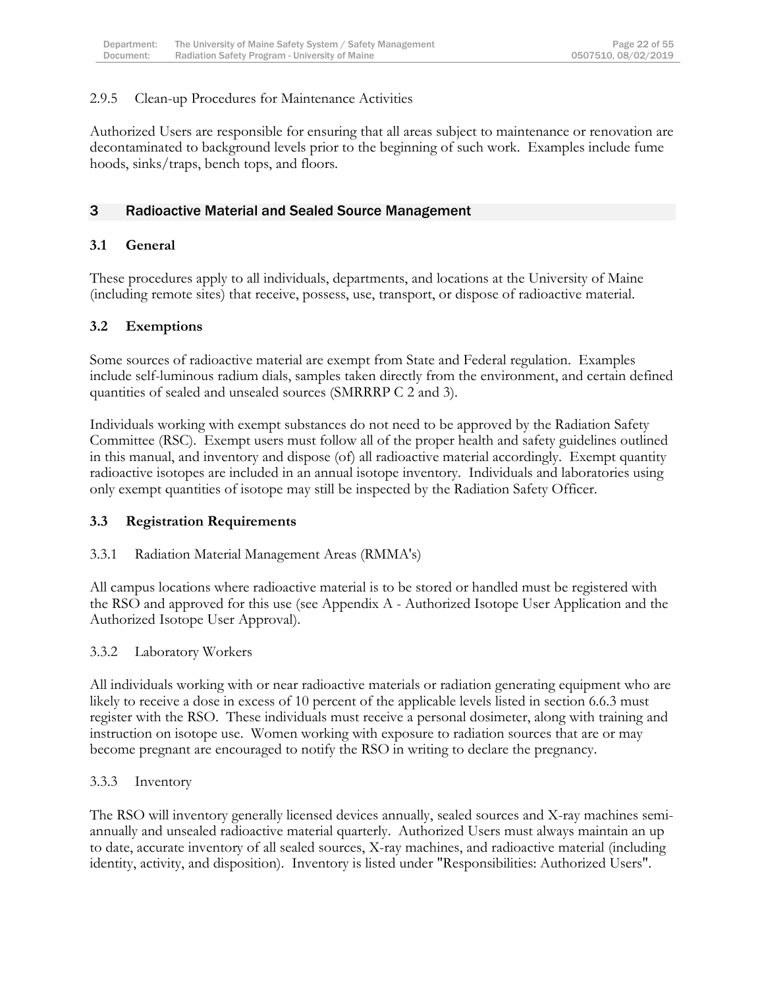#### 2.9.5 Clean-up Procedures for Maintenance Activities

Authorized Users are responsible for ensuring that all areas subject to maintenance or renovation are decontaminated to background levels prior to the beginning of such work. Examples include fume hoods, sinks/traps, bench tops, and floors.

#### <span id="page-22-0"></span>3 Radioactive Material and Sealed Source Management

#### **3.1 General**

These procedures apply to all individuals, departments, and locations at the University of Maine (including remote sites) that receive, possess, use, transport, or dispose of radioactive material.

#### **3.2 Exemptions**

Some sources of radioactive material are exempt from State and Federal regulation. Examples include self-luminous radium dials, samples taken directly from the environment, and certain defined quantities of sealed and unsealed sources (SMRRRP C 2 and 3).

Individuals working with exempt substances do not need to be approved by the Radiation Safety Committee (RSC). Exempt users must follow all of the proper health and safety guidelines outlined in this manual, and inventory and dispose (of) all radioactive material accordingly. Exempt quantity radioactive isotopes are included in an annual isotope inventory. Individuals and laboratories using only exempt quantities of isotope may still be inspected by the Radiation Safety Officer.

#### **3.3 Registration Requirements**

#### 3.3.1 Radiation Material Management Areas (RMMA's)

All campus locations where radioactive material is to be stored or handled must be registered with the RSO and approved for this use (see Appendix A - Authorized Isotope User Application and the Authorized Isotope User Approval).

#### 3.3.2 Laboratory Workers

All individuals working with or near radioactive materials or radiation generating equipment who are likely to receive a dose in excess of 10 percent of the applicable levels listed in section 6.6.3 must register with the RSO. These individuals must receive a personal dosimeter, along with training and instruction on isotope use. Women working with exposure to radiation sources that are or may become pregnant are encouraged to notify the RSO in writing to declare the pregnancy.

#### 3.3.3 Inventory

The RSO will inventory generally licensed devices annually, sealed sources and X-ray machines semiannually and unsealed radioactive material quarterly. Authorized Users must always maintain an up to date, accurate inventory of all sealed sources, X-ray machines, and radioactive material (including identity, activity, and disposition). Inventory is listed under "Responsibilities: Authorized Users".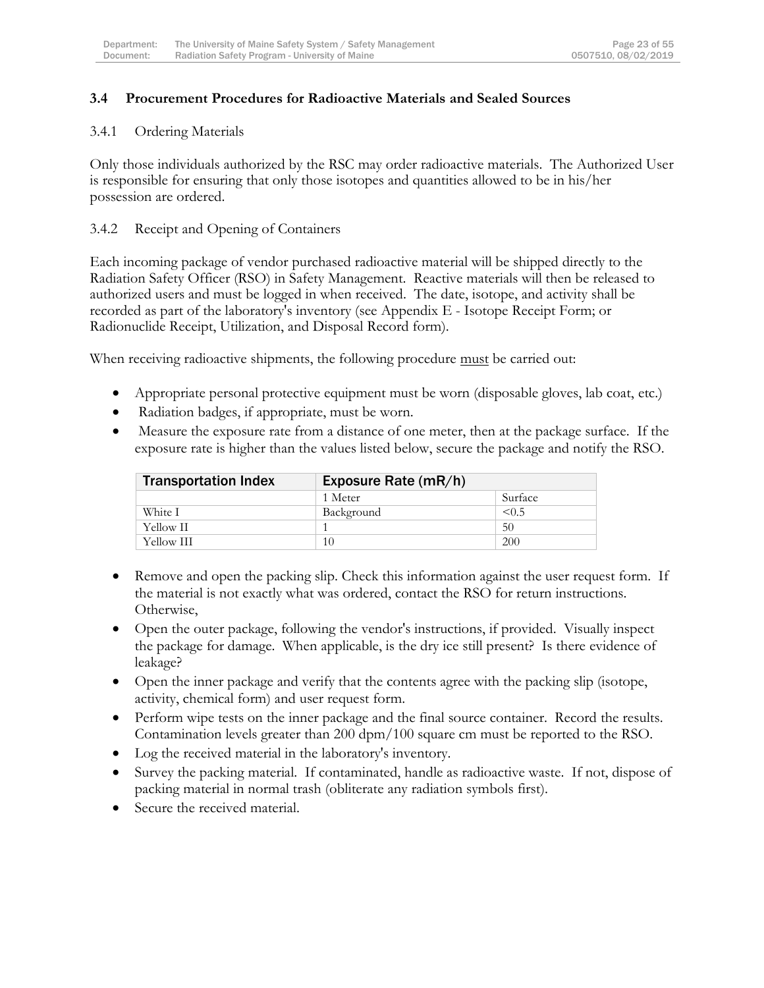#### **3.4 Procurement Procedures for Radioactive Materials and Sealed Sources**

#### 3.4.1 Ordering Materials

Only those individuals authorized by the RSC may order radioactive materials. The Authorized User is responsible for ensuring that only those isotopes and quantities allowed to be in his/her possession are ordered.

#### 3.4.2 Receipt and Opening of Containers

Each incoming package of vendor purchased radioactive material will be shipped directly to the Radiation Safety Officer (RSO) in Safety Management. Reactive materials will then be released to authorized users and must be logged in when received. The date, isotope, and activity shall be recorded as part of the laboratory's inventory (see Appendix E - Isotope Receipt Form; or Radionuclide Receipt, Utilization, and Disposal Record form).

When receiving radioactive shipments, the following procedure must be carried out:

- Appropriate personal protective equipment must be worn (disposable gloves, lab coat, etc.)
- Radiation badges, if appropriate, must be worn.
- Measure the exposure rate from a distance of one meter, then at the package surface. If the exposure rate is higher than the values listed below, secure the package and notify the RSO.

| <b>Transportation Index</b> | Exposure Rate (mR/h) |         |
|-----------------------------|----------------------|---------|
|                             | 1 Meter              | Surface |
| White I                     | Background           | < 0.5   |
| Yellow II                   |                      | 50      |
| Yellow III                  | 10                   | 200     |

- Remove and open the packing slip. Check this information against the user request form. If the material is not exactly what was ordered, contact the RSO for return instructions. Otherwise,
- Open the outer package, following the vendor's instructions, if provided. Visually inspect the package for damage. When applicable, is the dry ice still present? Is there evidence of leakage?
- Open the inner package and verify that the contents agree with the packing slip (isotope, activity, chemical form) and user request form.
- Perform wipe tests on the inner package and the final source container. Record the results. Contamination levels greater than 200 dpm/100 square cm must be reported to the RSO.
- Log the received material in the laboratory's inventory.
- Survey the packing material. If contaminated, handle as radioactive waste. If not, dispose of packing material in normal trash (obliterate any radiation symbols first).
- Secure the received material.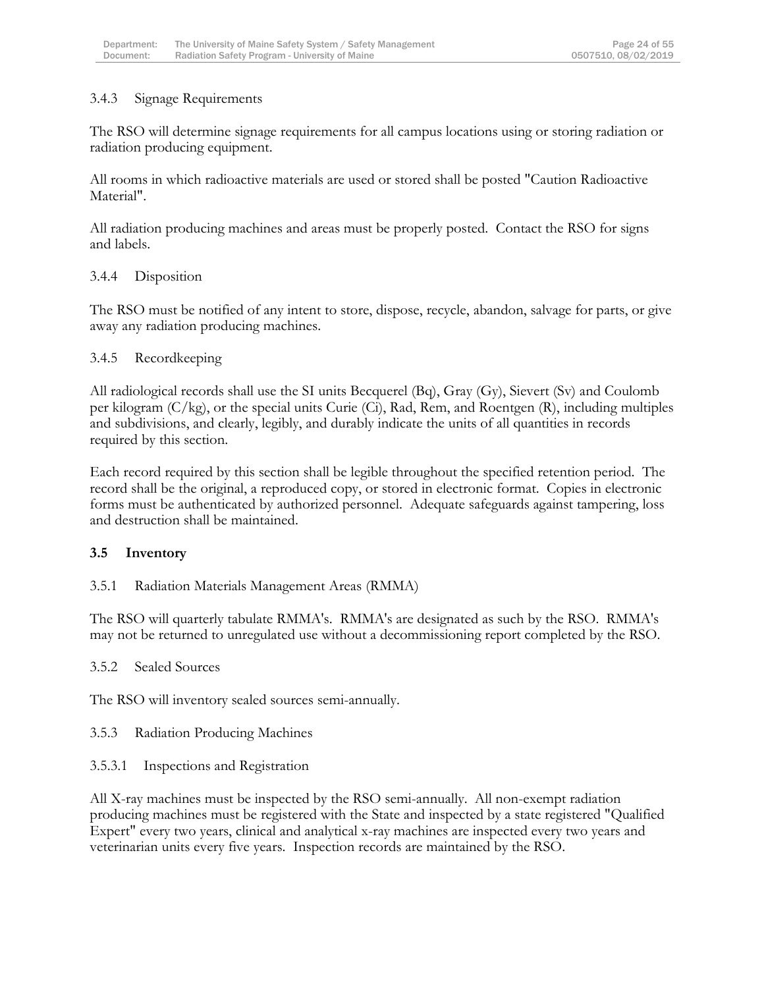### 3.4.3 Signage Requirements

The RSO will determine signage requirements for all campus locations using or storing radiation or radiation producing equipment.

All rooms in which radioactive materials are used or stored shall be posted "Caution Radioactive Material".

All radiation producing machines and areas must be properly posted. Contact the RSO for signs and labels.

### 3.4.4 Disposition

The RSO must be notified of any intent to store, dispose, recycle, abandon, salvage for parts, or give away any radiation producing machines.

### 3.4.5 Recordkeeping

All radiological records shall use the SI units Becquerel (Bq), Gray (Gy), Sievert (Sv) and Coulomb per kilogram (C/kg), or the special units Curie (Ci), Rad, Rem, and Roentgen (R), including multiples and subdivisions, and clearly, legibly, and durably indicate the units of all quantities in records required by this section.

Each record required by this section shall be legible throughout the specified retention period. The record shall be the original, a reproduced copy, or stored in electronic format. Copies in electronic forms must be authenticated by authorized personnel. Adequate safeguards against tampering, loss and destruction shall be maintained.

# **3.5 Inventory**

#### 3.5.1 Radiation Materials Management Areas (RMMA)

The RSO will quarterly tabulate RMMA's. RMMA's are designated as such by the RSO. RMMA's may not be returned to unregulated use without a decommissioning report completed by the RSO.

#### 3.5.2 Sealed Sources

The RSO will inventory sealed sources semi-annually.

#### 3.5.3 Radiation Producing Machines

# 3.5.3.1 Inspections and Registration

All X-ray machines must be inspected by the RSO semi-annually. All non-exempt radiation producing machines must be registered with the State and inspected by a state registered "Qualified Expert" every two years, clinical and analytical x-ray machines are inspected every two years and veterinarian units every five years. Inspection records are maintained by the RSO.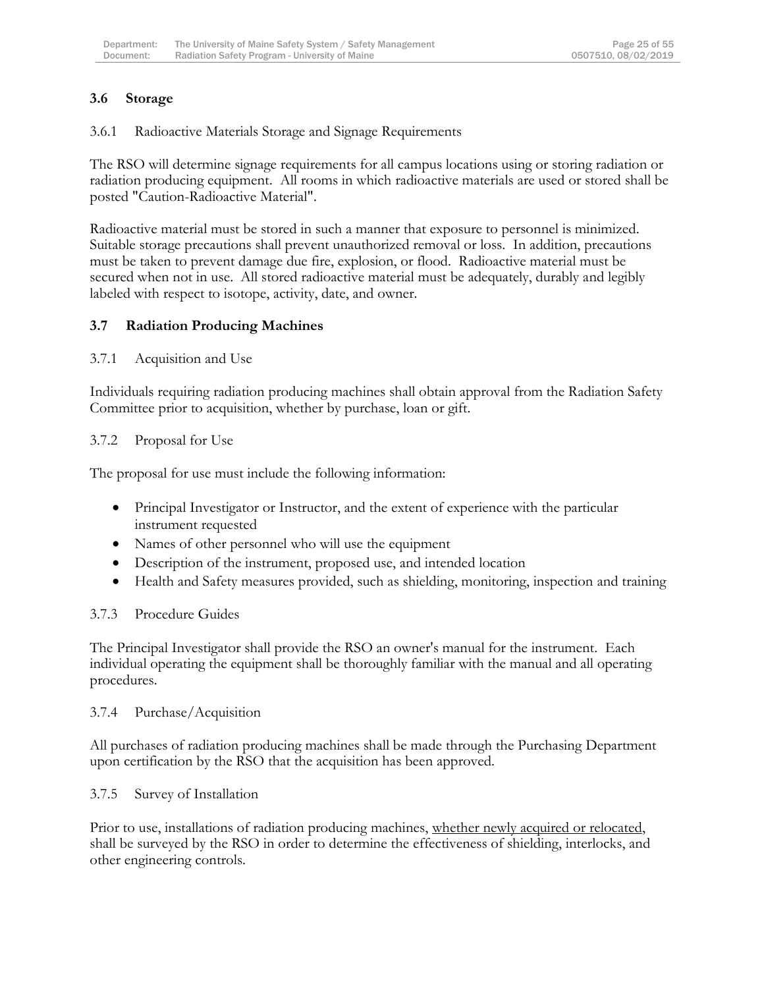### **3.6 Storage**

3.6.1 Radioactive Materials Storage and Signage Requirements

The RSO will determine signage requirements for all campus locations using or storing radiation or radiation producing equipment. All rooms in which radioactive materials are used or stored shall be posted "Caution-Radioactive Material".

Radioactive material must be stored in such a manner that exposure to personnel is minimized. Suitable storage precautions shall prevent unauthorized removal or loss. In addition, precautions must be taken to prevent damage due fire, explosion, or flood. Radioactive material must be secured when not in use. All stored radioactive material must be adequately, durably and legibly labeled with respect to isotope, activity, date, and owner.

### **3.7 Radiation Producing Machines**

#### 3.7.1 Acquisition and Use

Individuals requiring radiation producing machines shall obtain approval from the Radiation Safety Committee prior to acquisition, whether by purchase, loan or gift.

#### 3.7.2 Proposal for Use

The proposal for use must include the following information:

- Principal Investigator or Instructor, and the extent of experience with the particular instrument requested
- Names of other personnel who will use the equipment
- Description of the instrument, proposed use, and intended location
- Health and Safety measures provided, such as shielding, monitoring, inspection and training

#### 3.7.3 Procedure Guides

The Principal Investigator shall provide the RSO an owner's manual for the instrument. Each individual operating the equipment shall be thoroughly familiar with the manual and all operating procedures.

#### 3.7.4 Purchase/Acquisition

All purchases of radiation producing machines shall be made through the Purchasing Department upon certification by the RSO that the acquisition has been approved.

#### 3.7.5 Survey of Installation

Prior to use, installations of radiation producing machines, whether newly acquired or relocated, shall be surveyed by the RSO in order to determine the effectiveness of shielding, interlocks, and other engineering controls.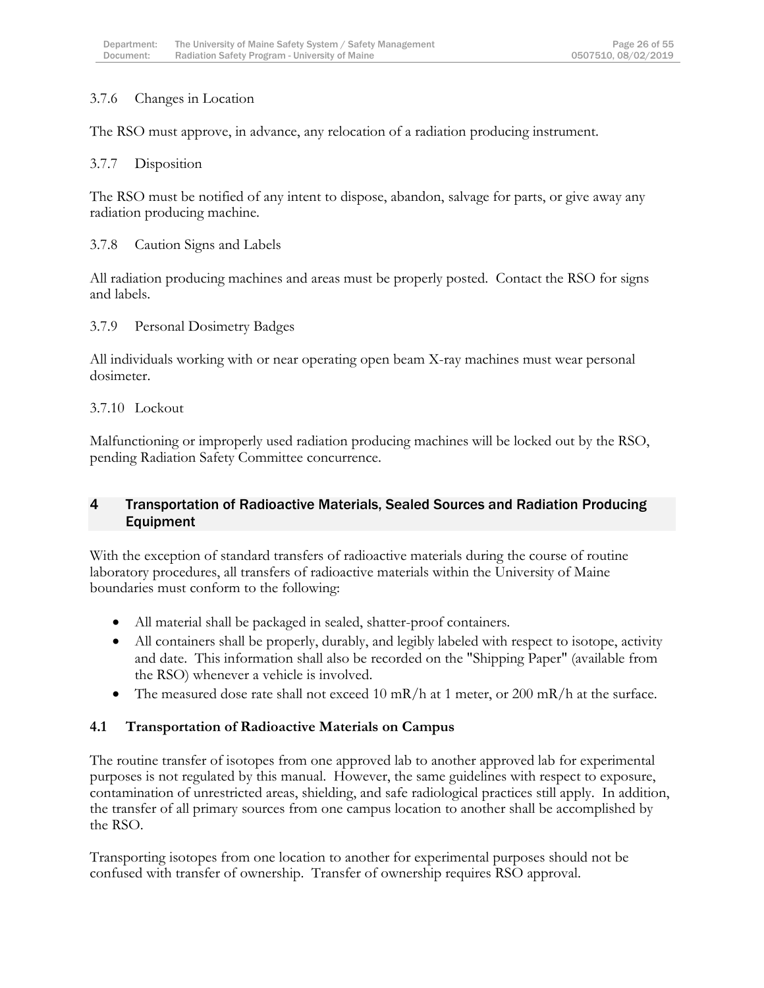### 3.7.6 Changes in Location

The RSO must approve, in advance, any relocation of a radiation producing instrument.

#### 3.7.7 Disposition

The RSO must be notified of any intent to dispose, abandon, salvage for parts, or give away any radiation producing machine.

#### 3.7.8 Caution Signs and Labels

All radiation producing machines and areas must be properly posted. Contact the RSO for signs and labels.

#### 3.7.9 Personal Dosimetry Badges

All individuals working with or near operating open beam X-ray machines must wear personal dosimeter.

#### 3.7.10 Lockout

Malfunctioning or improperly used radiation producing machines will be locked out by the RSO, pending Radiation Safety Committee concurrence.

### <span id="page-26-0"></span>4 Transportation of Radioactive Materials, Sealed Sources and Radiation Producing Equipment

With the exception of standard transfers of radioactive materials during the course of routine laboratory procedures, all transfers of radioactive materials within the University of Maine boundaries must conform to the following:

- All material shall be packaged in sealed, shatter-proof containers.
- All containers shall be properly, durably, and legibly labeled with respect to isotope, activity and date. This information shall also be recorded on the "Shipping Paper" (available from the RSO) whenever a vehicle is involved.
- The measured dose rate shall not exceed 10 mR/h at 1 meter, or 200 mR/h at the surface.

#### **4.1 Transportation of Radioactive Materials on Campus**

The routine transfer of isotopes from one approved lab to another approved lab for experimental purposes is not regulated by this manual. However, the same guidelines with respect to exposure, contamination of unrestricted areas, shielding, and safe radiological practices still apply. In addition, the transfer of all primary sources from one campus location to another shall be accomplished by the RSO.

Transporting isotopes from one location to another for experimental purposes should not be confused with transfer of ownership. Transfer of ownership requires RSO approval.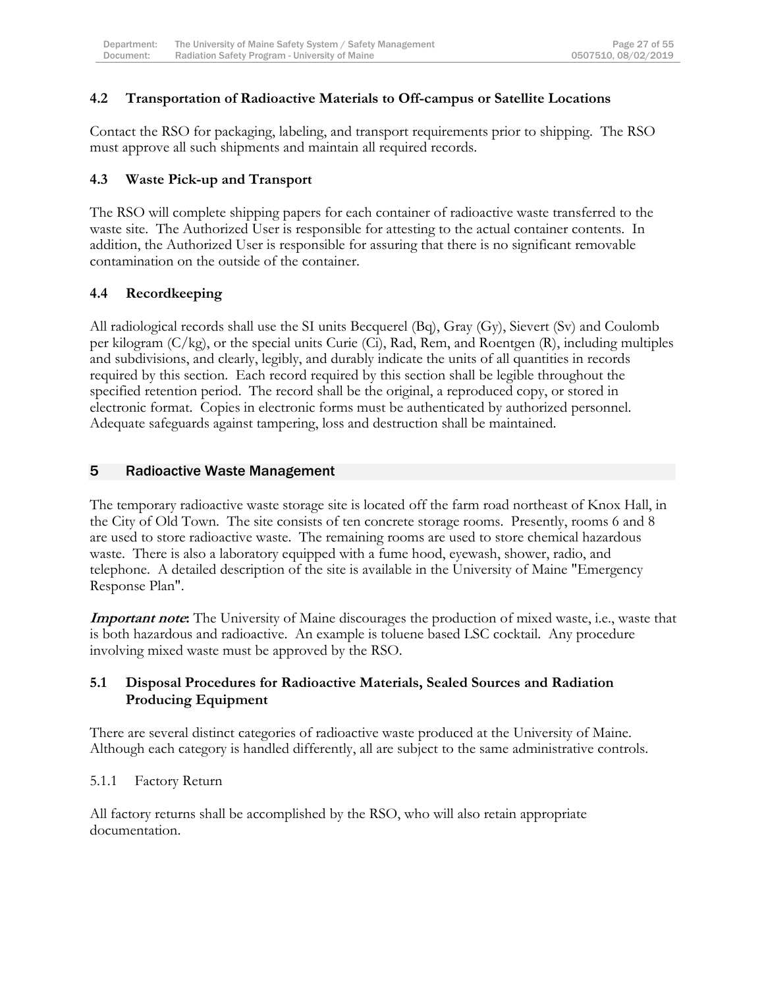#### **4.2 Transportation of Radioactive Materials to Off-campus or Satellite Locations**

Contact the RSO for packaging, labeling, and transport requirements prior to shipping. The RSO must approve all such shipments and maintain all required records.

#### **4.3 Waste Pick-up and Transport**

The RSO will complete shipping papers for each container of radioactive waste transferred to the waste site. The Authorized User is responsible for attesting to the actual container contents. In addition, the Authorized User is responsible for assuring that there is no significant removable contamination on the outside of the container.

### **4.4 Recordkeeping**

All radiological records shall use the SI units Becquerel (Bq), Gray (Gy), Sievert (Sv) and Coulomb per kilogram (C/kg), or the special units Curie (Ci), Rad, Rem, and Roentgen (R), including multiples and subdivisions, and clearly, legibly, and durably indicate the units of all quantities in records required by this section. Each record required by this section shall be legible throughout the specified retention period. The record shall be the original, a reproduced copy, or stored in electronic format. Copies in electronic forms must be authenticated by authorized personnel. Adequate safeguards against tampering, loss and destruction shall be maintained.

#### <span id="page-27-0"></span>5 Radioactive Waste Management

The temporary radioactive waste storage site is located off the farm road northeast of Knox Hall, in the City of Old Town. The site consists of ten concrete storage rooms. Presently, rooms 6 and 8 are used to store radioactive waste. The remaining rooms are used to store chemical hazardous waste. There is also a laboratory equipped with a fume hood, eyewash, shower, radio, and telephone. A detailed description of the site is available in the University of Maine "Emergency Response Plan".

**Important note:** The University of Maine discourages the production of mixed waste, i.e., waste that is both hazardous and radioactive. An example is toluene based LSC cocktail. Any procedure involving mixed waste must be approved by the RSO.

#### **5.1 Disposal Procedures for Radioactive Materials, Sealed Sources and Radiation Producing Equipment**

There are several distinct categories of radioactive waste produced at the University of Maine. Although each category is handled differently, all are subject to the same administrative controls.

#### 5.1.1 Factory Return

All factory returns shall be accomplished by the RSO, who will also retain appropriate documentation.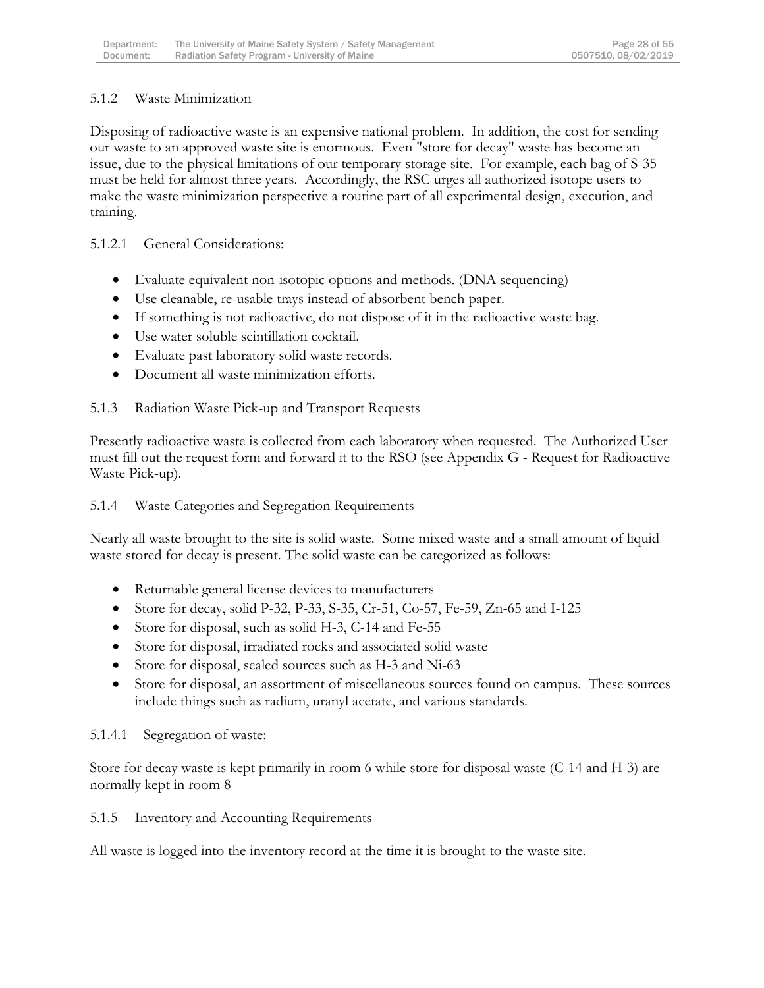### 5.1.2 Waste Minimization

Disposing of radioactive waste is an expensive national problem. In addition, the cost for sending our waste to an approved waste site is enormous. Even "store for decay" waste has become an issue, due to the physical limitations of our temporary storage site. For example, each bag of S-35 must be held for almost three years. Accordingly, the RSC urges all authorized isotope users to make the waste minimization perspective a routine part of all experimental design, execution, and training.

5.1.2.1 General Considerations:

- Evaluate equivalent non-isotopic options and methods. (DNA sequencing)
- Use cleanable, re-usable trays instead of absorbent bench paper.
- If something is not radioactive, do not dispose of it in the radioactive waste bag.
- Use water soluble scintillation cocktail.
- Evaluate past laboratory solid waste records.
- Document all waste minimization efforts.

5.1.3 Radiation Waste Pick-up and Transport Requests

Presently radioactive waste is collected from each laboratory when requested. The Authorized User must fill out the request form and forward it to the RSO (see Appendix G - Request for Radioactive Waste Pick-up).

5.1.4 Waste Categories and Segregation Requirements

Nearly all waste brought to the site is solid waste. Some mixed waste and a small amount of liquid waste stored for decay is present. The solid waste can be categorized as follows:

- Returnable general license devices to manufacturers
- Store for decay, solid P-32, P-33, S-35, Cr-51, Co-57, Fe-59, Zn-65 and I-125
- Store for disposal, such as solid H-3, C-14 and Fe-55
- Store for disposal, irradiated rocks and associated solid waste
- Store for disposal, sealed sources such as H-3 and Ni-63
- Store for disposal, an assortment of miscellaneous sources found on campus. These sources include things such as radium, uranyl acetate, and various standards.

#### 5.1.4.1 Segregation of waste:

Store for decay waste is kept primarily in room 6 while store for disposal waste (C-14 and H-3) are normally kept in room 8

5.1.5 Inventory and Accounting Requirements

All waste is logged into the inventory record at the time it is brought to the waste site.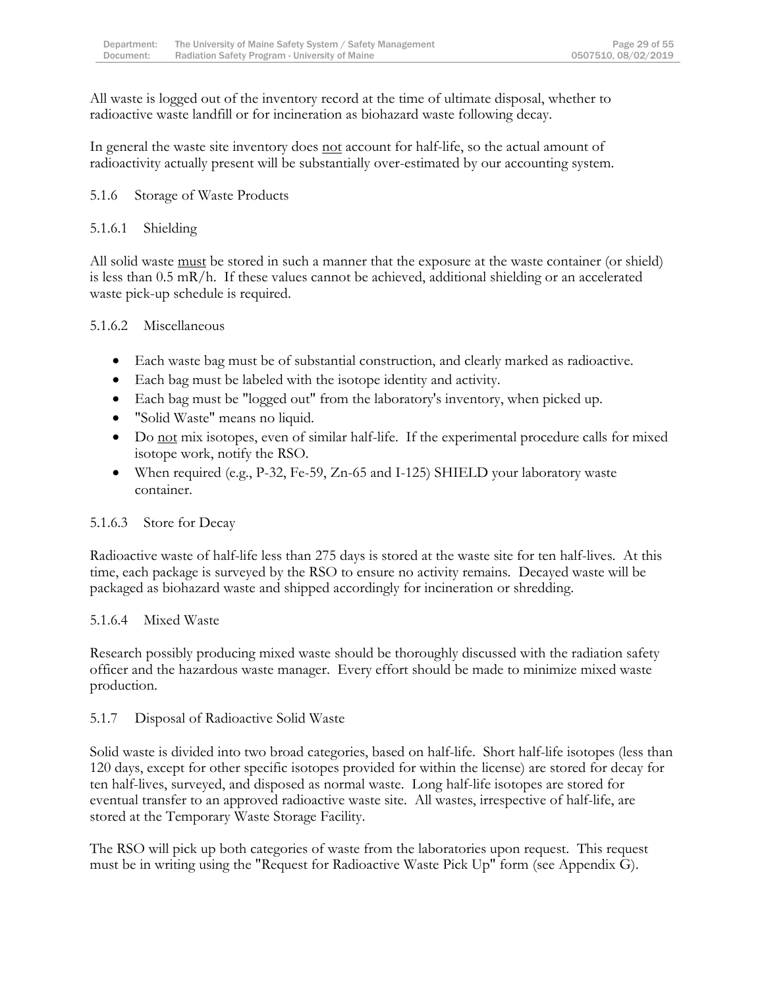All waste is logged out of the inventory record at the time of ultimate disposal, whether to radioactive waste landfill or for incineration as biohazard waste following decay.

In general the waste site inventory does not account for half-life, so the actual amount of radioactivity actually present will be substantially over-estimated by our accounting system.

### 5.1.6 Storage of Waste Products

### 5.1.6.1 Shielding

All solid waste <u>must</u> be stored in such a manner that the exposure at the waste container (or shield) is less than 0.5 mR/h. If these values cannot be achieved, additional shielding or an accelerated waste pick-up schedule is required.

### 5.1.6.2 Miscellaneous

- Each waste bag must be of substantial construction, and clearly marked as radioactive.
- Each bag must be labeled with the isotope identity and activity.
- Each bag must be "logged out" from the laboratory's inventory, when picked up.
- "Solid Waste" means no liquid.
- Do not mix isotopes, even of similar half-life. If the experimental procedure calls for mixed isotope work, notify the RSO.
- When required (e.g., P-32, Fe-59, Zn-65 and I-125) SHIELD your laboratory waste container.

# 5.1.6.3 Store for Decay

Radioactive waste of half-life less than 275 days is stored at the waste site for ten half-lives. At this time, each package is surveyed by the RSO to ensure no activity remains. Decayed waste will be packaged as biohazard waste and shipped accordingly for incineration or shredding.

# 5.1.6.4 Mixed Waste

Research possibly producing mixed waste should be thoroughly discussed with the radiation safety officer and the hazardous waste manager. Every effort should be made to minimize mixed waste production.

#### 5.1.7 Disposal of Radioactive Solid Waste

Solid waste is divided into two broad categories, based on half-life. Short half-life isotopes (less than 120 days, except for other specific isotopes provided for within the license) are stored for decay for ten half-lives, surveyed, and disposed as normal waste. Long half-life isotopes are stored for eventual transfer to an approved radioactive waste site. All wastes, irrespective of half-life, are stored at the Temporary Waste Storage Facility.

The RSO will pick up both categories of waste from the laboratories upon request. This request must be in writing using the "Request for Radioactive Waste Pick Up" form (see Appendix G).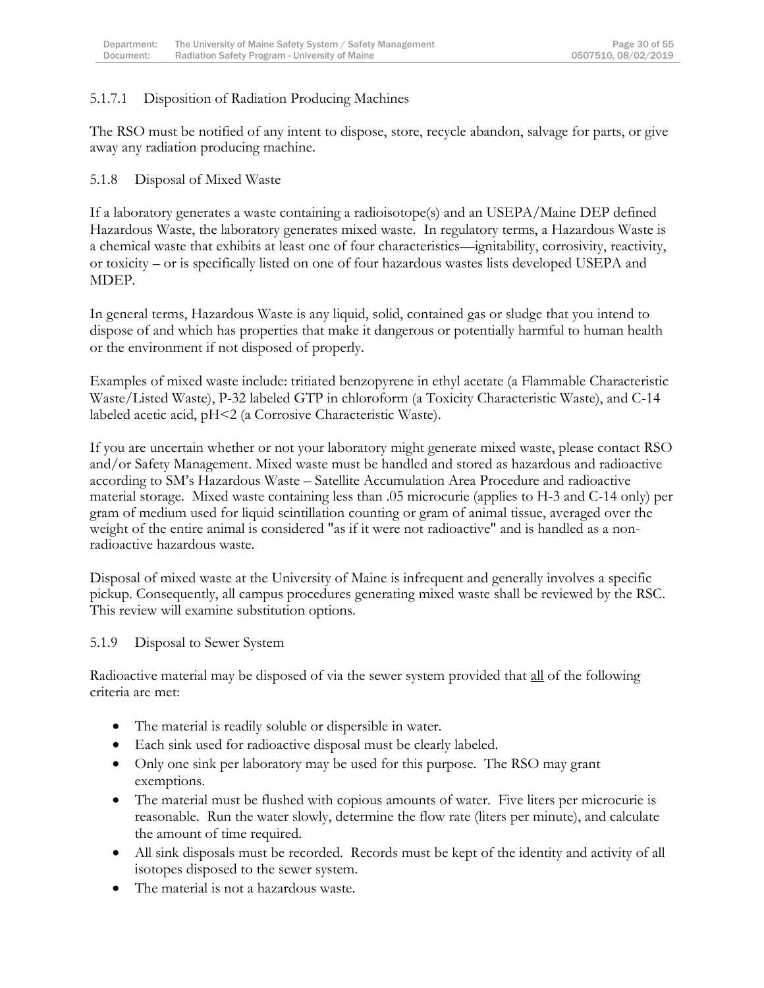### 5.1.7.1 Disposition of Radiation Producing Machines

The RSO must be notified of any intent to dispose, store, recycle abandon, salvage for parts, or give away any radiation producing machine.

#### 5.1.8 Disposal of Mixed Waste

If a laboratory generates a waste containing a radioisotope(s) and an USEPA/Maine DEP defined Hazardous Waste, the laboratory generates mixed waste. In regulatory terms, a Hazardous Waste is a chemical waste that exhibits at least one of four characteristics—ignitability, corrosivity, reactivity, or toxicity – or is specifically listed on one of four hazardous wastes lists developed USEPA and MDEP.

In general terms, Hazardous Waste is any liquid, solid, contained gas or sludge that you intend to dispose of and which has properties that make it dangerous or potentially harmful to human health or the environment if not disposed of properly.

Examples of mixed waste include: tritiated benzopyrene in ethyl acetate (a Flammable Characteristic Waste/Listed Waste), P-32 labeled GTP in chloroform (a Toxicity Characteristic Waste), and C-14 labeled acetic acid, pH<2 (a Corrosive Characteristic Waste).

If you are uncertain whether or not your laboratory might generate mixed waste, please contact RSO and/or Safety Management. Mixed waste must be handled and stored as hazardous and radioactive according to SM's Hazardous Waste – Satellite Accumulation Area Procedure and radioactive material storage. Mixed waste containing less than .05 microcurie (applies to H-3 and C-14 only) per gram of medium used for liquid scintillation counting or gram of animal tissue, averaged over the weight of the entire animal is considered "as if it were not radioactive" and is handled as a nonradioactive hazardous waste.

Disposal of mixed waste at the University of Maine is infrequent and generally involves a specific pickup. Consequently, all campus procedures generating mixed waste shall be reviewed by the RSC. This review will examine substitution options.

#### 5.1.9 Disposal to Sewer System

Radioactive material may be disposed of via the sewer system provided that all of the following criteria are met:

- The material is readily soluble or dispersible in water.
- Each sink used for radioactive disposal must be clearly labeled.
- Only one sink per laboratory may be used for this purpose. The RSO may grant exemptions.
- The material must be flushed with copious amounts of water. Five liters per microcurie is reasonable. Run the water slowly, determine the flow rate (liters per minute), and calculate the amount of time required.
- All sink disposals must be recorded. Records must be kept of the identity and activity of all isotopes disposed to the sewer system.
- The material is not a hazardous waste.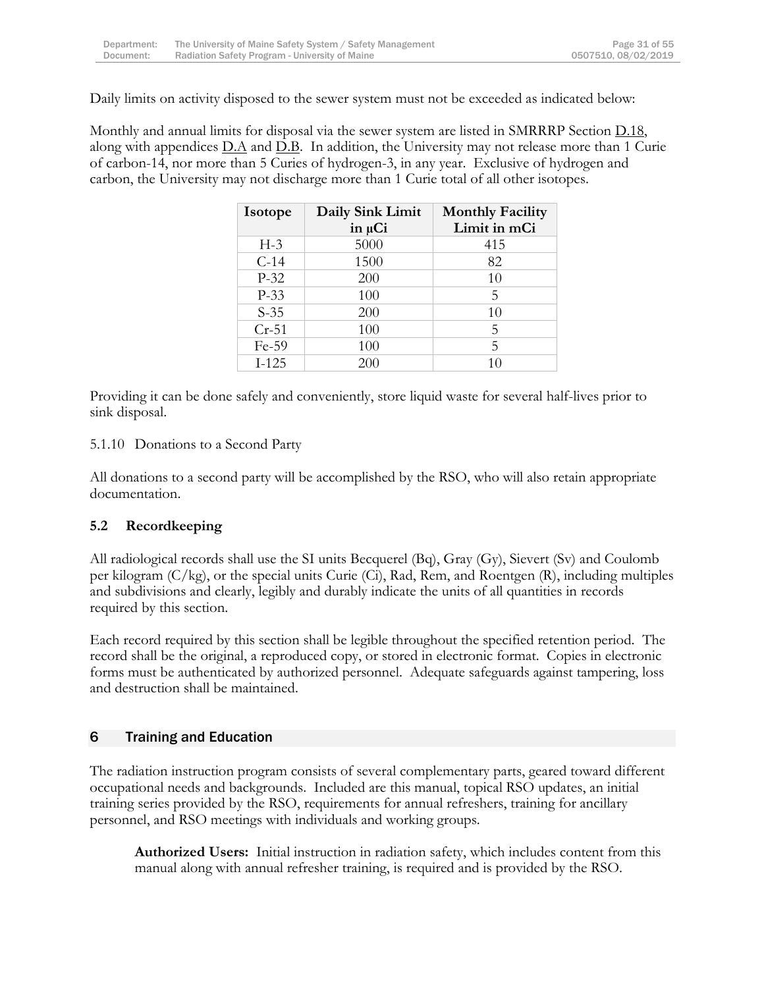Daily limits on activity disposed to the sewer system must not be exceeded as indicated below:

Monthly and annual limits for disposal via the sewer system are listed in SMRRRP Section D.18, along with appendices  $D.A$  and  $D.B.$  In addition, the University may not release more than 1 Curie of carbon-14, nor more than 5 Curies of hydrogen-3, in any year. Exclusive of hydrogen and carbon, the University may not discharge more than 1 Curie total of all other isotopes.

| Isotope | Daily Sink Limit<br>$in \mu Ci$ | <b>Monthly Facility</b><br>Limit in mCi |
|---------|---------------------------------|-----------------------------------------|
| $H-3$   | 5000                            | 415                                     |
| $C-14$  | 1500                            | 82                                      |
| $P-32$  | 200                             | 10                                      |
| $P-33$  | 100                             | 5                                       |
| $S-35$  | 200                             | 10                                      |
| $Cr-51$ | 100                             | 5                                       |
| Fe-59   | 100                             | 5                                       |
| $I-125$ | 200                             | 10                                      |

Providing it can be done safely and conveniently, store liquid waste for several half-lives prior to sink disposal.

#### 5.1.10 Donations to a Second Party

All donations to a second party will be accomplished by the RSO, who will also retain appropriate documentation.

#### **5.2 Recordkeeping**

All radiological records shall use the SI units Becquerel (Bq), Gray (Gy), Sievert (Sv) and Coulomb per kilogram (C/kg), or the special units Curie (Ci), Rad, Rem, and Roentgen (R), including multiples and subdivisions and clearly, legibly and durably indicate the units of all quantities in records required by this section.

Each record required by this section shall be legible throughout the specified retention period. The record shall be the original, a reproduced copy, or stored in electronic format. Copies in electronic forms must be authenticated by authorized personnel. Adequate safeguards against tampering, loss and destruction shall be maintained.

# <span id="page-31-0"></span>6 Training and Education

The radiation instruction program consists of several complementary parts, geared toward different occupational needs and backgrounds. Included are this manual, topical RSO updates, an initial training series provided by the RSO, requirements for annual refreshers, training for ancillary personnel, and RSO meetings with individuals and working groups.

**Authorized Users:** Initial instruction in radiation safety, which includes content from this manual along with annual refresher training, is required and is provided by the RSO.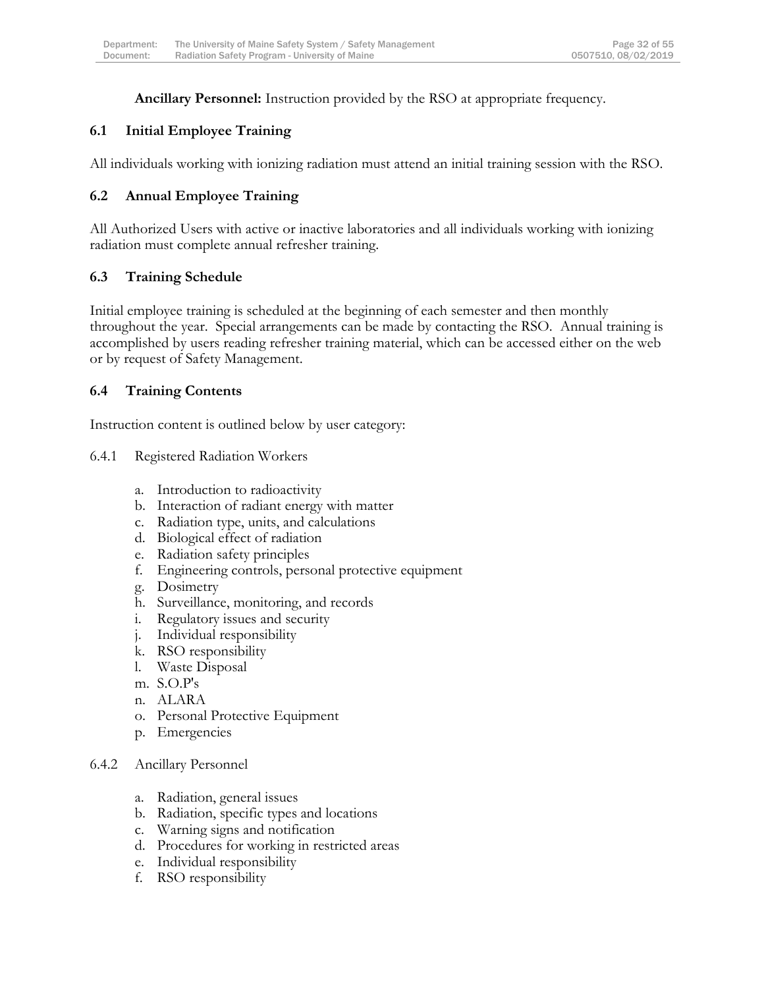**Ancillary Personnel:** Instruction provided by the RSO at appropriate frequency.

# **6.1 Initial Employee Training**

All individuals working with ionizing radiation must attend an initial training session with the RSO.

# **6.2 Annual Employee Training**

All Authorized Users with active or inactive laboratories and all individuals working with ionizing radiation must complete annual refresher training.

# **6.3 Training Schedule**

Initial employee training is scheduled at the beginning of each semester and then monthly throughout the year. Special arrangements can be made by contacting the RSO. Annual training is accomplished by users reading refresher training material, which can be accessed either on the web or by request of Safety Management.

# **6.4 Training Contents**

Instruction content is outlined below by user category:

- 6.4.1 Registered Radiation Workers
	- a. Introduction to radioactivity
	- b. Interaction of radiant energy with matter
	- c. Radiation type, units, and calculations
	- d. Biological effect of radiation
	- e. Radiation safety principles
	- f. Engineering controls, personal protective equipment
	- g. Dosimetry
	- h. Surveillance, monitoring, and records
	- i. Regulatory issues and security
	- j. Individual responsibility
	- k. RSO responsibility
	- l. Waste Disposal
	- m. S.O.P's
	- n. ALARA
	- o. Personal Protective Equipment
	- p. Emergencies

#### 6.4.2 Ancillary Personnel

- a. Radiation, general issues
- b. Radiation, specific types and locations
- c. Warning signs and notification
- d. Procedures for working in restricted areas
- e. Individual responsibility
- f. RSO responsibility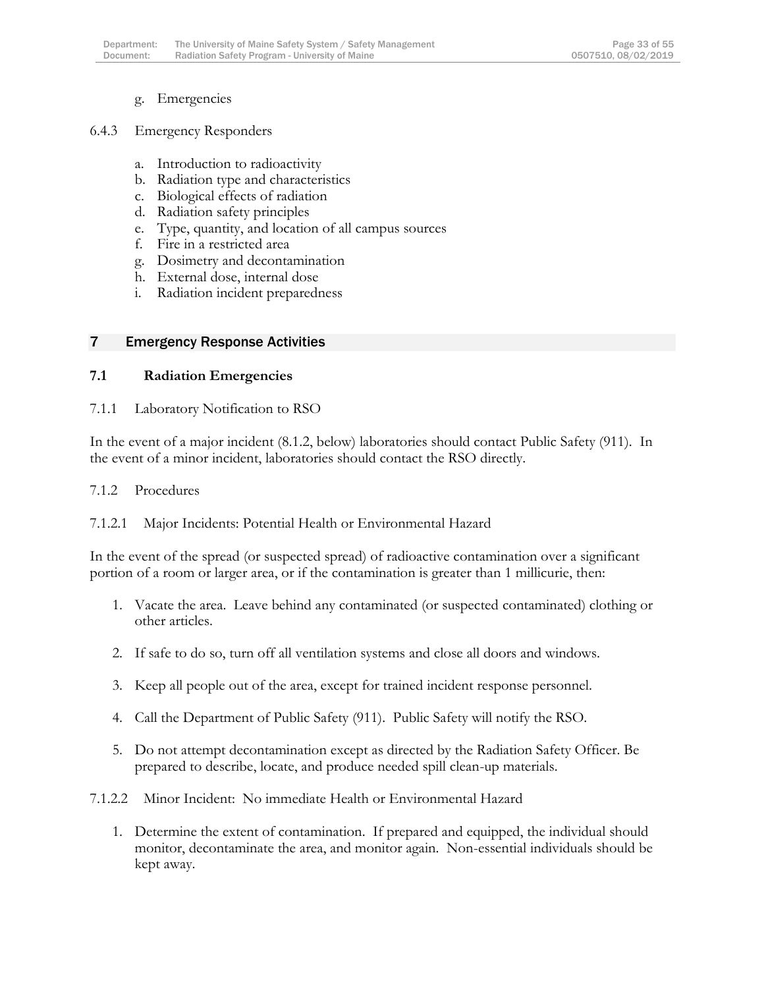g. Emergencies

#### 6.4.3 Emergency Responders

- a. Introduction to radioactivity
- b. Radiation type and characteristics
- c. Biological effects of radiation
- d. Radiation safety principles
- e. Type, quantity, and location of all campus sources
- f. Fire in a restricted area
- g. Dosimetry and decontamination
- h. External dose, internal dose
- i. Radiation incident preparedness

#### <span id="page-33-0"></span>7 Emergency Response Activities

#### **7.1 Radiation Emergencies**

#### 7.1.1 Laboratory Notification to RSO

In the event of a major incident (8.1.2, below) laboratories should contact Public Safety (911). In the event of a minor incident, laboratories should contact the RSO directly.

#### 7.1.2 Procedures

#### 7.1.2.1 Major Incidents: Potential Health or Environmental Hazard

In the event of the spread (or suspected spread) of radioactive contamination over a significant portion of a room or larger area, or if the contamination is greater than 1 millicurie, then:

- 1. Vacate the area. Leave behind any contaminated (or suspected contaminated) clothing or other articles.
- 2. If safe to do so, turn off all ventilation systems and close all doors and windows.
- 3. Keep all people out of the area, except for trained incident response personnel.
- 4. Call the Department of Public Safety (911). Public Safety will notify the RSO.
- 5. Do not attempt decontamination except as directed by the Radiation Safety Officer. Be prepared to describe, locate, and produce needed spill clean-up materials.
- 7.1.2.2 Minor Incident: No immediate Health or Environmental Hazard
	- 1. Determine the extent of contamination. If prepared and equipped, the individual should monitor, decontaminate the area, and monitor again. Non-essential individuals should be kept away.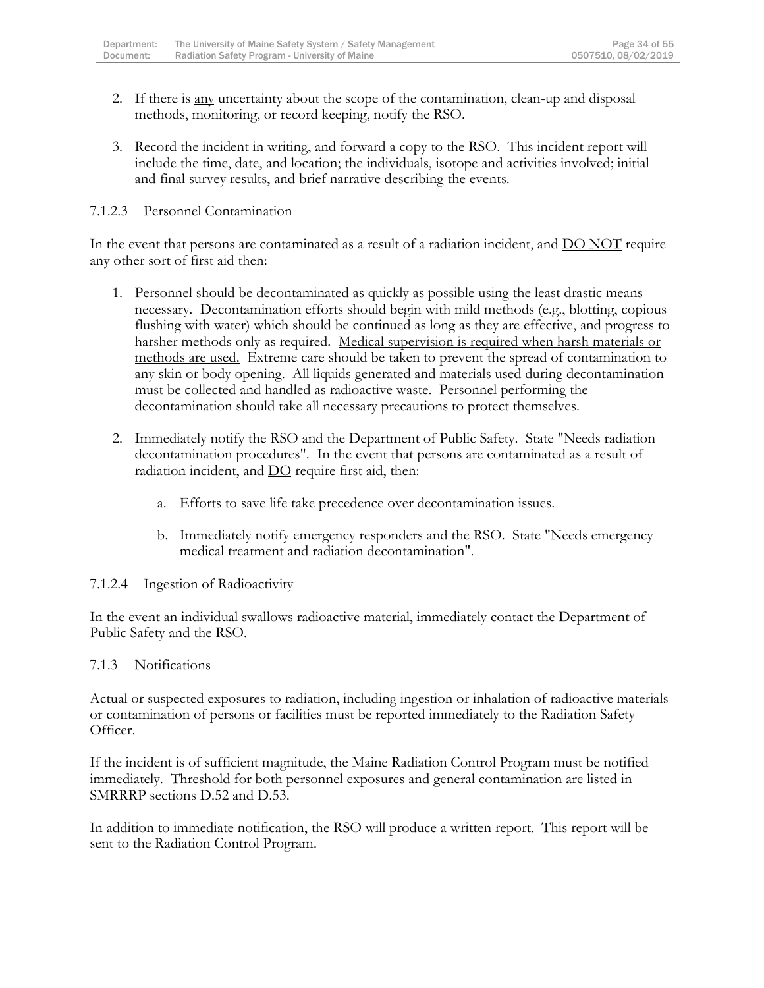- 2. If there is any uncertainty about the scope of the contamination, clean-up and disposal methods, monitoring, or record keeping, notify the RSO.
- 3. Record the incident in writing, and forward a copy to the RSO. This incident report will include the time, date, and location; the individuals, isotope and activities involved; initial and final survey results, and brief narrative describing the events.

#### 7.1.2.3 Personnel Contamination

In the event that persons are contaminated as a result of a radiation incident, and DO NOT require any other sort of first aid then:

- 1. Personnel should be decontaminated as quickly as possible using the least drastic means necessary. Decontamination efforts should begin with mild methods (e.g., blotting, copious flushing with water) which should be continued as long as they are effective, and progress to harsher methods only as required. Medical supervision is required when harsh materials or methods are used. Extreme care should be taken to prevent the spread of contamination to any skin or body opening. All liquids generated and materials used during decontamination must be collected and handled as radioactive waste. Personnel performing the decontamination should take all necessary precautions to protect themselves.
- 2. Immediately notify the RSO and the Department of Public Safety. State "Needs radiation decontamination procedures". In the event that persons are contaminated as a result of radiation incident, and  $\underline{DO}$  require first aid, then:
	- a. Efforts to save life take precedence over decontamination issues.
	- b. Immediately notify emergency responders and the RSO. State "Needs emergency medical treatment and radiation decontamination".

#### 7.1.2.4 Ingestion of Radioactivity

In the event an individual swallows radioactive material, immediately contact the Department of Public Safety and the RSO.

#### 7.1.3 Notifications

Actual or suspected exposures to radiation, including ingestion or inhalation of radioactive materials or contamination of persons or facilities must be reported immediately to the Radiation Safety Officer.

If the incident is of sufficient magnitude, the Maine Radiation Control Program must be notified immediately. Threshold for both personnel exposures and general contamination are listed in SMRRRP sections D.52 and D.53.

In addition to immediate notification, the RSO will produce a written report. This report will be sent to the Radiation Control Program.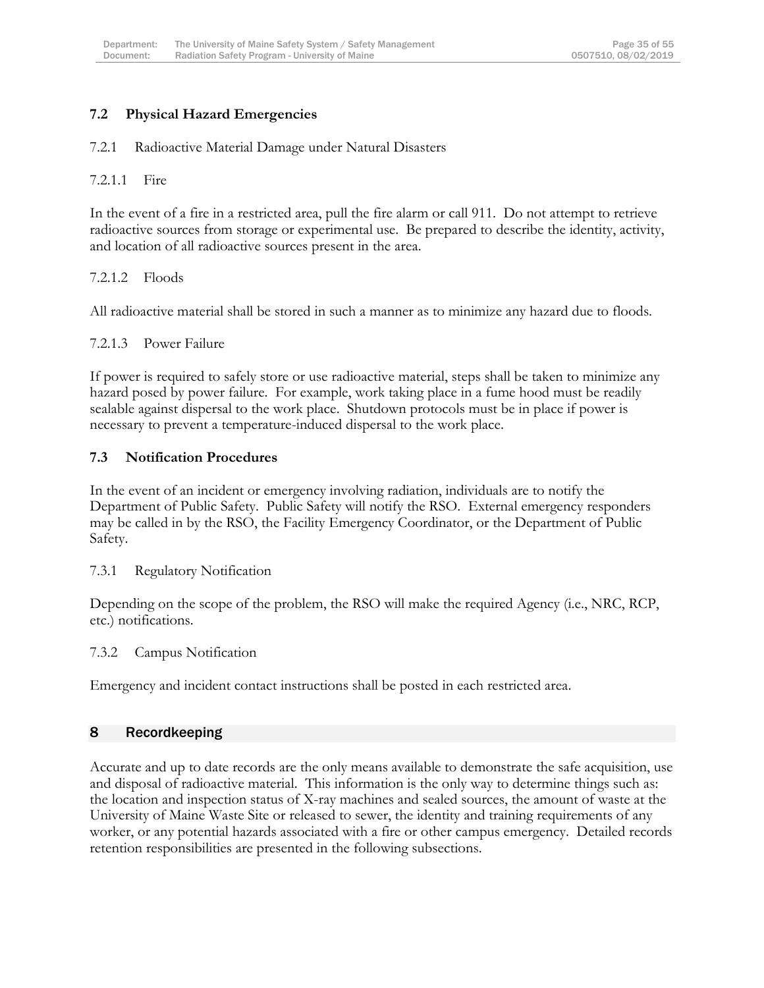### **7.2 Physical Hazard Emergencies**

#### 7.2.1 Radioactive Material Damage under Natural Disasters

#### 7.2.1.1 Fire

In the event of a fire in a restricted area, pull the fire alarm or call 911. Do not attempt to retrieve radioactive sources from storage or experimental use. Be prepared to describe the identity, activity, and location of all radioactive sources present in the area.

#### 7.2.1.2 Floods

All radioactive material shall be stored in such a manner as to minimize any hazard due to floods.

#### 7.2.1.3 Power Failure

If power is required to safely store or use radioactive material, steps shall be taken to minimize any hazard posed by power failure. For example, work taking place in a fume hood must be readily sealable against dispersal to the work place. Shutdown protocols must be in place if power is necessary to prevent a temperature-induced dispersal to the work place.

#### **7.3 Notification Procedures**

In the event of an incident or emergency involving radiation, individuals are to notify the Department of Public Safety. Public Safety will notify the RSO. External emergency responders may be called in by the RSO, the Facility Emergency Coordinator, or the Department of Public Safety.

#### 7.3.1 Regulatory Notification

Depending on the scope of the problem, the RSO will make the required Agency (i.e., NRC, RCP, etc.) notifications.

#### 7.3.2 Campus Notification

Emergency and incident contact instructions shall be posted in each restricted area.

#### <span id="page-35-0"></span>8 Recordkeeping

Accurate and up to date records are the only means available to demonstrate the safe acquisition, use and disposal of radioactive material. This information is the only way to determine things such as: the location and inspection status of X-ray machines and sealed sources, the amount of waste at the University of Maine Waste Site or released to sewer, the identity and training requirements of any worker, or any potential hazards associated with a fire or other campus emergency. Detailed records retention responsibilities are presented in the following subsections.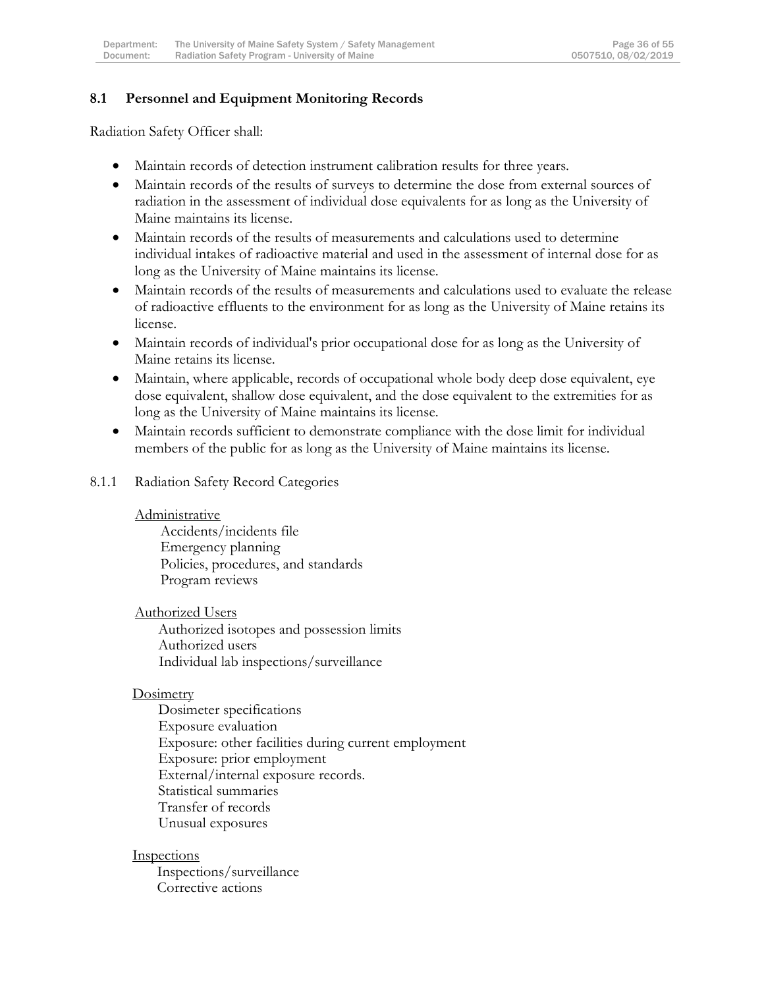### **8.1 Personnel and Equipment Monitoring Records**

Radiation Safety Officer shall:

- Maintain records of detection instrument calibration results for three years.
- Maintain records of the results of surveys to determine the dose from external sources of radiation in the assessment of individual dose equivalents for as long as the University of Maine maintains its license.
- Maintain records of the results of measurements and calculations used to determine individual intakes of radioactive material and used in the assessment of internal dose for as long as the University of Maine maintains its license.
- Maintain records of the results of measurements and calculations used to evaluate the release of radioactive effluents to the environment for as long as the University of Maine retains its license.
- Maintain records of individual's prior occupational dose for as long as the University of Maine retains its license.
- Maintain, where applicable, records of occupational whole body deep dose equivalent, eye dose equivalent, shallow dose equivalent, and the dose equivalent to the extremities for as long as the University of Maine maintains its license.
- Maintain records sufficient to demonstrate compliance with the dose limit for individual members of the public for as long as the University of Maine maintains its license.
- 8.1.1 Radiation Safety Record Categories

#### Administrative

Accidents/incidents file Emergency planning Policies, procedures, and standards Program reviews

Authorized Users

Authorized isotopes and possession limits Authorized users Individual lab inspections/surveillance

#### **Dosimetry**

Dosimeter specifications Exposure evaluation Exposure: other facilities during current employment Exposure: prior employment External/internal exposure records. Statistical summaries Transfer of records Unusual exposures

#### **Inspections**

Inspections/surveillance Corrective actions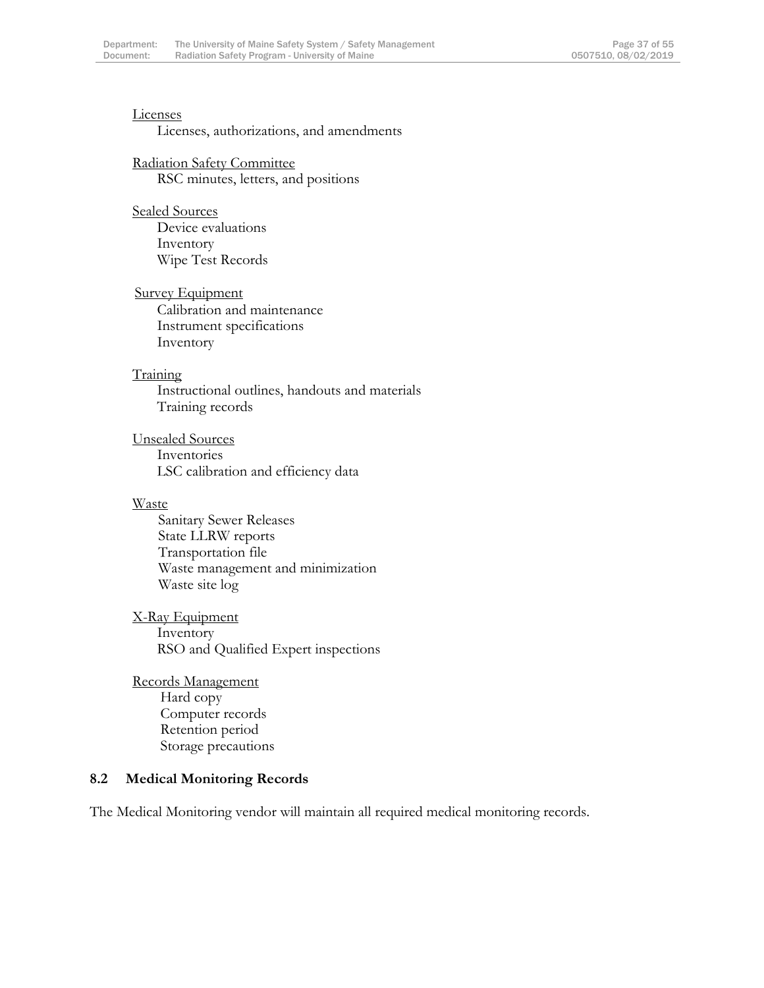#### Licenses

#### Licenses, authorizations, and amendments

#### Radiation Safety Committee RSC minutes, letters, and positions

# Sealed Sources Device evaluations

Inventory Wipe Test Records

#### **Survey Equipment**

Calibration and maintenance Instrument specifications Inventory

#### Training

Instructional outlines, handouts and materials Training records

#### Unsealed Sources Inventories LSC calibration and efficiency data

#### Waste

Sanitary Sewer Releases State LLRW reports Transportation file Waste management and minimization Waste site log

#### X-Ray Equipment Inventory RSO and Qualified Expert inspections

#### Records Management Hard copy Computer records Retention period Storage precautions

#### **8.2 Medical Monitoring Records**

The Medical Monitoring vendor will maintain all required medical monitoring records.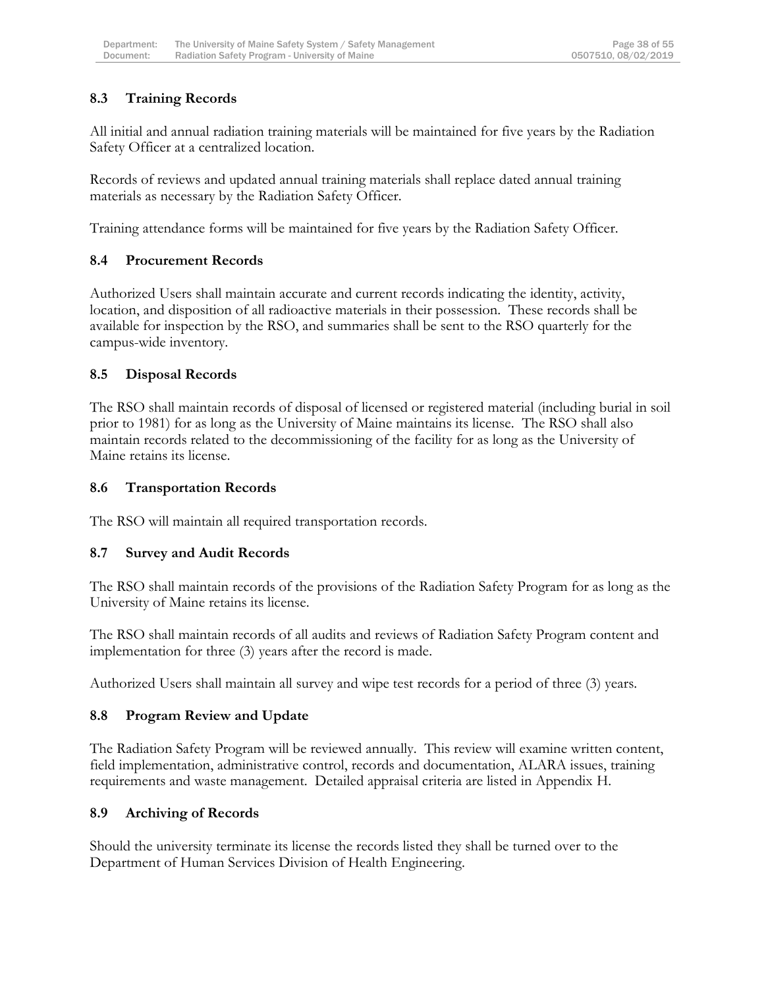# **8.3 Training Records**

All initial and annual radiation training materials will be maintained for five years by the Radiation Safety Officer at a centralized location.

Records of reviews and updated annual training materials shall replace dated annual training materials as necessary by the Radiation Safety Officer.

Training attendance forms will be maintained for five years by the Radiation Safety Officer.

# **8.4 Procurement Records**

Authorized Users shall maintain accurate and current records indicating the identity, activity, location, and disposition of all radioactive materials in their possession. These records shall be available for inspection by the RSO, and summaries shall be sent to the RSO quarterly for the campus-wide inventory.

# **8.5 Disposal Records**

The RSO shall maintain records of disposal of licensed or registered material (including burial in soil prior to 1981) for as long as the University of Maine maintains its license. The RSO shall also maintain records related to the decommissioning of the facility for as long as the University of Maine retains its license.

### **8.6 Transportation Records**

The RSO will maintain all required transportation records.

# **8.7 Survey and Audit Records**

The RSO shall maintain records of the provisions of the Radiation Safety Program for as long as the University of Maine retains its license.

The RSO shall maintain records of all audits and reviews of Radiation Safety Program content and implementation for three (3) years after the record is made.

Authorized Users shall maintain all survey and wipe test records for a period of three (3) years.

# **8.8 Program Review and Update**

The Radiation Safety Program will be reviewed annually. This review will examine written content, field implementation, administrative control, records and documentation, ALARA issues, training requirements and waste management. Detailed appraisal criteria are listed in Appendix H.

# **8.9 Archiving of Records**

Should the university terminate its license the records listed they shall be turned over to the Department of Human Services Division of Health Engineering.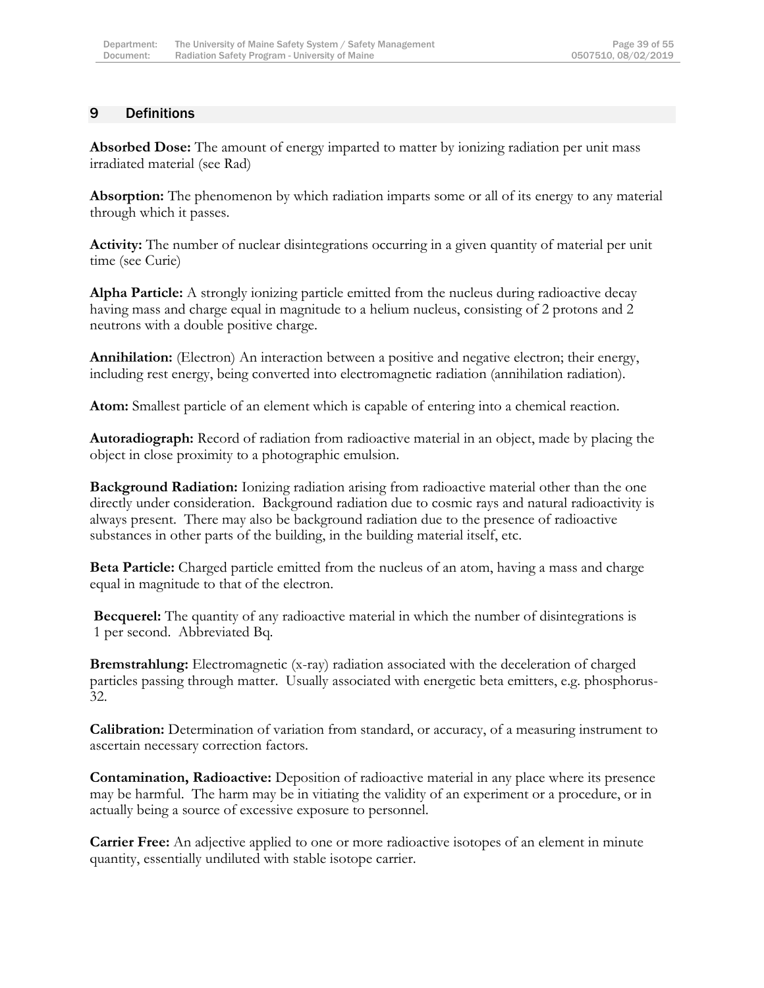# <span id="page-39-0"></span>9 Definitions

**Absorbed Dose:** The amount of energy imparted to matter by ionizing radiation per unit mass irradiated material (see Rad)

**Absorption:** The phenomenon by which radiation imparts some or all of its energy to any material through which it passes.

**Activity:** The number of nuclear disintegrations occurring in a given quantity of material per unit time (see Curie)

**Alpha Particle:** A strongly ionizing particle emitted from the nucleus during radioactive decay having mass and charge equal in magnitude to a helium nucleus, consisting of 2 protons and 2 neutrons with a double positive charge.

**Annihilation:** (Electron) An interaction between a positive and negative electron; their energy, including rest energy, being converted into electromagnetic radiation (annihilation radiation).

**Atom:** Smallest particle of an element which is capable of entering into a chemical reaction.

**Autoradiograph:** Record of radiation from radioactive material in an object, made by placing the object in close proximity to a photographic emulsion.

**Background Radiation:** Ionizing radiation arising from radioactive material other than the one directly under consideration. Background radiation due to cosmic rays and natural radioactivity is always present. There may also be background radiation due to the presence of radioactive substances in other parts of the building, in the building material itself, etc.

**Beta Particle:** Charged particle emitted from the nucleus of an atom, having a mass and charge equal in magnitude to that of the electron.

**Becquerel:** The quantity of any radioactive material in which the number of disintegrations is 1 per second. Abbreviated Bq.

**Bremstrahlung:** Electromagnetic (x-ray) radiation associated with the deceleration of charged particles passing through matter. Usually associated with energetic beta emitters, e.g. phosphorus-32.

**Calibration:** Determination of variation from standard, or accuracy, of a measuring instrument to ascertain necessary correction factors.

**Contamination, Radioactive:** Deposition of radioactive material in any place where its presence may be harmful. The harm may be in vitiating the validity of an experiment or a procedure, or in actually being a source of excessive exposure to personnel.

**Carrier Free:** An adjective applied to one or more radioactive isotopes of an element in minute quantity, essentially undiluted with stable isotope carrier.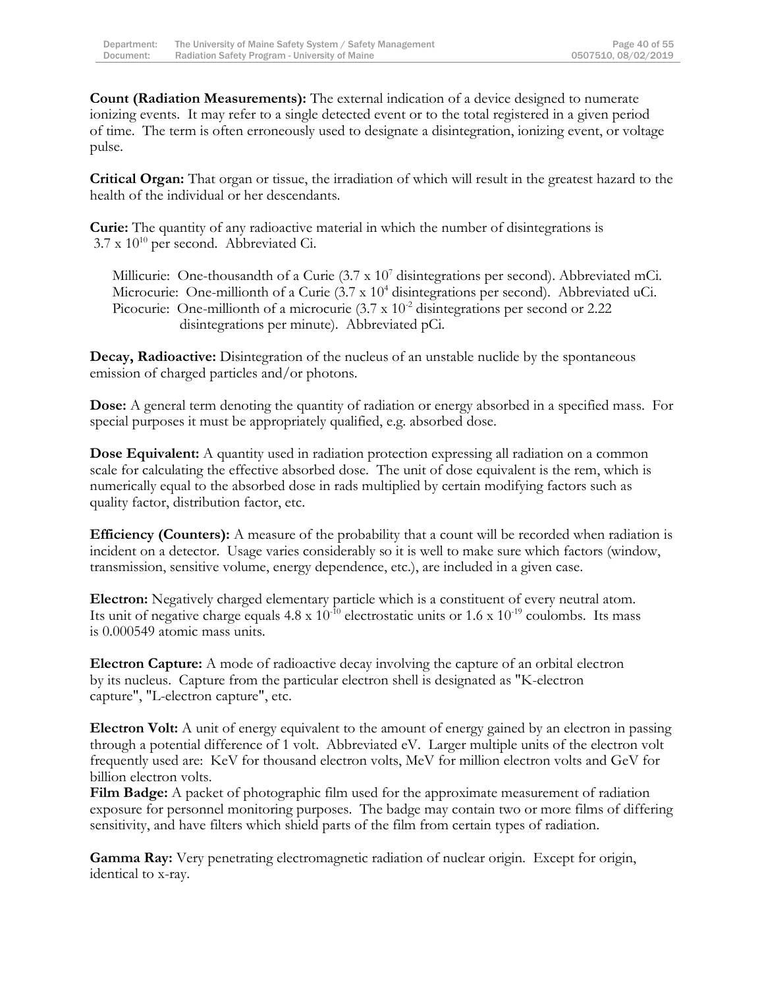**Count (Radiation Measurements):** The external indication of a device designed to numerate ionizing events. It may refer to a single detected event or to the total registered in a given period of time. The term is often erroneously used to designate a disintegration, ionizing event, or voltage pulse.

**Critical Organ:** That organ or tissue, the irradiation of which will result in the greatest hazard to the health of the individual or her descendants.

**Curie:** The quantity of any radioactive material in which the number of disintegrations is  $3.7 \times 10^{10}$  per second. Abbreviated Ci.

Millicurie: One-thousandth of a Curie (3.7 x 10<sup>7</sup> disintegrations per second). Abbreviated mCi. Microcurie: One-millionth of a Curie (3.7 x 10<sup>4</sup> disintegrations per second). Abbreviated uCi. Picocurie: One-millionth of a microcurie  $(3.7 \times 10^{-2}$  disintegrations per second or 2.22 disintegrations per minute). Abbreviated pCi.

**Decay, Radioactive:** Disintegration of the nucleus of an unstable nuclide by the spontaneous emission of charged particles and/or photons.

**Dose:** A general term denoting the quantity of radiation or energy absorbed in a specified mass. For special purposes it must be appropriately qualified, e.g. absorbed dose.

**Dose Equivalent:** A quantity used in radiation protection expressing all radiation on a common scale for calculating the effective absorbed dose. The unit of dose equivalent is the rem, which is numerically equal to the absorbed dose in rads multiplied by certain modifying factors such as quality factor, distribution factor, etc.

**Efficiency (Counters):** A measure of the probability that a count will be recorded when radiation is incident on a detector. Usage varies considerably so it is well to make sure which factors (window, transmission, sensitive volume, energy dependence, etc.), are included in a given case.

**Electron:** Negatively charged elementary particle which is a constituent of every neutral atom. Its unit of negative charge equals  $4.8 \times 10^{-10}$  electrostatic units or  $1.6 \times 10^{-19}$  coulombs. Its mass is 0.000549 atomic mass units.

**Electron Capture:** A mode of radioactive decay involving the capture of an orbital electron by its nucleus. Capture from the particular electron shell is designated as "K-electron capture", "L-electron capture", etc.

**Electron Volt:** A unit of energy equivalent to the amount of energy gained by an electron in passing through a potential difference of 1 volt. Abbreviated eV. Larger multiple units of the electron volt frequently used are: KeV for thousand electron volts, MeV for million electron volts and GeV for billion electron volts.

**Film Badge:** A packet of photographic film used for the approximate measurement of radiation exposure for personnel monitoring purposes. The badge may contain two or more films of differing sensitivity, and have filters which shield parts of the film from certain types of radiation.

**Gamma Ray:** Very penetrating electromagnetic radiation of nuclear origin. Except for origin, identical to x-ray.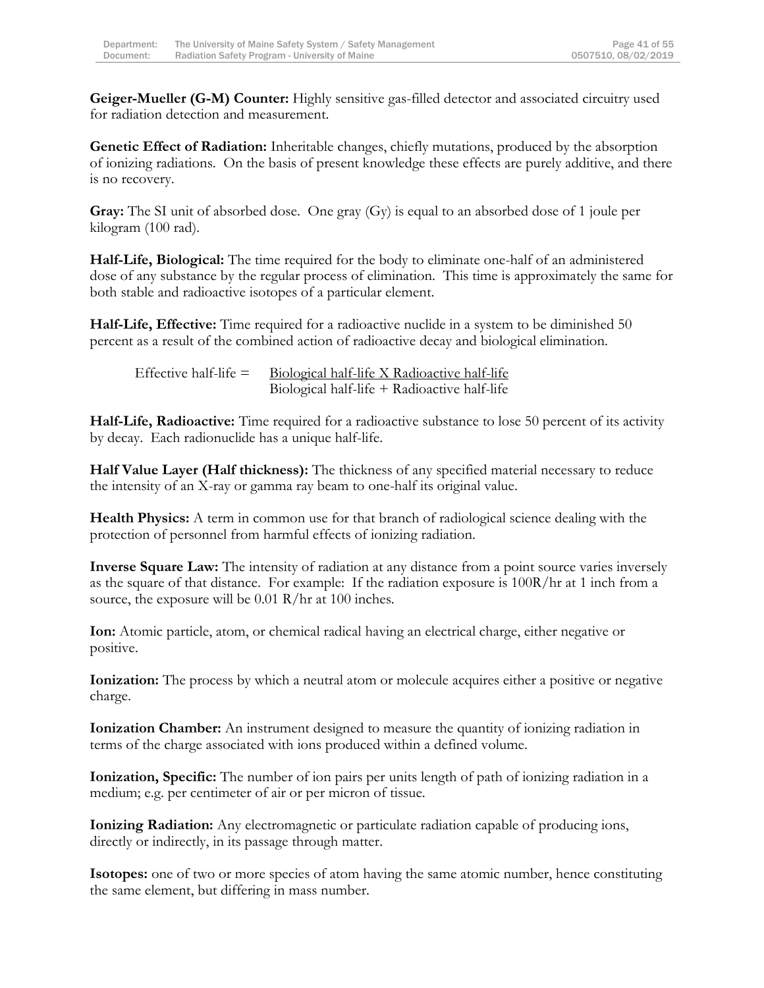**Geiger-Mueller (G-M) Counter:** Highly sensitive gas-filled detector and associated circuitry used for radiation detection and measurement.

**Genetic Effect of Radiation:** Inheritable changes, chiefly mutations, produced by the absorption of ionizing radiations. On the basis of present knowledge these effects are purely additive, and there is no recovery.

**Gray:** The SI unit of absorbed dose. One gray (Gy) is equal to an absorbed dose of 1 joule per kilogram (100 rad).

**Half-Life, Biological:** The time required for the body to eliminate one-half of an administered dose of any substance by the regular process of elimination. This time is approximately the same for both stable and radioactive isotopes of a particular element.

**Half-Life, Effective:** Time required for a radioactive nuclide in a system to be diminished 50 percent as a result of the combined action of radioactive decay and biological elimination.

Effective half-life  $=$  Biological half-life X Radioactive half-life Biological half-life + Radioactive half-life

**Half-Life, Radioactive:** Time required for a radioactive substance to lose 50 percent of its activity by decay. Each radionuclide has a unique half-life.

**Half Value Layer (Half thickness):** The thickness of any specified material necessary to reduce the intensity of an X-ray or gamma ray beam to one-half its original value.

**Health Physics:** A term in common use for that branch of radiological science dealing with the protection of personnel from harmful effects of ionizing radiation.

**Inverse Square Law:** The intensity of radiation at any distance from a point source varies inversely as the square of that distance. For example: If the radiation exposure is 100R/hr at 1 inch from a source, the exposure will be 0.01 R/hr at 100 inches.

**Ion:** Atomic particle, atom, or chemical radical having an electrical charge, either negative or positive.

**Ionization:** The process by which a neutral atom or molecule acquires either a positive or negative charge.

**Ionization Chamber:** An instrument designed to measure the quantity of ionizing radiation in terms of the charge associated with ions produced within a defined volume.

**Ionization, Specific:** The number of ion pairs per units length of path of ionizing radiation in a medium; e.g. per centimeter of air or per micron of tissue.

**Ionizing Radiation:** Any electromagnetic or particulate radiation capable of producing ions, directly or indirectly, in its passage through matter.

**Isotopes:** one of two or more species of atom having the same atomic number, hence constituting the same element, but differing in mass number.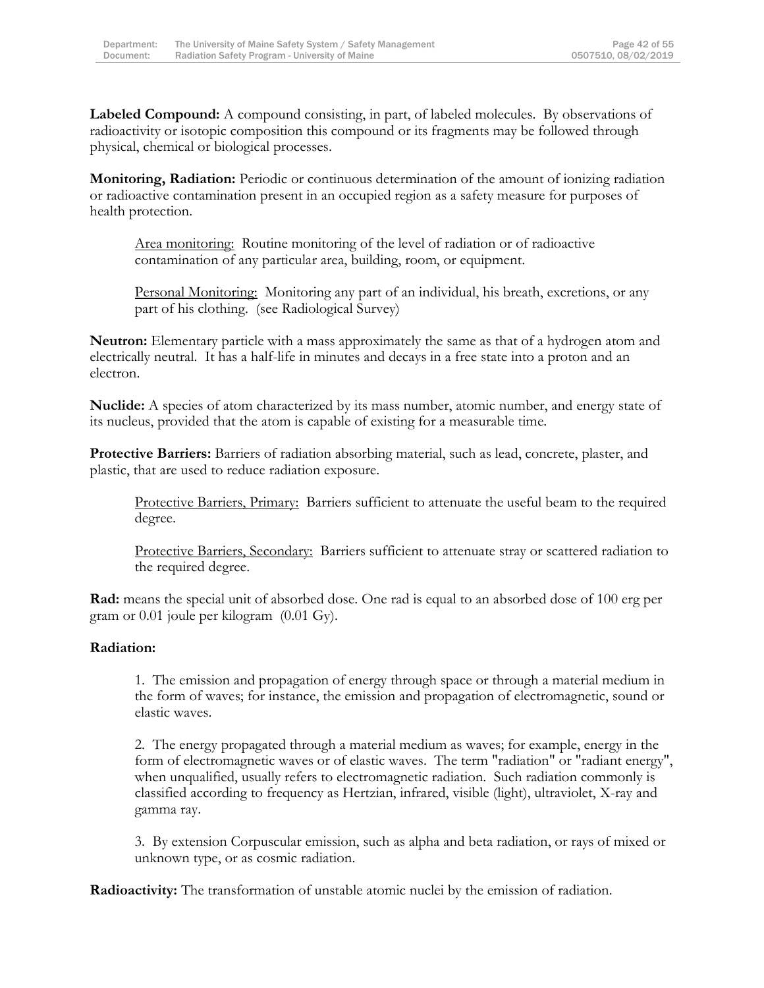**Labeled Compound:** A compound consisting, in part, of labeled molecules. By observations of radioactivity or isotopic composition this compound or its fragments may be followed through physical, chemical or biological processes.

**Monitoring, Radiation:** Periodic or continuous determination of the amount of ionizing radiation or radioactive contamination present in an occupied region as a safety measure for purposes of health protection.

Area monitoring: Routine monitoring of the level of radiation or of radioactive contamination of any particular area, building, room, or equipment.

Personal Monitoring: Monitoring any part of an individual, his breath, excretions, or any part of his clothing. (see Radiological Survey)

**Neutron:** Elementary particle with a mass approximately the same as that of a hydrogen atom and electrically neutral. It has a half-life in minutes and decays in a free state into a proton and an electron.

**Nuclide:** A species of atom characterized by its mass number, atomic number, and energy state of its nucleus, provided that the atom is capable of existing for a measurable time.

**Protective Barriers:** Barriers of radiation absorbing material, such as lead, concrete, plaster, and plastic, that are used to reduce radiation exposure.

Protective Barriers, Primary: Barriers sufficient to attenuate the useful beam to the required degree.

Protective Barriers, Secondary: Barriers sufficient to attenuate stray or scattered radiation to the required degree.

**Rad:** means the special unit of absorbed dose. One rad is equal to an absorbed dose of 100 erg per gram or 0.01 joule per kilogram (0.01 Gy).

#### **Radiation:**

1. The emission and propagation of energy through space or through a material medium in the form of waves; for instance, the emission and propagation of electromagnetic, sound or elastic waves.

2. The energy propagated through a material medium as waves; for example, energy in the form of electromagnetic waves or of elastic waves. The term "radiation" or "radiant energy", when unqualified, usually refers to electromagnetic radiation. Such radiation commonly is classified according to frequency as Hertzian, infrared, visible (light), ultraviolet, X-ray and gamma ray.

3. By extension Corpuscular emission, such as alpha and beta radiation, or rays of mixed or unknown type, or as cosmic radiation.

**Radioactivity:** The transformation of unstable atomic nuclei by the emission of radiation.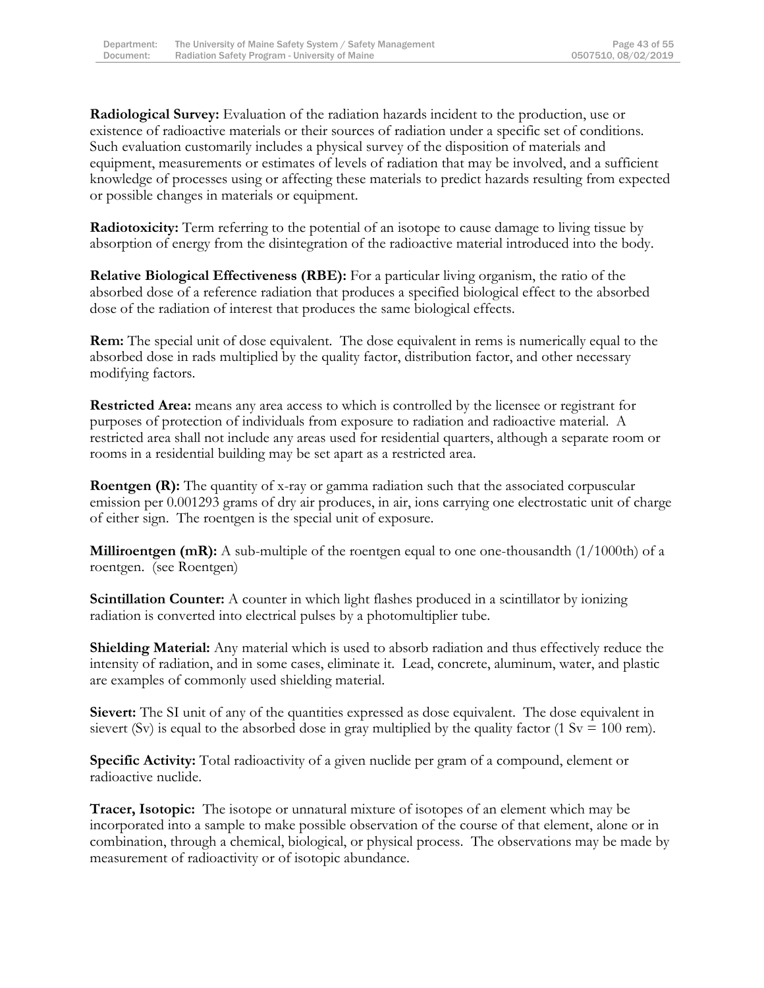**Radiological Survey:** Evaluation of the radiation hazards incident to the production, use or existence of radioactive materials or their sources of radiation under a specific set of conditions. Such evaluation customarily includes a physical survey of the disposition of materials and equipment, measurements or estimates of levels of radiation that may be involved, and a sufficient knowledge of processes using or affecting these materials to predict hazards resulting from expected or possible changes in materials or equipment.

**Radiotoxicity:** Term referring to the potential of an isotope to cause damage to living tissue by absorption of energy from the disintegration of the radioactive material introduced into the body.

**Relative Biological Effectiveness (RBE):** For a particular living organism, the ratio of the absorbed dose of a reference radiation that produces a specified biological effect to the absorbed dose of the radiation of interest that produces the same biological effects.

**Rem:** The special unit of dose equivalent. The dose equivalent in rems is numerically equal to the absorbed dose in rads multiplied by the quality factor, distribution factor, and other necessary modifying factors.

**Restricted Area:** means any area access to which is controlled by the licensee or registrant for purposes of protection of individuals from exposure to radiation and radioactive material. A restricted area shall not include any areas used for residential quarters, although a separate room or rooms in a residential building may be set apart as a restricted area.

**Roentgen (R):** The quantity of x-ray or gamma radiation such that the associated corpuscular emission per 0.001293 grams of dry air produces, in air, ions carrying one electrostatic unit of charge of either sign. The roentgen is the special unit of exposure.

**Milliroentgen (mR):** A sub-multiple of the roentgen equal to one one-thousandth (1/1000th) of a roentgen. (see Roentgen)

**Scintillation Counter:** A counter in which light flashes produced in a scintillator by ionizing radiation is converted into electrical pulses by a photomultiplier tube.

**Shielding Material:** Any material which is used to absorb radiation and thus effectively reduce the intensity of radiation, and in some cases, eliminate it. Lead, concrete, aluminum, water, and plastic are examples of commonly used shielding material.

**Sievert:** The SI unit of any of the quantities expressed as dose equivalent. The dose equivalent in sievert (Sv) is equal to the absorbed dose in gray multiplied by the quality factor (1 Sv = 100 rem).

**Specific Activity:** Total radioactivity of a given nuclide per gram of a compound, element or radioactive nuclide.

**Tracer, Isotopic:** The isotope or unnatural mixture of isotopes of an element which may be incorporated into a sample to make possible observation of the course of that element, alone or in combination, through a chemical, biological, or physical process. The observations may be made by measurement of radioactivity or of isotopic abundance.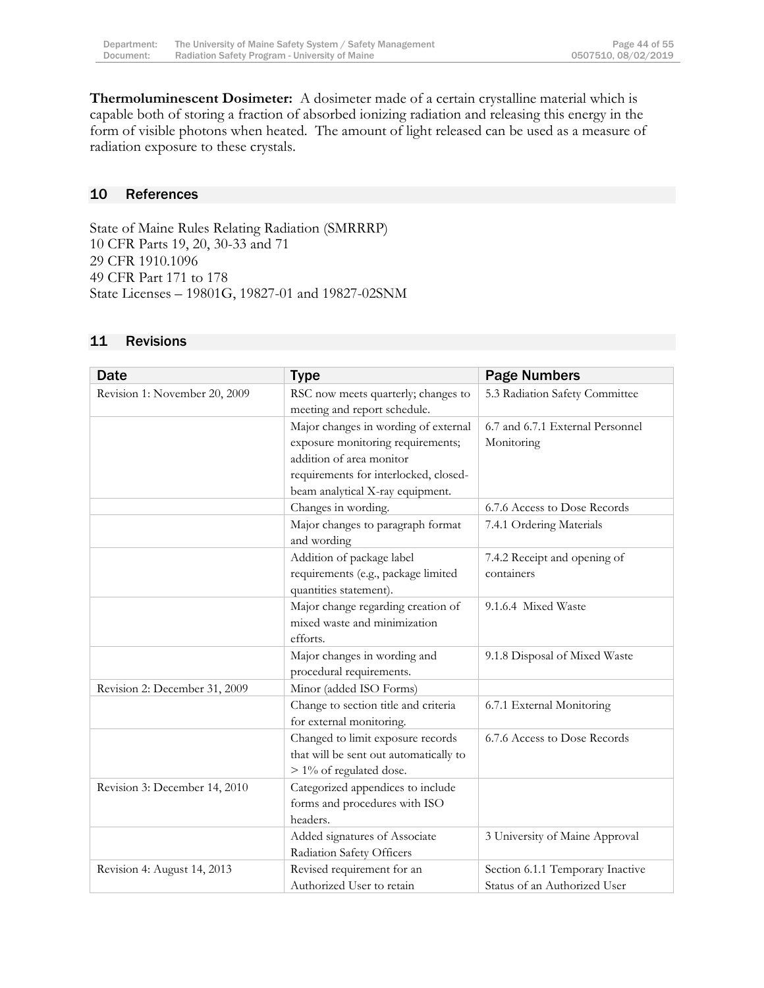**Thermoluminescent Dosimeter:** A dosimeter made of a certain crystalline material which is capable both of storing a fraction of absorbed ionizing radiation and releasing this energy in the form of visible photons when heated. The amount of light released can be used as a measure of radiation exposure to these crystals.

#### <span id="page-44-0"></span>10 References

State of Maine Rules Relating Radiation (SMRRRP) 10 CFR Parts 19, 20, 30-33 and 71 29 CFR 1910.1096 49 CFR Part 171 to 178 State Licenses – 19801G, 19827-01 and 19827-02SNM

| <b>Date</b>                   | <b>Type</b>                                                                                                                                                                        | <b>Page Numbers</b>                                              |
|-------------------------------|------------------------------------------------------------------------------------------------------------------------------------------------------------------------------------|------------------------------------------------------------------|
| Revision 1: November 20, 2009 | RSC now meets quarterly; changes to<br>meeting and report schedule.                                                                                                                | 5.3 Radiation Safety Committee                                   |
|                               | Major changes in wording of external<br>exposure monitoring requirements;<br>addition of area monitor<br>requirements for interlocked, closed-<br>beam analytical X-ray equipment. | 6.7 and 6.7.1 External Personnel<br>Monitoring                   |
|                               | Changes in wording.                                                                                                                                                                | 6.7.6 Access to Dose Records                                     |
|                               | Major changes to paragraph format<br>and wording                                                                                                                                   | 7.4.1 Ordering Materials                                         |
|                               | Addition of package label<br>requirements (e.g., package limited<br>quantities statement).                                                                                         | 7.4.2 Receipt and opening of<br>containers                       |
|                               | Major change regarding creation of<br>mixed waste and minimization<br>efforts.                                                                                                     | 9.1.6.4 Mixed Waste                                              |
|                               | Major changes in wording and<br>procedural requirements.                                                                                                                           | 9.1.8 Disposal of Mixed Waste                                    |
| Revision 2: December 31, 2009 | Minor (added ISO Forms)                                                                                                                                                            |                                                                  |
|                               | Change to section title and criteria<br>for external monitoring.                                                                                                                   | 6.7.1 External Monitoring                                        |
|                               | Changed to limit exposure records<br>that will be sent out automatically to<br>> 1% of regulated dose.                                                                             | 6.7.6 Access to Dose Records                                     |
| Revision 3: December 14, 2010 | Categorized appendices to include<br>forms and procedures with ISO<br>headers.                                                                                                     |                                                                  |
|                               | Added signatures of Associate<br>Radiation Safety Officers                                                                                                                         | 3 University of Maine Approval                                   |
| Revision 4: August 14, 2013   | Revised requirement for an<br>Authorized User to retain                                                                                                                            | Section 6.1.1 Temporary Inactive<br>Status of an Authorized User |

#### <span id="page-44-1"></span>11 Revisions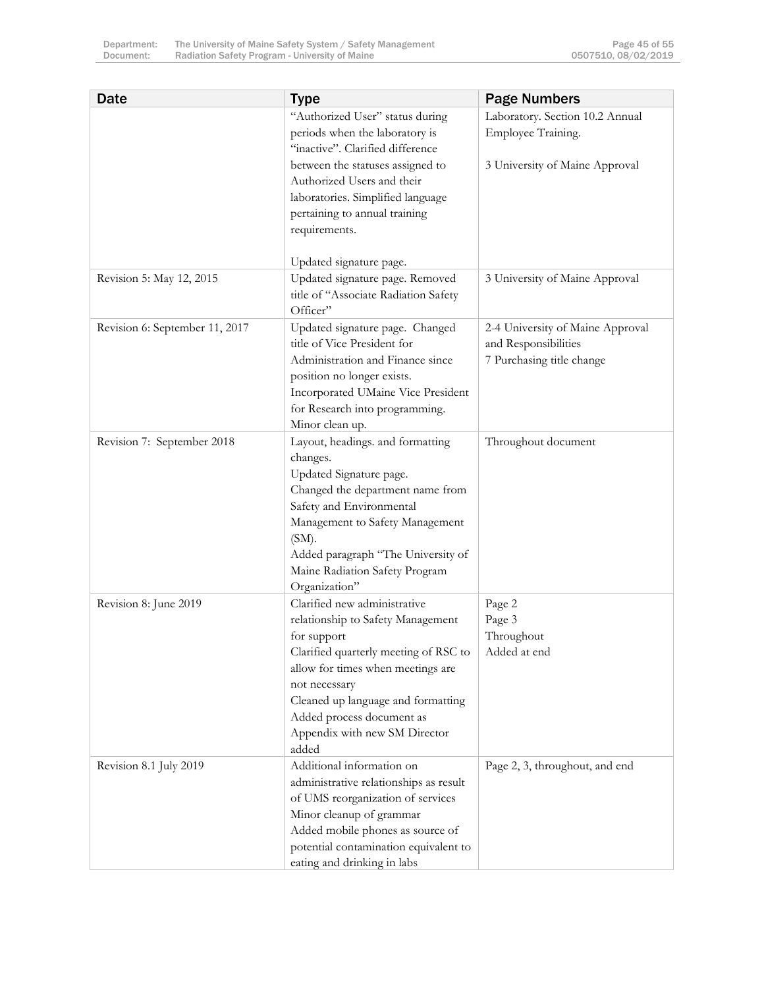| <b>Date</b>                    | <b>Type</b>                                                                                                                                                                                                                                                                                  | <b>Page Numbers</b>                                                                   |
|--------------------------------|----------------------------------------------------------------------------------------------------------------------------------------------------------------------------------------------------------------------------------------------------------------------------------------------|---------------------------------------------------------------------------------------|
|                                | "Authorized User" status during<br>periods when the laboratory is<br>"inactive". Clarified difference                                                                                                                                                                                        | Laboratory. Section 10.2 Annual<br>Employee Training.                                 |
|                                | between the statuses assigned to<br>Authorized Users and their<br>laboratories. Simplified language<br>pertaining to annual training<br>requirements.                                                                                                                                        | 3 University of Maine Approval                                                        |
|                                | Updated signature page.                                                                                                                                                                                                                                                                      |                                                                                       |
| Revision 5: May 12, 2015       | Updated signature page. Removed<br>title of "Associate Radiation Safety<br>Officer"                                                                                                                                                                                                          | 3 University of Maine Approval                                                        |
| Revision 6: September 11, 2017 | Updated signature page. Changed<br>title of Vice President for<br>Administration and Finance since<br>position no longer exists.<br>Incorporated UMaine Vice President<br>for Research into programming.<br>Minor clean up.                                                                  | 2-4 University of Maine Approval<br>and Responsibilities<br>7 Purchasing title change |
| Revision 7: September 2018     | Layout, headings. and formatting<br>changes.<br>Updated Signature page.<br>Changed the department name from<br>Safety and Environmental<br>Management to Safety Management<br>$(SM)$ .<br>Added paragraph "The University of<br>Maine Radiation Safety Program<br>Organization"              | Throughout document                                                                   |
| Revision 8: June 2019          | Clarified new administrative<br>relationship to Safety Management<br>for support<br>Clarified quarterly meeting of RSC to<br>allow for times when meetings are<br>not necessary<br>Cleaned up language and formatting<br>Added process document as<br>Appendix with new SM Director<br>added | Page 2<br>Page 3<br>Throughout<br>Added at end                                        |
| Revision 8.1 July 2019         | Additional information on<br>administrative relationships as result<br>of UMS reorganization of services<br>Minor cleanup of grammar<br>Added mobile phones as source of<br>potential contamination equivalent to<br>eating and drinking in labs                                             | Page 2, 3, throughout, and end                                                        |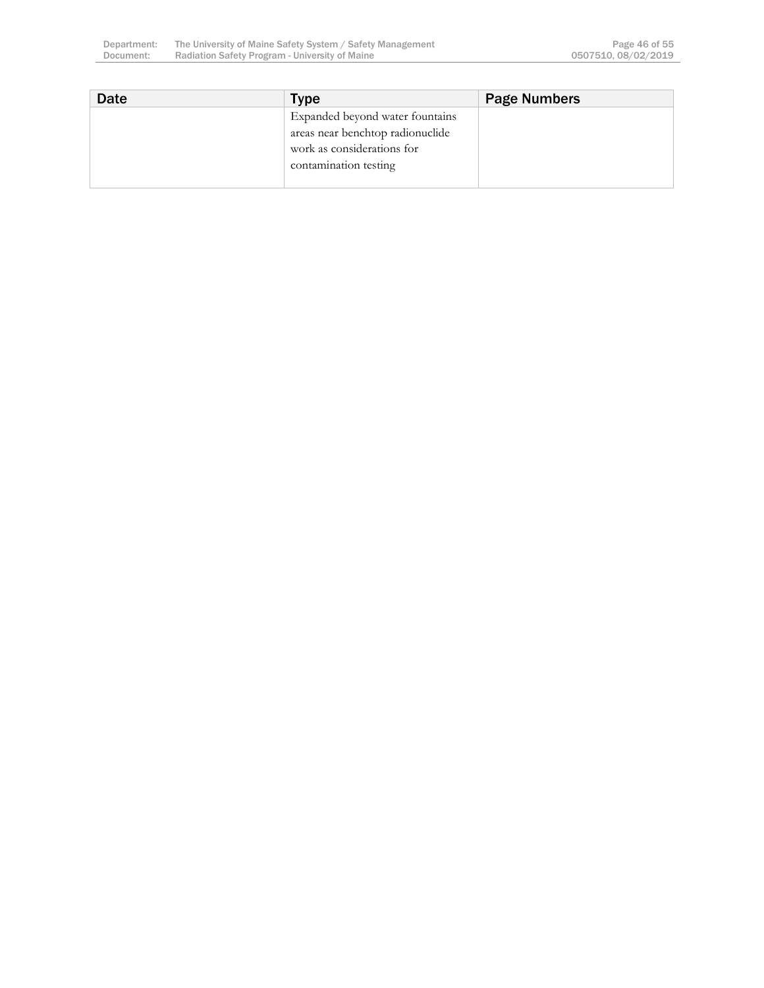| Date | <b>Type</b>                      | <b>Page Numbers</b> |
|------|----------------------------------|---------------------|
|      | Expanded beyond water fountains  |                     |
|      | areas near benchtop radionuclide |                     |
|      | work as considerations for       |                     |
|      | contamination testing            |                     |
|      |                                  |                     |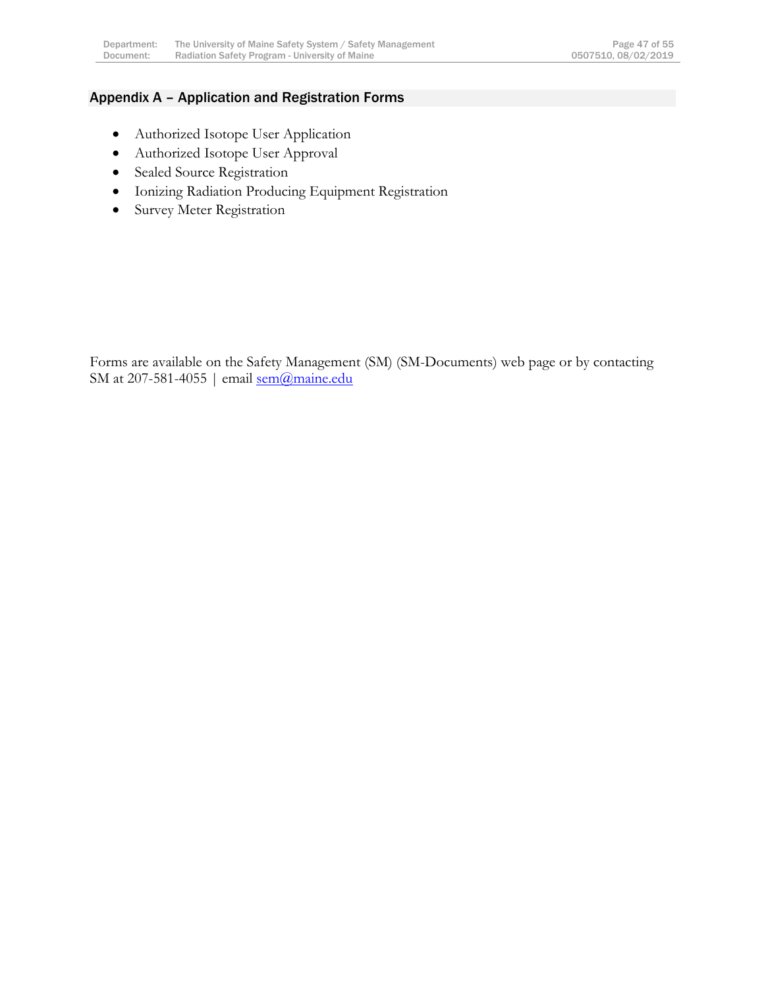# <span id="page-47-0"></span>Appendix A – Application and Registration Forms

- Authorized Isotope User Application
- Authorized Isotope User Approval
- Sealed Source Registration
- Ionizing Radiation Producing Equipment Registration
- **•** Survey Meter Registration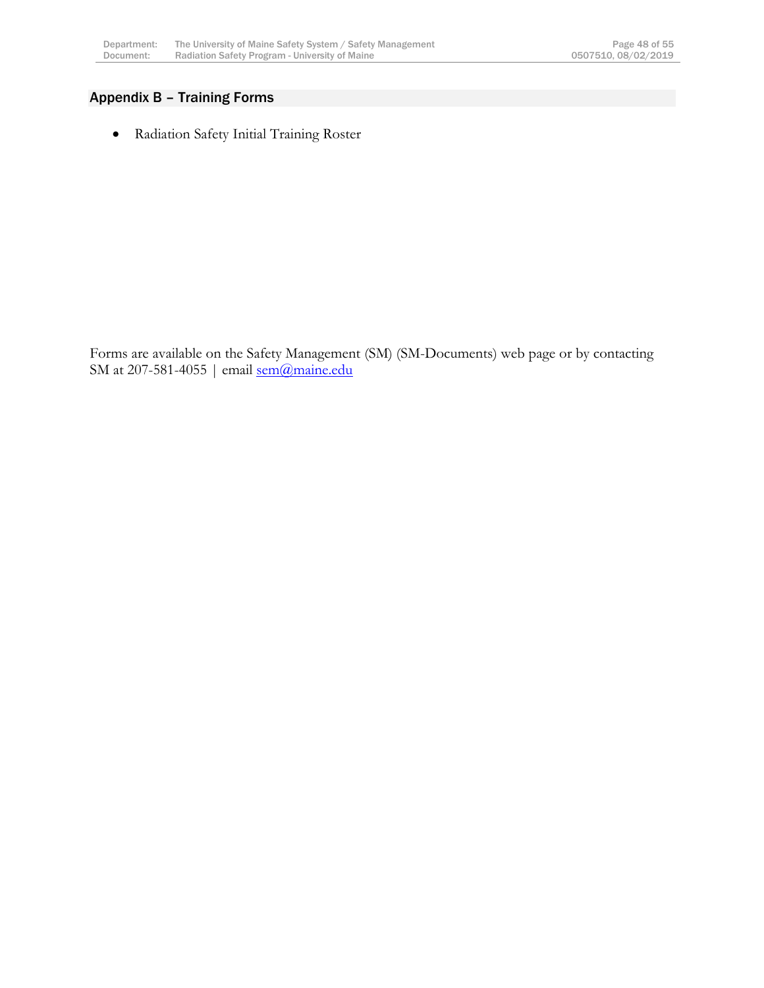# <span id="page-48-0"></span>Appendix B – Training Forms

Radiation Safety Initial Training Roster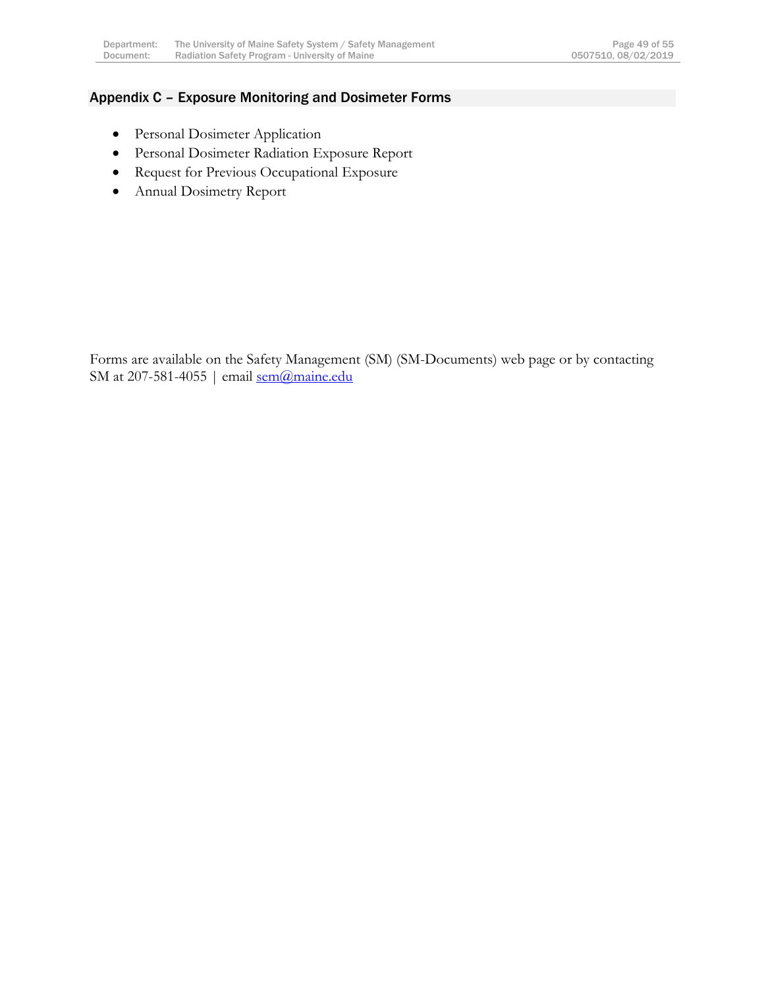#### <span id="page-49-0"></span>Appendix C – Exposure Monitoring and Dosimeter Forms

- **•** Personal Dosimeter Application
- Personal Dosimeter Radiation Exposure Report
- Request for Previous Occupational Exposure
- Annual Dosimetry Report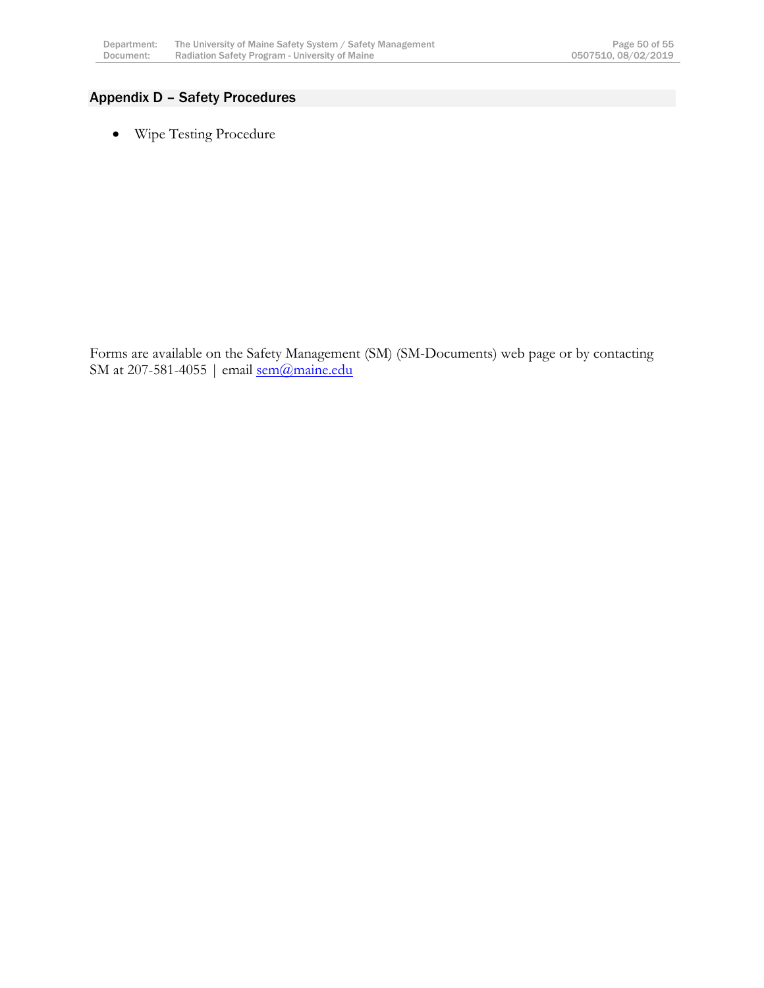# <span id="page-50-0"></span>Appendix D – Safety Procedures

Wipe Testing Procedure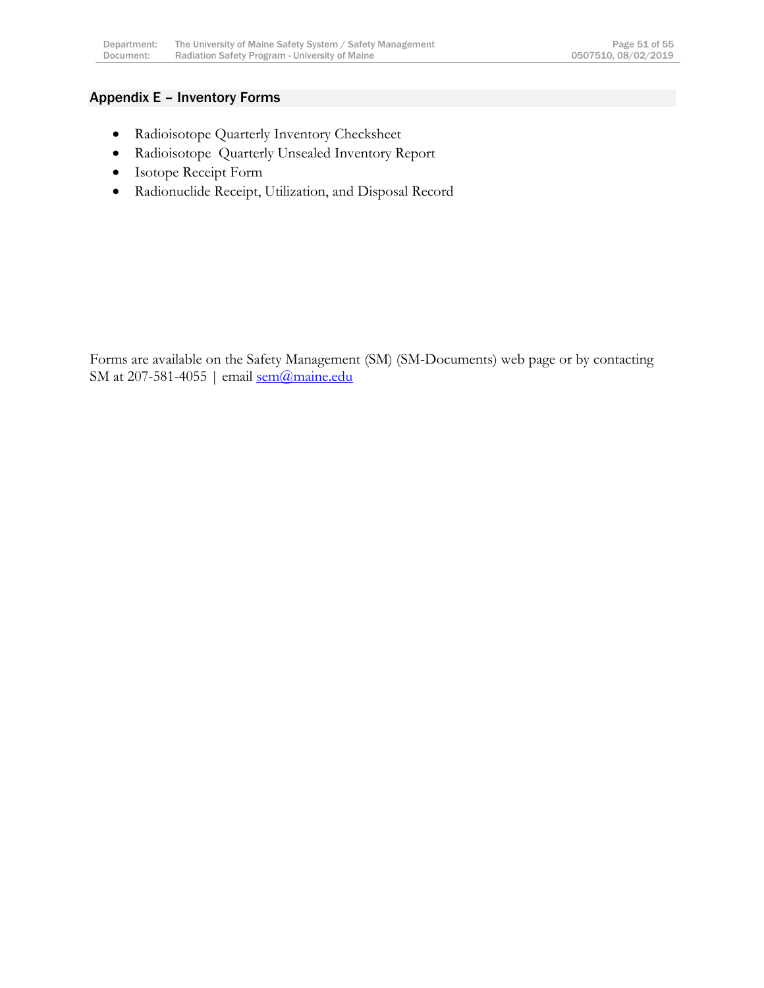### <span id="page-51-0"></span>Appendix E – Inventory Forms

- Radioisotope Quarterly Inventory Checksheet
- Radioisotope Quarterly Unsealed Inventory Report
- Isotope Receipt Form
- Radionuclide Receipt, Utilization, and Disposal Record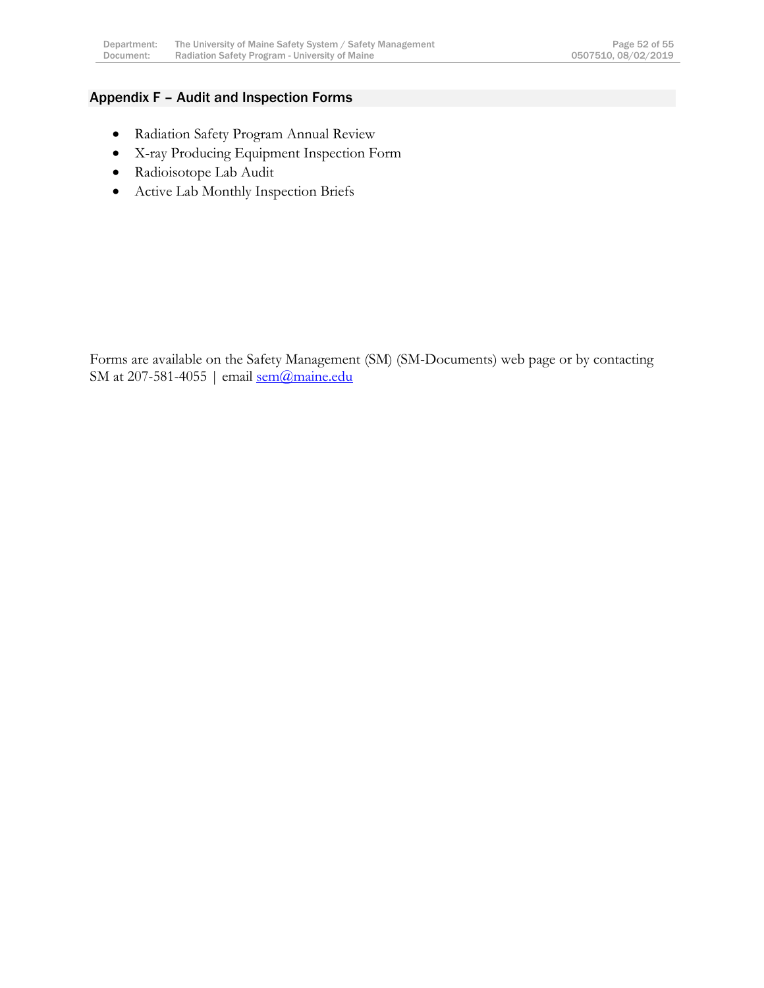### <span id="page-52-0"></span>Appendix F – Audit and Inspection Forms

- Radiation Safety Program Annual Review
- X-ray Producing Equipment Inspection Form
- Radioisotope Lab Audit
- Active Lab Monthly Inspection Briefs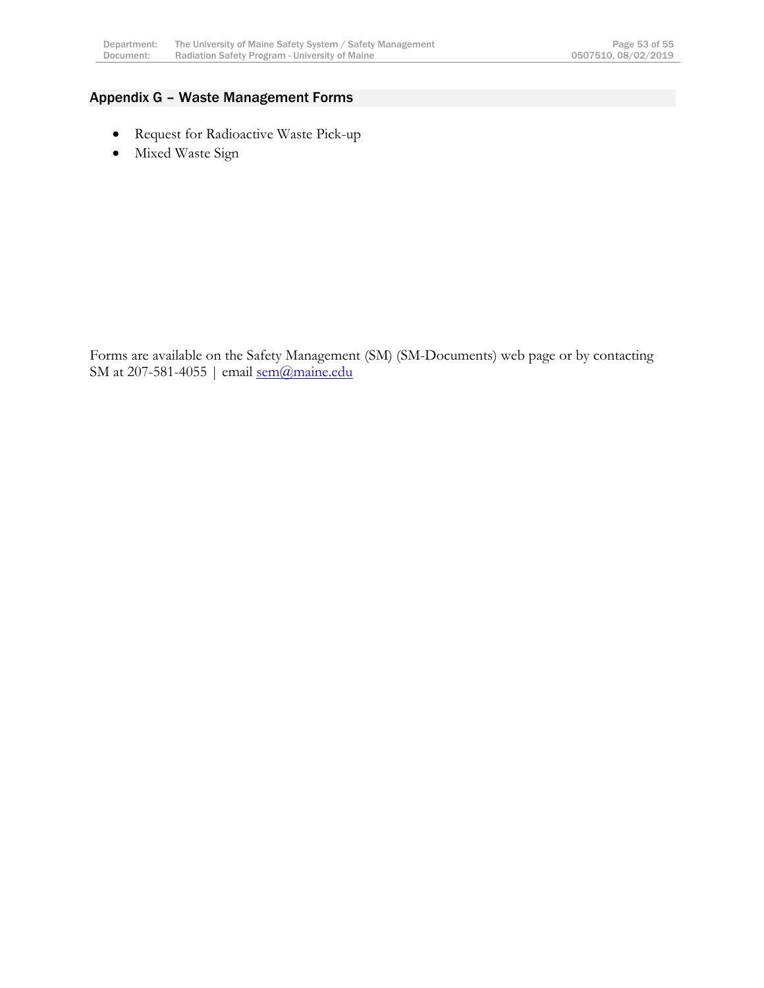# <span id="page-53-0"></span>Appendix G – Waste Management Forms

- Request for Radioactive Waste Pick-up
- Mixed Waste Sign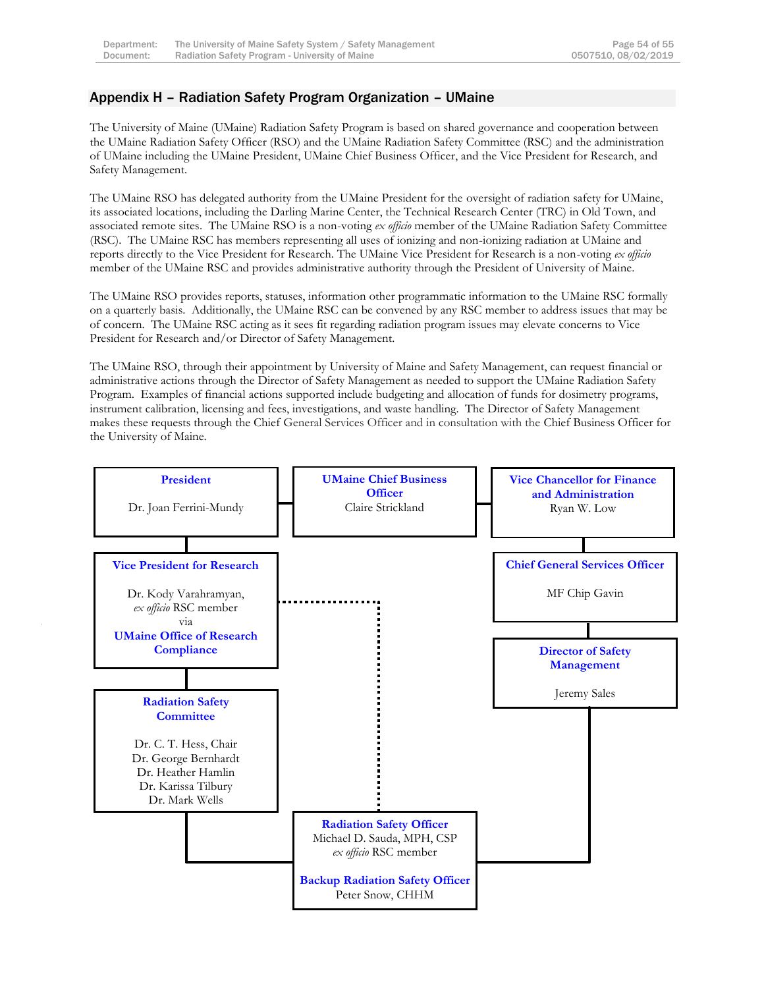### <span id="page-54-0"></span>Appendix H – Radiation Safety Program Organization – UMaine

The University of Maine (UMaine) Radiation Safety Program is based on shared governance and cooperation between the UMaine Radiation Safety Officer (RSO) and the UMaine Radiation Safety Committee (RSC) and the administration of UMaine including the UMaine President, UMaine Chief Business Officer, and the Vice President for Research, and Safety Management.

The UMaine RSO has delegated authority from the UMaine President for the oversight of radiation safety for UMaine, its associated locations, including the Darling Marine Center, the Technical Research Center (TRC) in Old Town, and associated remote sites. The UMaine RSO is a non-voting *ex officio* member of the UMaine Radiation Safety Committee (RSC). The UMaine RSC has members representing all uses of ionizing and non-ionizing radiation at UMaine and reports directly to the Vice President for Research. The UMaine Vice President for Research is a non-voting *ex officio* member of the UMaine RSC and provides administrative authority through the President of University of Maine.

The UMaine RSO provides reports, statuses, information other programmatic information to the UMaine RSC formally on a quarterly basis. Additionally, the UMaine RSC can be convened by any RSC member to address issues that may be of concern. The UMaine RSC acting as it sees fit regarding radiation program issues may elevate concerns to Vice President for Research and/or Director of Safety Management.

The UMaine RSO, through their appointment by University of Maine and Safety Management, can request financial or administrative actions through the Director of Safety Management as needed to support the UMaine Radiation Safety Program. Examples of financial actions supported include budgeting and allocation of funds for dosimetry programs, instrument calibration, licensing and fees, investigations, and waste handling. The Director of Safety Management makes these requests through the Chief General Services Officer and in consultation with the Chief Business Officer for the University of Maine.